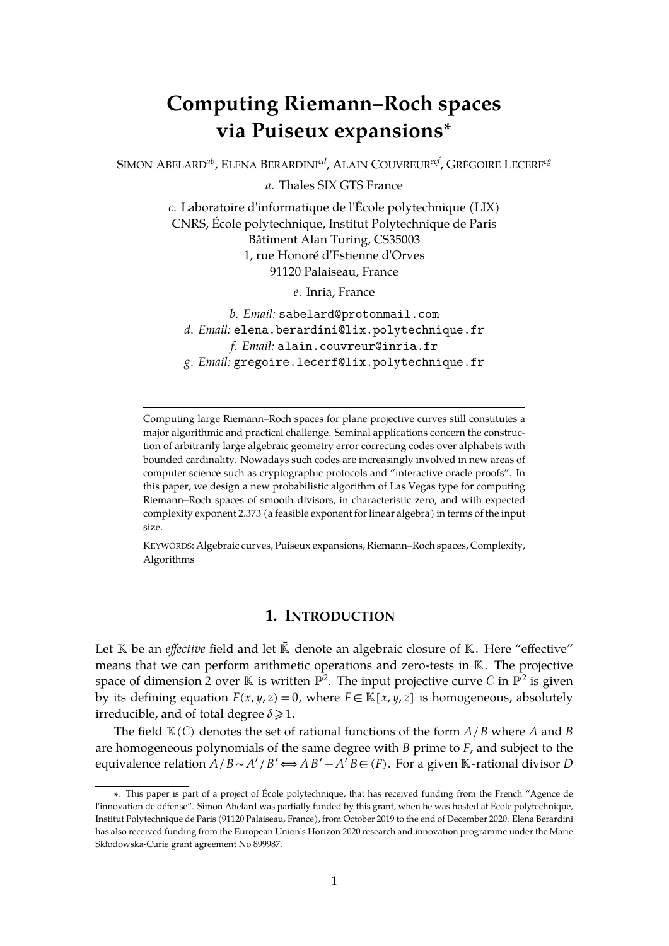# **Computing Riemann–Roch spaces via Puiseux expansions ∗**

SIMON ABELARD *ab* , ELENA BERARDINI*cd* , ALAIN COUVREUR *ecf*, GRÉGOIRE LECERF *cg*

*a*. Thales SIX GTS France

*c*. Laboratoire d'informatique de l'École polytechnique (LIX) CNRS, École polytechnique, Institut Polytechnique de Paris Bâtiment Alan Turing, CS35003 1, rue Honoré d'Estienne d'Orves 91120 Palaiseau, France

*e*. Inria, France

*b*. *Email:* sabelard@protonmail.com *d*. *Email:* elena.berardini@lix.polytechnique.fr *f*. *Email:* alain.couvreur@inria.fr *g*. *Email:* gregoire.lecerf@lix.polytechnique.fr

Computing large Riemann–Roch spaces for plane projective curves still constitutes a major algorithmic and practical challenge. Seminal applications concern the construction of arbitrarily large algebraic geometry error correcting codes over alphabets with bounded cardinality. Nowadays such codes are increasingly involved in new areas of computer science such as cryptographic protocols and "interactive oracle proofs". In this paper, we design a new probabilistic algorithm of Las Vegas type for computing Riemann–Roch spaces of smooth divisors, in characteristic zero, and with expected complexity exponent 2.373 (a feasible exponent forlinear algebra) in terms of the input size.

KEYWORDS: Algebraic curves, Puiseux expansions, Riemann–Roch spaces, Complexity, Algorithms

# **1. INTRODUCTION**

Let  $K$  be an *effective* field and let  $\overline{K}$  denote an algebraic closure of  $K$ . Here "effective" means that we can perform arithmetic operations and zero-tests in  $K$ . The projective space of dimension 2 over  $\bar{\mathbb{K}}$  is written  $\mathbb{P}^2.$  The input projective curve  $C$  in  $\mathbb{P}^2$  is given by its defining equation  $F(x, y, z) = 0$ , where  $F \in \mathbb{K}[x, y, z]$  is homogeneous, absolutely irreducible, and of total degree  $\delta \geq 1$ .

The field  $K(C)$  denotes the set of rational functions of the form  $A/B$  where  $A$  and  $B$ are homogeneous polynomials of the same degree with *B* prime to *F*, and subject to the equivalence relation  $A/B \sim A'/B' \Longleftrightarrow AB' - A'B \in (F)$ . For a given K-rational divisor *D* 

<sup>∗</sup>. This paper is part of a project of École polytechnique, that has received funding from the French "Agence de l'innovation de défense". Simon Abelard was partially funded by this grant, when he was hosted at École polytechnique, Institut Polytechnique de Paris (91120 Palaiseau, France), from October 2019 to the end of December 2020. Elena Berardini has also received funding from the European Union's Horizon 2020 research and innovation programme under the Marie Skłodowska-Curie grant agreement No 899987.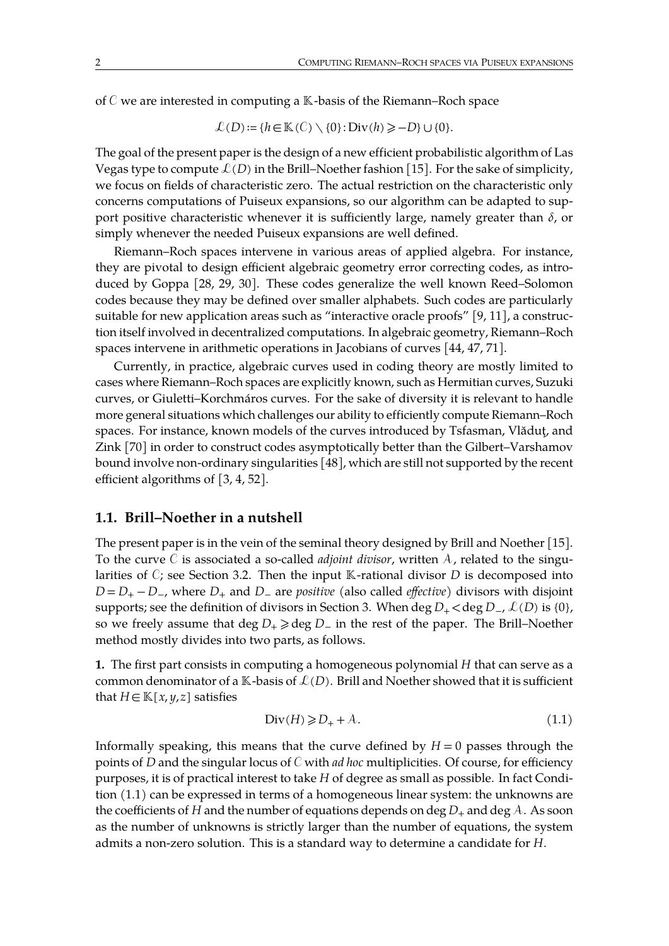of  $C$  we are interested in computing a  $K$ -basis of the Riemann–Roch space

$$
\mathcal{L}(D) := \{ h \in \mathbb{K}(\mathcal{C}) \setminus \{0\} : \text{Div}(h) \geq -D \} \cup \{0\}.
$$

The goal of the present paper is the design of a new efficient probabilistic algorithm of Las Vegas type to compute  $\mathcal{L}(D)$  in the Brill–Noether fashion [\[15\]](#page-45-0). For the sake of simplicity, we focus on fields of characteristic zero. The actual restriction on the characteristic only concerns computations of Puiseux expansions, so our algorithm can be adapted to sup port positive characteristic whenever it is sufficiently large, namely greater than  $\delta$ , or simply whenever the needed Puiseux expansions are well defined.

Riemann–Roch spaces intervene in various areas of applied algebra. For instance, they are pivotal to design efficient algebraic geometry error correcting codes, as intro duced by Goppa [\[28,](#page-45-1) [29,](#page-45-2) [30\]](#page-45-3). These codes generalize the well known Reed–Solomon codes because they may be defined over smaller alphabets. Such codes are particularly suitable for new application areas such as "interactive oracle proofs"  $[9, 11]$  $[9, 11]$  $[9, 11]$ , a construction itself involved in decentralized computations. In algebraic geometry, Riemann–Roch spaces intervene in arithmetic operations in Jacobians of curves [\[44,](#page-46-0) [47,](#page-46-1) [71\]](#page-47-0).

Currently, in practice, algebraic curves used in coding theory are mostly limited to cases where Riemann–Roch spaces are explicitly known, such as Hermitian curves, Suzuki curves, or Giuletti–Korchmáros curves. For the sake of diversity it is relevant to handle more general situations which challenges our ability to efficiently compute Riemann–Roch spaces. For instance, known models of the curves introduced by Tsfasman, Vlăduţ, and Zink [\[70\]](#page-47-1) in order to construct codes asymptotically better than the Gilbert–Varshamov bound involve non-ordinary singularities [\[48\]](#page-46-2), which are still not supported by the recent efficient algorithms of [\[3,](#page-44-0) [4,](#page-45-6) [52\]](#page-46-3).

### **1.1. Brill–Noether in a nutshell**

The present paper is in the vein of the seminal theory designed by Brill and Noether [\[15\]](#page-45-0). To the curve C is associated a so-called *adjoint divisor*, written  $A$ , related to the singularities of  $C_i$ ; see Section [3.2.](#page-13-0) Then the input  $K$ -rational divisor  $D$  is decomposed into *D* = *D*<sub>+</sub> − *D*<sub>−</sub>, where *D*<sub>+</sub> and *D*<sub>−</sub> are *positive* (also called *effective*) divisors with disjoint supports; see the definition of divisors in Section [3.](#page-12-0) When deg *D*<sub>+</sub> < deg *D*<sub>−</sub>, *L*(*D*) is {0}, so we freely assume that deg  $D_+$   $\geq$  deg  $D_-$  in the rest of the paper. The Brill–Noether method mostly divides into two parts, as follows.

**1.** The first part consists in computing a homogeneous polynomial *H* that can serve as a common denominator of a  $K$ -basis of  $\mathcal{L}(D)$ . Brill and Noether showed that it is sufficient that  $H \in K[x, y, z]$  satisfies

<span id="page-1-1"></span><span id="page-1-0"></span>
$$
\text{Div}(H) \geqslant D_+ + \mathcal{A}.\tag{1.1}
$$

Informally speaking, this means that the curve defined by  $H = 0$  passes through the points of *D* and the singular locus of *C* with *ad hoc* multiplicities. Of course, for efficiency purposes, it is of practical interest to take *H* of degree as small as possible. In fact Condition [\(1.1\)](#page-1-0) can be expressed in terms of a homogeneous linear system: the unknowns are the coefficients of *H* and the number of equations depends on deg  $D_+$  and deg  $A$ . As soon as the number of unknowns is strictly larger than the number of equations, the system admits a non-zero solution. This is a standard way to determine a candidate for *H*.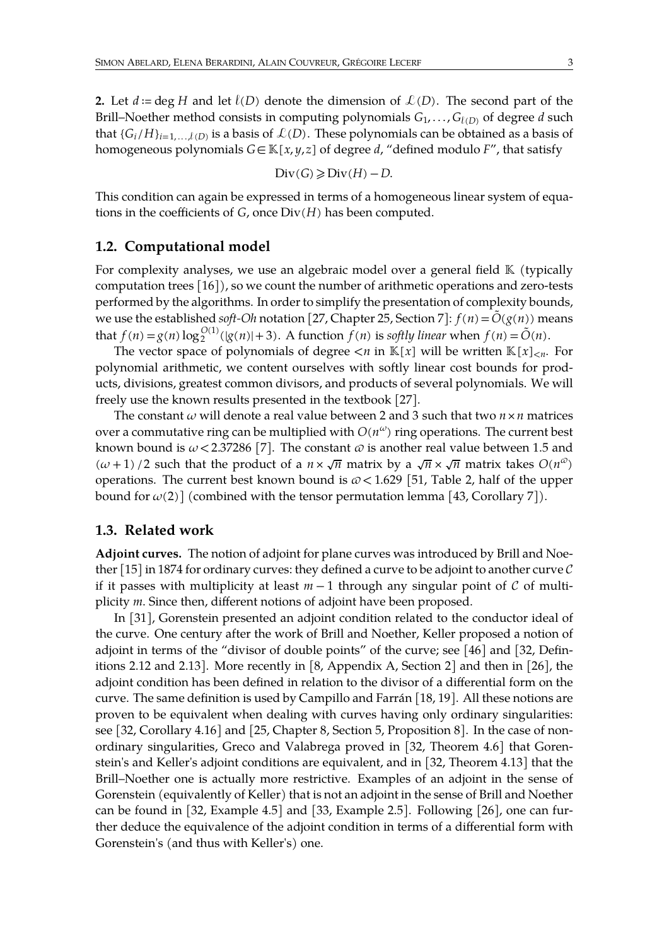**2.** Let  $d := \deg H$  and let  $\ell(D)$  denote the dimension of  $\mathcal{L}(D)$ . The second part of the Brill–Noether method consists in computing polynomials  $G_1, \ldots, G_{\ell(D)}$  of degree *d* such that  $\{G_i/H\}_{i=1,\ldots,l(D)}$  is a basis of  $\mathcal{L}(D).$  These polynomials can be obtained as a basis of homogeneous polynomials  $G \in K[x, y, z]$  of degree *d*, "defined modulo *F*", that satisfy

$$
Div(G) \geqslant Div(H) - D.
$$

This condition can again be expressed in terms of a homogeneous linear system of equations in the coefficients of *G*, once Div(*H*) has been computed.

# **1.2. Computational model**

For complexity analyses, we use an algebraic model over a general field  $K$  (typically computation trees [\[16\]](#page-45-7)), so we count the number of arithmetic operations and zero-tests performed by the algorithms. In order to simplify the presentation of complexity bounds, we use the established *soft-Oh* notation [\[27,](#page-45-8) Chapter 25, Section 7]:  $f(n) = \tilde{O}(g(n))$  means that  $f(n) = g(n) \log_2^{O(1)}(|g(n)|+3)$ . A function  $f(n)$  is *softly linear* when  $f(n) = \tilde{O}(n)$ .

The vector space of polynomials of degree  $\langle n \text{ in } \mathbb{K}[x]$  will be written  $\mathbb{K}[x]_{\leq n}$ . For polynomial arithmetic, we content ourselves with softly linear cost bounds for prod ucts, divisions, greatest common divisors, and products of several polynomials. We will freely use the known results presented in the textbook [\[27\]](#page-45-8).

The constant  $\omega$  will denote a real value between 2 and 3 such that two  $n \times n$  matrices over a commutative ring can be multiplied with  $O(n^{\omega})$  ring operations. The current best known bound is  $\omega$  < 2.37286 [\[7\]](#page-45-9). The constant  $\omega$  is another real value between 1.5 and  $(\omega + 1)/2$  such that the product of a  $n \times \sqrt{n}$  matrix by a  $\sqrt{n} \times \sqrt{n}$  matrix takes  $O(n^{\omega})$ operations. The current best known bound is  $\omega$  < 1.629 [\[51,](#page-46-4) Table 2, half of the upper bound for  $\omega(2)$  (combined with the tensor permutation lemma [\[43,](#page-46-5) Corollary 7]).

# **1.3. Related work**

**Adjoint curves.** The notion of adjoint for plane curves was introduced by Brill and Noether [\[15\]](#page-45-0) in 1874 for ordinary curves: they defined a curve to be adjoint to another curve *C* if it passes with multiplicity at least  $m-1$  through any singular point of *C* of multiplicity *m*. Since then, different notions of adjoint have been proposed.

In [\[31\]](#page-46-6), Gorenstein presented an adjoint condition related to the conductor ideal of the curve. One century after the work of Brill and Noether, Keller proposed a notion of adjoint in terms of the "divisor of double points" of the curve; see  $[46]$  and  $[32,$  Defin-itions 2.12 and 2.13]. More recently in [\[8,](#page-45-10) Appendix A, Section 2] and then in [\[26\]](#page-45-11), the adjoint condition has been defined in relation to the divisor of a differential form on the curve. The same definition is used by Campillo and Farrán [\[18,](#page-45-12) [19\]](#page-45-13). All these notions are proven to be equivalent when dealing with curves having only ordinary singularities: see [\[32,](#page-46-8) Corollary 4.16] and [\[25,](#page-45-14) Chapter 8, Section 5, Proposition 8]. In the case of nonordinary singularities, Greco and Valabrega proved in [\[32,](#page-46-8) Theorem 4.6] thatGoren stein's and Keller's adjoint conditions are equivalent, and in [\[32,](#page-46-8) Theorem 4.13] that the Brill–Noether one is actually more restrictive. Examples of an adjoint in the sense of Gorenstein (equivalently of Keller) that is not an adjoint in the sense of Brill and Noether can be found in [\[32,](#page-46-8) Example 4.5] and [\[33,](#page-46-9) Example 2.5]. Following [\[26\]](#page-45-11), one can further deduce the equivalence of the adjoint condition in terms of a differential form with Gorenstein's (and thus with Keller's) one.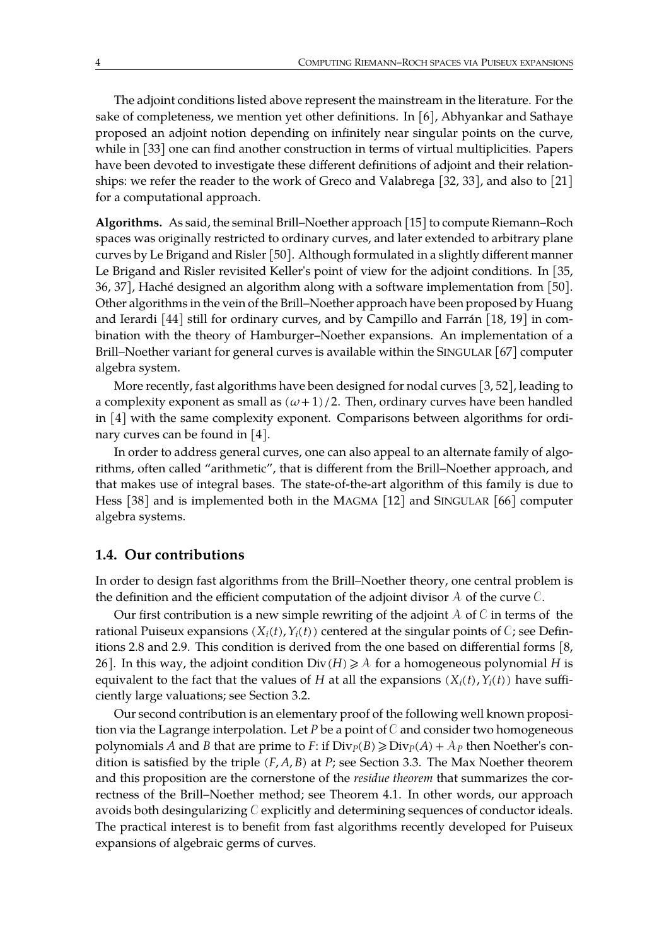The adjoint conditions listed above represent the mainstream in the literature. For the sake of completeness, we mention yet other definitions. In [\[6\]](#page-45-15), Abhyankar and Sathaye proposed an adjoint notion depending on infinitely near singular points on the curve, while in [\[33\]](#page-46-9) one can find another construction in terms of virtual multiplicities. Papers have been devoted to investigate these different definitions of adjoint and their relation ships: we refer the reader to the work of Greco and Valabrega [\[32,](#page-46-8) [33\]](#page-46-9), and also to [\[21\]](#page-45-16) for a computational approach.

**Algorithms.** As said, the seminal Brill–Noether approach [\[15\]](#page-45-0) to compute Riemann–Roch spaces was originally restricted to ordinary curves, and later extended to arbitrary plane curves by Le Brigand and Risler [\[50\]](#page-46-10). Although formulated in a slightly different manner Le Brigand and Risler revisited Keller's point of view for the adjoint conditions. In [\[35,](#page-46-11) [36,](#page-46-12) [37\]](#page-46-13), Haché designed an algorithm along with a software implementation from [\[50\]](#page-46-10). Other algorithms in the vein of the Brill–Noether approach have been proposed by Huang and Ierardi [\[44\]](#page-46-0) still for ordinary curves, and by Campillo and Farrán [\[18,](#page-45-12) [19\]](#page-45-13) in com bination with the theory of Hamburger–Noether expansions. An implementation of a Brill–Noether variant for general curves is available within the SINGULAR [\[67\]](#page-47-2) computer algebra system.

More recently, fast algorithms have been designed for nodal curves [\[3,](#page-44-0) [52\]](#page-46-3), leading to a complexity exponent as small as  $(\omega+1)/2$ . Then, ordinary curves have been handled in [\[4\]](#page-45-6) with the same complexity exponent. Comparisons between algorithms for ordi nary curves can be found in [\[4\]](#page-45-6).

In order to address general curves, one can also appeal to an alternate family of algo rithms, often called "arithmetic", that is different from the Brill–Noether approach, and that makes use of integral bases. The state-of-the-art algorithm of this family is due to Hess [\[38\]](#page-46-14) and is implemented both in the MAGMA [\[12\]](#page-45-17) and SINGULAR [\[66\]](#page-47-3) computer algebra systems.

## **1.4. Our contributions**

In order to design fastalgorithms from the Brill–Noether theory, one central problem is the definition and the efficient computation of the adjoint divisor  $A$  of the curve  $C$ .

Our first contribution is a new simple rewriting of the adjoint  $A$  of  $C$  in terms of the rational Puiseux expansions  $(X_i(t), Y_i(t))$  centered at the singular points of C; see Definitions [2.8](#page-8-0) and [2.9.](#page-8-1) This condition is derived from the one based on differential forms [\[8,](#page-45-10) [26\]](#page-45-11). In this way, the adjoint condition  $Div(H) \geq A$  for a homogeneous polynomial *H* is equivalent to the fact that the values of *H* at all the expansions  $(X_i(t), Y_i(t))$  have sufficiently large valuations; see Section [3.2.](#page-13-0)

Our second contribution is an elementary proof of the following well known proposition via the Lagrange interpolation. Let  $P$  be a point of  $C$  and consider two homogeneous polynomials *A* and *B* that are prime to *F*: if  $Div_{P}(B) \geq Div_{P}(A) + A_{P}$  then Noether's condition is satisfied by the triple (*F*,*A*, *B*) at *P*; see Section [3.3.](#page-14-0) The Max Noether theorem and this proposition are the cornerstone of the *residue theorem* that summarizes the cor rectness of the Brill–Noether method; see Theorem [4.1.](#page-19-0) In other words, our approach avoids both desingularizing  $C$  explicitly and determining sequences of conductor ideals. The practical interest is to benefit from fast algorithms recently developed for Puiseux expansions of algebraic germs of curves.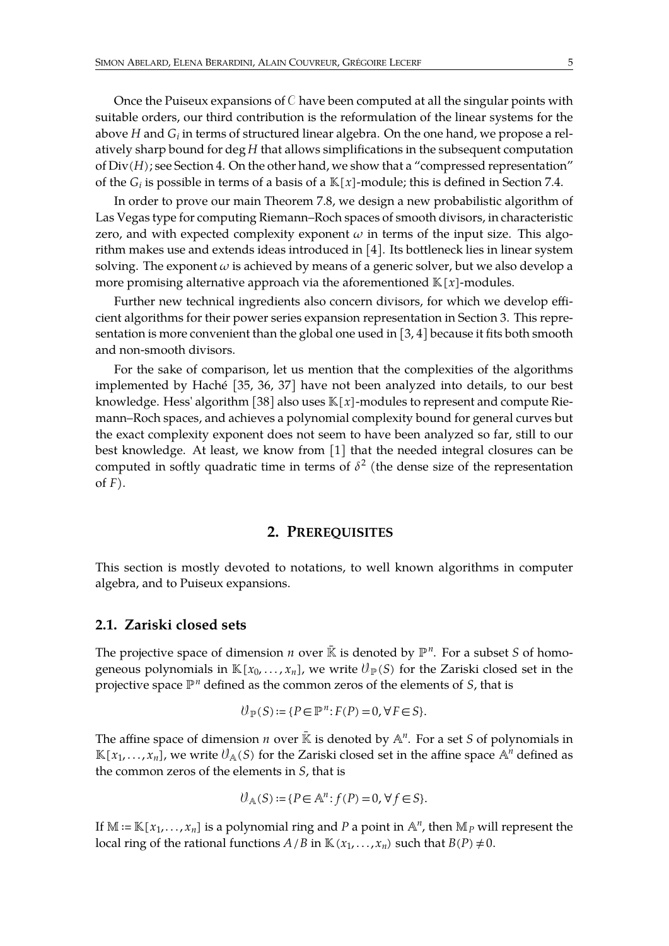Once the Puiseux expansions of  $C$  have been computed at all the singular points with suitable orders, our third contribution is the reformulation of the linear systems for the above *H* and *G<sup>i</sup>* in terms of structured linear algebra. On the one hand, we propose a rel atively sharp bound for deg *H* that allows simplifications in the subsequent computation of Div(*H*); see Section [4.](#page-18-0) On the other hand, we show that a "compressed representation" of the  $G_i$  is possible in terms of a basis of a  $\mathbb{K}[x]$ -module; this is defined in Section [7.4.](#page-38-0)

In order to prove our main Theorem [7.8,](#page-42-0) we design a new probabilistic algorithm of Las Vegas type for computing Riemann–Roch spaces of smooth divisors, in characteristic zero, and with expected complexity exponent  $\omega$  in terms of the input size. This algorithm makes use and extends ideas introduced in [\[4\]](#page-45-6). Its bottleneck lies in linear system solving. The exponent  $\omega$  is achieved by means of a generic solver, but we also develop a more promising alternative approach via the aforementioned  $\mathbb{K}[x]$ -modules.

Further new technical ingredients also concern divisors, for which we develop effi cient algorithms for their power series expansion representation in Section [3.](#page-12-0) This repre sentation is more convenient than the global one used in [\[3,](#page-44-0) [4\]](#page-45-6) because it fits both smooth and non-smooth divisors.

For the sake of comparison, let us mention that the complexities of the algorithms implemented by Haché [\[35,](#page-46-11) [36,](#page-46-12) [37\]](#page-46-13) have not been analyzed into details, to our best knowledge. Hess' algorithm [\[38\]](#page-46-14) also uses  $\mathbb{K}[x]$ -modules to represent and compute Riemann–Roch spaces, and achieves a polynomial complexity bound for general curves but the exact complexity exponent does not seem to have been analyzed so far, still to our best knowledge. At least, we know from [\[1\]](#page-44-1) that the needed integral closures can be computed in softly quadratic time in terms of  $\delta^2$  (the dense size of the representation of *F*).

#### **2. PREREQUISITES**

This section is mostly devoted to notations, to well known algorithms in computer algebra, and to Puiseux expansions.

### **2.1. Zariski closed sets**

The projective space of dimension  $n$  over  $\bar{\mathbb{K}}$  is denoted by  $\mathbb{P}^n$ . For a subset  $S$  of homogeneous polynomials in  $\mathbb{K}[x_0, \ldots, x_n]$ , we write  $\mathcal{V}_{\mathbb{P}}(S)$  for the Zariski closed set in the projective space ℙ*<sup>n</sup>* defined as the common zeros of the elements of *S*, that is

$$
\mathcal{V}_{\mathbb{P}}(S) := \{ P \in \mathbb{P}^n : F(P) = 0, \forall F \in S \}.
$$

The affine space of dimension  $n$  over  $\bar{\mathbb{K}}$  is denoted by  $\mathbb{A}^n$ . For a set  $S$  of polynomials in  $\mathbb{K}[x_1,\ldots,x_n]$ , we write  $\mathcal{V}_{\mathbb{A}}(S)$  for the Zariski closed set in the affine space  $\mathbb{A}^n$  defined as the common zeros of the elements in *S*, that is

$$
\mathcal{V}_{\mathbb{A}}(S) := \{ P \in \mathbb{A}^n : f(P) = 0, \forall f \in S \}.
$$

If  $\mathbb{M} \coloneqq \mathbb{K}[x_1, \ldots, x_n]$  is a polynomial ring and  $P$  a point in  $\mathbb{A}^n$ , then  $\mathbb{M}_P$  will represent the local ring of the rational functions  $A/B$  in  $\mathbb{K}(x_1, \ldots, x_n)$  such that  $B(P) \neq 0$ .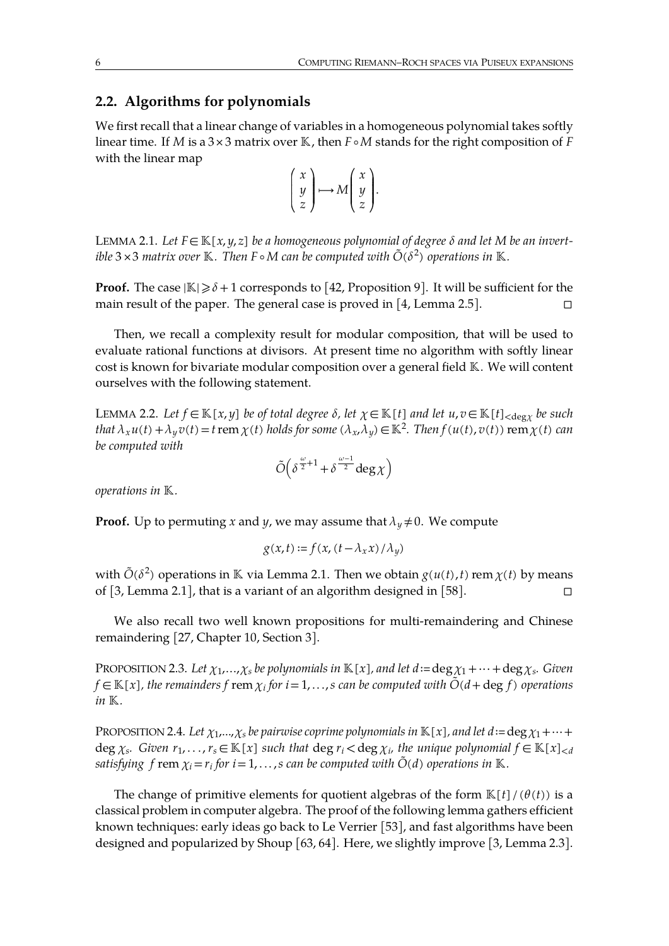# **2.2. Algorithms for polynomials**

We first recall that a linear change of variables in a homogeneous polynomial takes softly linear time. If *M* is a 3×3 matrix over K, then *F*∘*M* stands for the right composition of *F* with the linear map

$$
\begin{pmatrix} x \\ y \\ z \end{pmatrix} \longrightarrow M \begin{pmatrix} x \\ y \\ z \end{pmatrix}.
$$

<span id="page-5-0"></span>**LEMMA 2.1.** Let  $F \in \mathbb{K}$ [*x*,*y*,*z*] *be a homogeneous polynomial of degree δ and let M be an invertible* 3×3 *matrix over*  $\mathbb K$ *. Then F*∘*M can be computed with*  $\tilde O(\delta^2)$  *operations in*  $\mathbb K$ *.* 

**Proof.** The case  $|\mathbb{K}| \geq \delta + 1$  corresponds to [\[42,](#page-46-15) Proposition 9]. It will be sufficient for the main result of the paper. The general case is proved in  $[4,$  Lemma 2.5].  $\square$ 

Then, we recall a complexity result for modular composition, that will be used to evaluate rational functions at divisors. At present time no algorithm with softly linear cost is known for bivariate modular composition over a general field  $K$ . We will content ourselves with the following statement.

<span id="page-5-3"></span>LEMMA 2.2. *Let*  $f \in \mathbb{K}[x, y]$  *be of total degree δ*, *let*  $\chi \in \mathbb{K}[t]$  *and let*  $u, v \in \mathbb{K}[t]_{< deg x}$  *be such* that  $\lambda_x u(t) + \lambda_y v(t) = t$  rem  $\chi(t)$  holds for some  $(\lambda_x, \lambda_y) \in \mathbb{K}^2$ . Then  $f(u(t), v(t))$  rem  $\chi(t)$  can *be computed with*

$$
\tilde{O}\left(\delta^{\frac{\omega}{2}+1} + \delta^{\frac{\omega-1}{2}} \deg \chi\right)
$$

*operations in .*

**Proof.** Up to permuting *x* and *y*, we may assume that  $\lambda_y \neq 0$ . We compute

$$
g(x,t) := f(x, (t - \lambda_x x) / \lambda_y)
$$

with  $\tilde{O}(\delta^2)$  operations in  $\mathbb K$  via Lemma [2.1.](#page-5-0) Then we obtain  $g(u(t),t)$  rem  $\chi(t)$  by means of  $[3,$  Lemma 2.1], that is a variant of an algorithm designed in  $[58]$ .

We also recall two well known propositions for multi-remaindering and Chinese remaindering [\[27,](#page-45-8) Chapter 10, Section 3].

<span id="page-5-1"></span>PROPOSITION 2.3. Let  $\chi_1,...,\chi_s$  be polynomials in  $\mathbb{K}[x]$ , and let d:=deg  $\chi_1+ \cdots + \deg \chi_s$ . Given *f* ∈  $K[x]$ , the remainders *f* rem  $\chi_i$  *for i* = 1,...,*s can be computed with*  $\tilde{O}(d + \deg f)$  *operations*  $in \mathbb{K}$ .

<span id="page-5-2"></span>PROPOSITION 2.4. Let  $\chi_1,...,\chi_s$  be pairwise coprime polynomials in  $\mathbb{K}[x]$ , and let  $d := \deg \chi_1 + \cdots + \chi_s$  $\deg \chi_s$ . Given  $r_1,\ldots,r_s\!\in\mathbb{K}\left[x\right]$  such that  $\deg r_i\!<\!\deg \chi_i$ , the unique polynomial  $f\!\in\mathbb{K}\left[x\right]_{\le d}$ *satisfying f* rem  $\chi$ <sup>*i*</sup> =  $r$ <sup>*i*</sup> for *i* = 1, . . . , *s can be computed with*  $\tilde{O}(d)$  *operations in*  $K$ *.* 

The change of primitive elements for quotient algebras of the form  $\mathbb{K}[t]/(\theta(t))$  is a classical problem in computer algebra. The proof of the following lemma gathers efficient known techniques: early ideas go back to Le Verrier [\[53\]](#page-46-16), and fast algorithms have been designed and popularized by Shoup [\[63,](#page-47-5) [64\]](#page-47-6). Here, we slightly improve [\[3,](#page-44-0) Lemma 2.3].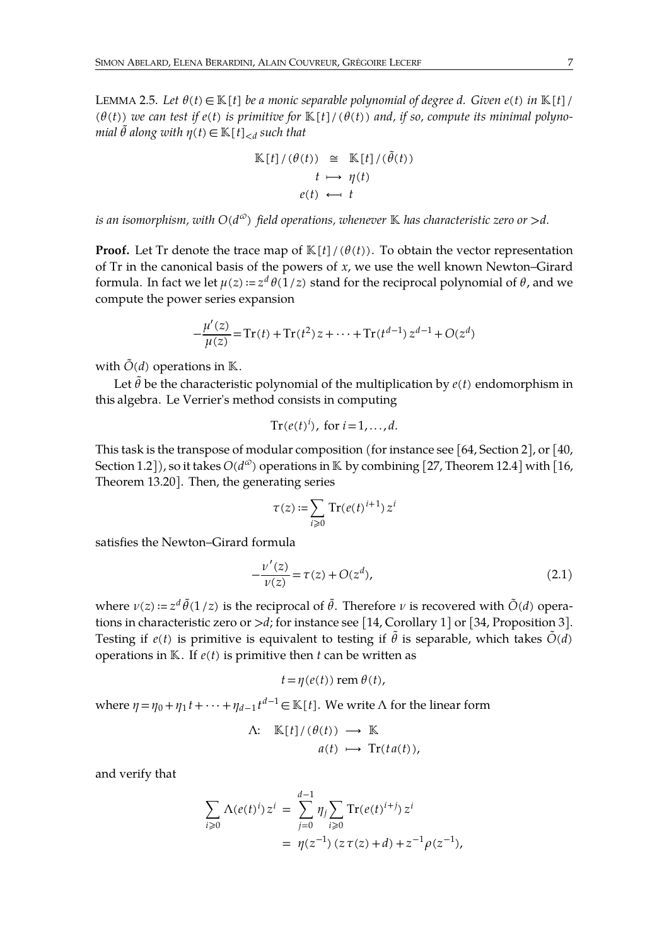<span id="page-6-0"></span> $LEMMA 2.5$ . *Let*  $\theta(t) \in \mathbb{K}[t]$  *be a monic separable polynomial of degree d. Given e(t) in*  $\mathbb{K}[t]/t$  $(\theta(t))$  we can test if  $e(t)$  is primitive for  $\mathbb{K}[t]/(\theta(t))$  and, if so, compute its minimal polyno $m$ ial  $\tilde{\theta}$  along  $w$ ith  $\eta(t)$   $\in$   $\mathbb{K}$  [ $t$ ] $_{< d}$   $such$   $that$ 

$$
\mathbb{K}[t]/(\theta(t)) \cong \mathbb{K}[t]/(\tilde{\theta}(t))
$$
  

$$
t \mapsto \eta(t)
$$
  

$$
e(t) \leftarrow t
$$

*is* an *isomorphism, with*  $O(d^{\omega})$  *field operations, whenever*  $\mathbb K$  *has characteristic zero or*  $>$ *d.* 

**Proof.** Let Tr denote the trace map of  $\mathbb{K}[t]/(\theta(t))$ . To obtain the vector representation of Tr in the canonical basis of the powers of *x*, we use the well known Newton–Girard formula. In fact we let  $\mu(z)$  := $z^d$   $\theta(1/z)$  stand for the reciprocal polynomial of  $\theta$ , and we compute the power series expansion

$$
-\frac{\mu'(z)}{\mu(z)} = \text{Tr}(t) + \text{Tr}(t^2)z + \dots + \text{Tr}(t^{d-1})z^{d-1} + O(z^d)
$$

with  $\tilde{O}(d)$  operations in K.

Let  $\tilde{\theta}$  be the characteristic polynomial of the multiplication by  $e(t)$  endomorphism in this algebra. Le Verrier's method consists in computing

$$
Tr(e(t)^i), \text{ for } i=1,\ldots,d.
$$

This task is the transpose of modular composition (for instance see [\[64,](#page-47-6) Section 2], or [\[40,](#page-46-17) Section 1.2]), so it takes  $O(d^{\omega})$  operations in K by combining [\[27,](#page-45-8) Theorem 12.4] with [\[16,](#page-45-7) Theorem 13.20]. Then, the generating series

$$
\tau(z) := \sum_{i \geq 0} \operatorname{Tr}(e(t)^{i+1}) z^i
$$

satisfies the Newton–Girard formula

$$
-\frac{\nu'(z)}{\nu(z)} = \tau(z) + O(z^d),\tag{2.1}
$$

where  $\nu(z)$  :=  $z^d$   $\tilde{\theta}$ (1/*z*) is the reciprocal of  $\tilde{\theta}$ . Therefore  $\nu$  is recovered with  $\tilde{O}(d)$  operations in characteristic zero or >*d*; for instance see [\[14,](#page-45-18) Corollary 1] or [\[34,](#page-46-18) Proposition 3]. Testing if  $e(t)$  is primitive is equivalent to testing if  $\tilde{\theta}$  is separable, which takes  $\tilde{O}(d)$ operations in  $K$ . If  $e(t)$  is primitive then *t* can be written as

$$
t = \eta(e(t)) \text{ rem } \theta(t),
$$

where  $\eta = \eta_0 + \eta_1 t + \cdots + \eta_{d-1} t^{d-1} \in \mathbb{K}[t]$ . We write  $\Lambda$  for the linear form

$$
\Lambda: \mathbb{K}[t]/(\theta(t)) \longrightarrow \mathbb{K}
$$

$$
a(t) \longmapsto \text{Tr}(ta(t)),
$$

and verify that

$$
\sum_{i\geq 0} \Lambda(e(t)^i) z^i = \sum_{j=0}^{d-1} \eta_j \sum_{i\geq 0} \text{Tr}(e(t)^{i+j}) z^i
$$
  
=  $\eta(z^{-1}) (z \tau(z) + d) + z^{-1} \rho(z^{-1}),$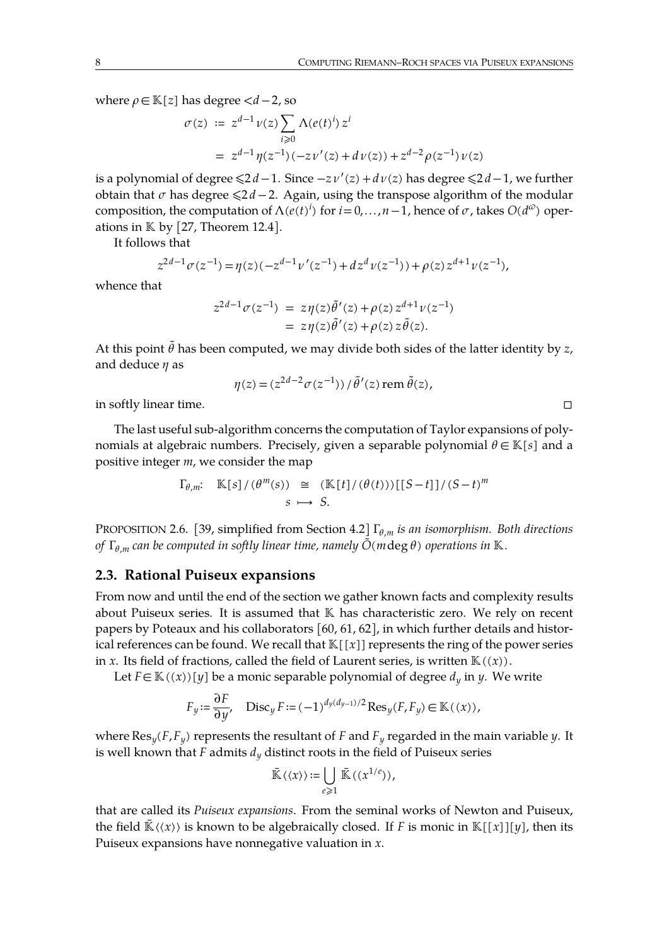where  $\rho \in \mathbb{K}[z]$  has degree  $\lt d-2$ , so

$$
\sigma(z) := z^{d-1} \nu(z) \sum_{i \ge 0} \Lambda(e(t)^i) z^i
$$
  
=  $z^{d-1} \eta(z^{-1}) (-z \nu'(z) + d \nu(z)) + z^{d-2} \rho(z^{-1}) \nu(z)$ 

is a polynomial of degree  $≤2d-1$ . Since  $-zv'(z) + dv(z)$  has degree  $≤2d-1$ , we further obtain that  $\sigma$  has degree ≤2 *d*−2. Again, using the transpose algorithm of the modular composition, the computation of  $Λ(e(t)^i)$  for  $i=0,...,n-1$ , hence of  $σ$ , takes  $O(d^ω)$  operations in  $K$  by [\[27,](#page-45-8) Theorem 12.4].

It follows that

$$
z^{2d-1}\sigma(z^{-1}) = \eta(z)(-z^{d-1}\nu'(z^{-1}) + dz^d\nu(z^{-1})) + \rho(z)z^{d+1}\nu(z^{-1}),
$$

whence that

$$
z^{2d-1}\sigma(z^{-1}) = z\eta(z)\tilde{\theta}'(z) + \rho(z) z^{d+1}\nu(z^{-1})
$$
  
=  $z\eta(z)\tilde{\theta}'(z) + \rho(z) z\tilde{\theta}(z)$ .

At this point  $\tilde{\theta}$  has been computed, we may divide both sides of the latter identity by  $z$ , and deduce  $\eta$  as

$$
\eta(z) = (z^{2d-2}\sigma(z^{-1})) / \tilde{\theta}'(z) \text{ rem } \tilde{\theta}(z),
$$

in softly linear time.  $\Box$ 

The last useful sub-algorithm concerns the computation of Taylor expansions of poly nomials at algebraic numbers. Precisely, given a separable polynomial  $\theta \in \mathbb{K}[s]$  and a positive integer *m*, we consider the map

<span id="page-7-1"></span>
$$
\Gamma_{\theta,m}: \mathbb{K}[s]/(\theta^m(s)) \cong (\mathbb{K}[t]/(\theta(t)))[[S-t]]/(S-t)^m
$$
  

$$
s \mapsto S.
$$

PROPOSITION 2.6. [\[39,](#page-46-19) simplified from Section 4.2] Γ,*<sup>m</sup> is an isomorphism. Both directions of*  $\Gamma_{\theta,m}$  *can be computed in softly linear time, namely*  $\tilde{O}(m \deg \theta)$  *operations in*  $K$ .

#### **2.3. Rational Puiseux expansions**

From now and until the end of the section we gather known facts and complexity results about Puiseux series. It is assumed that  $K$  has characteristic zero. We rely on recent papers by Poteaux and his collaborators [\[60,](#page-47-7) [61,](#page-47-8) [62\]](#page-47-9), in which further details and historical references can be found. We recall that  $\mathbb{K}[[x]]$  represents the ring of the power series in *x*. Its field of fractions, called the field of Laurent series, is written  $\mathbb{K}((x))$ .

Let *F*∈K((*x*))[*y*] be a monic separable polynomial of degree  $d<sub>y</sub>$  in *y*. We write

$$
F_y := \frac{\partial F}{\partial y'}, \quad \text{Disc}_y F := (-1)^{d_y(d_{y-1})/2} \text{Res}_y(F, F_y) \in \mathbb{K}((x)),
$$

where Res*y*(*F*,*Fy*) represents the resultant of *F* and *F<sup>y</sup>* regarded in the main variable *y*. It is well known that *F* admits  $d_y$  distinct roots in the field of Puiseux series

$$
\bar{\mathbb{K}}\langle\langle x\rangle\rangle:=\bigcup_{e\geq 1}\bar{\mathbb{K}}((x^{1/e})),
$$

that are called its*Puiseux expansions*. From the seminal works of Newton and Puiseux, the field  $\mathbb{K}\langle\langle x\rangle\rangle$  is known to be algebraically closed. If *F* is monic in  $\mathbb{K}[[x]][y]$ , then its Puiseux expansions have nonnegative valuation in *x*.

<span id="page-7-0"></span>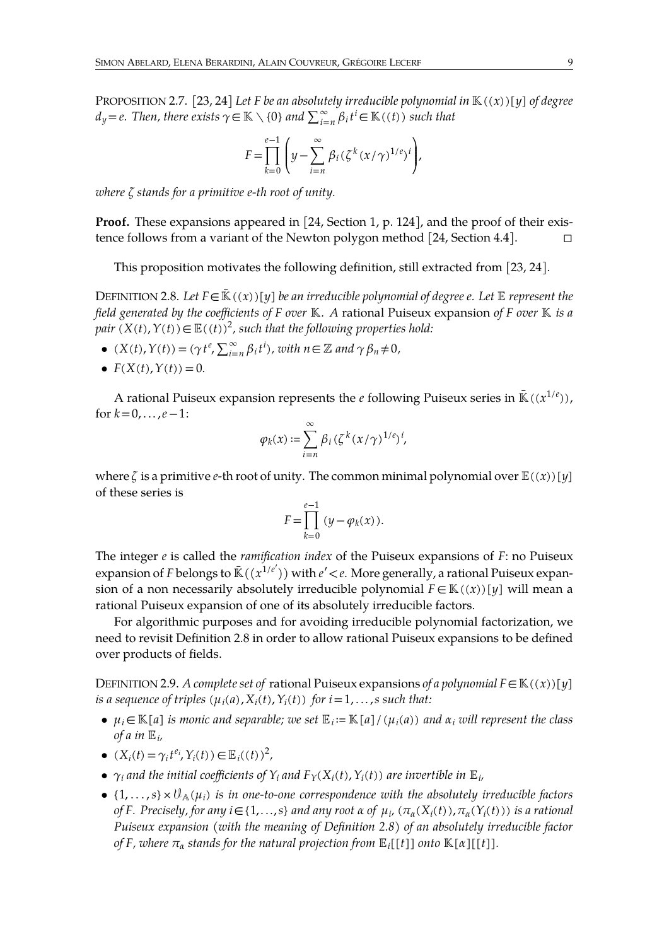PROPOSITION 2.7. [\[23,](#page-45-19) [24\]](#page-45-20) *Let F be an absolutely irreducible polynomial in*  $\mathbb{K}((x))[y]$  *of degree*  $d_y = e$ . *Then, there exists*  $\gamma \in \mathbb{K} \setminus \{0\}$  *and*  $\sum_{i=n}^{\infty} \beta_i t^i \in \mathbb{K}((t))$  *such that* 

$$
F = \prod_{k=0}^{e-1} \left( y - \sum_{i=n}^{\infty} \beta_i \left( \zeta^k (x/\gamma)^{1/e} \right)^i \right),
$$

*where stands for a primitive e-th root of unity.*

Proof. These expansions appeared in [\[24,](#page-45-20) Section 1, p. 124], and the proof of their existence follows from a variant of the Newton polygon method  $[24, Section 4.4]$  $[24, Section 4.4]$ .  $\square$ 

<span id="page-8-0"></span>This proposition motivates the following definition, still extracted from [\[23,](#page-45-19) [24\]](#page-45-20).

DEFINITION 2.8. Let  $F \in \mathbb{K}((x))[y]$  *be an irreducible polynomial of degree e. Let*  $\mathbb{E}$  *represent the field generated by the coefficients of F over . A* rational Puiseux expansion *of F over is a*  $p$ air  $(X(t), Y(t)) \in \mathbb{E}((t))^2$ , such that the following properties hold:

 $\bullet$  (*X*(*t*),*Y*(*t*)) = ( $\gamma$ *t*<sup>*e*</sup>,  $\sum_{i=n}^{\infty} \beta_i t^i$ ), with  $n \in \mathbb{Z}$  and  $\gamma \beta_n \neq 0$ ,

$$
\bullet \ \ F(X(t),Y(t))=0.
$$

A rational Puiseux expansion represents the  $e$  following Puiseux series in  $\bar{\mathbb{K}}((x^{1/e})),$ for  $k = 0, \ldots, e-1$ :

$$
\varphi_k(x) := \sum_{i=n}^{\infty} \beta_i (\zeta^k (x/\gamma)^{1/e})^i,
$$

where  $\zeta$  is a primitive *e*-th root of unity. The common minimal polynomial over  $\mathbb{E}((x))[y]$ of these series is

$$
F = \prod_{k=0}^{e-1} (y - \varphi_k(x)).
$$

The integer *e* is called the *ramification index* of the Puiseux expansions of *F*: no Puiseux expansion of *F* belongs to  $\bar{\mathbb{K}}((x^{1/e'}))$  with  $e'$  <  $e$ . More generally, a rational Puiseux expansion of a non necessarily absolutely irreducible polynomial  $F \in \mathbb{K}((x))[y]$  will mean a rational Puiseux expansion of one of its absolutely irreducible factors.

For algorithmic purposes and for avoiding irreducible polynomial factorization, we need to revisit Definition [2.8](#page-8-0) in order to allow rational Puiseux expansions to be defined over products of fields.

<span id="page-8-1"></span>DEFINITION 2.9. *A complete set of rational Puiseux expansions <i>of a polynomial*  $F \in K((x))[y]$ *is a sequence of triples*  $(\mu_i(a), X_i(t), Y_i(t))$  *for*  $i = 1, \ldots, s$  *such that:* 

- $\mu_i \in \mathbb{K}[a]$  *is monic and separable; we set*  $\mathbb{E}_i := \mathbb{K}[a]/(\mu_i(a))$  *and*  $\alpha_i$  *will represent the class of a in*  $E_i$ *,*
- $(X_i(t) = \gamma_i t^{e_i}, Y_i(t)) \in \mathbb{E}_i((t))^2$ ,
- $\gamma_i$  and the initial coefficients of  $Y_i$  and  $F_Y(X_i(t), Y_i(t))$  are invertible in  $\mathbb{E}_{i}$ ,
- $\{1,\ldots,s\} \times \mathcal{V}_A(\mu_i)$  *is in one-to-one correspondence with the absolutely irreducible factors* of F. Precisely, for any  $i \in \{1,\ldots,s\}$  and any root  $\alpha$  of  $\mu_i$ ,  $(\pi_{\alpha}(X_i(t)), \pi_{\alpha}(Y_i(t)))$  is a rational *Puiseux expansion (with the meaning of Definition [2.8\)](#page-8-0) of an absolutely irreducible factor of F*, *where*  $\pi_{\alpha}$  *stands for the natural projection from*  $\mathbb{E}_{i}[[t]]$  *onto*  $\mathbb{K}[\alpha][[t]]$ *.*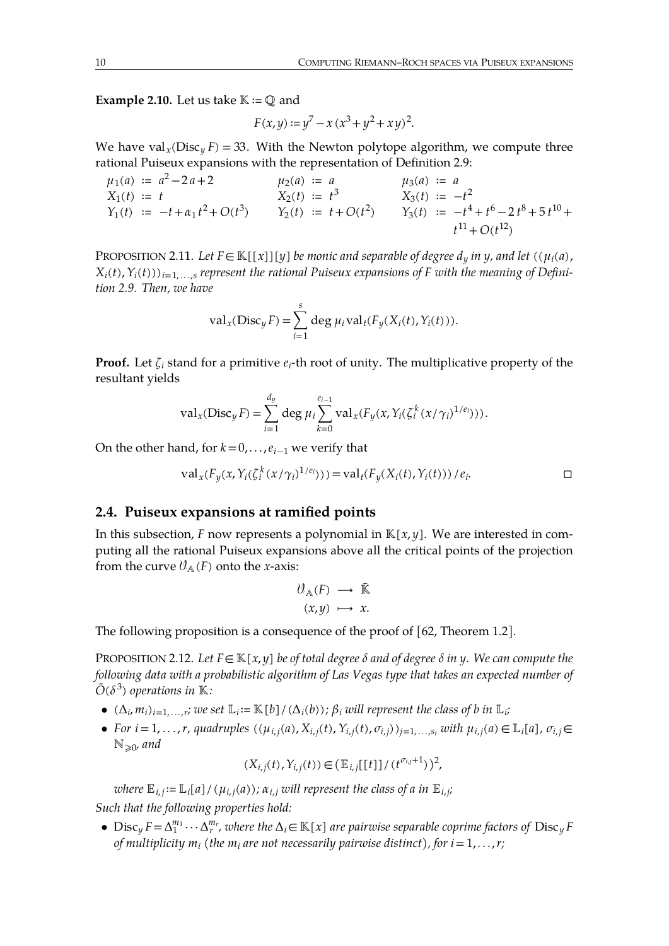**Example 2.10.** Let us take  $K := \mathbb{Q}$  and

<span id="page-9-1"></span>
$$
F(x, y) := y^7 - x(x^3 + y^2 + xy)^2.
$$

We have val<sub>*x*</sub>( $Disc_{\nu} F$ ) = 33. With the Newton polytope algorithm, we compute three rational Puiseux expansions with the representation of Definition [2.9:](#page-8-1)

$$
\mu_1(a) := a^2 - 2a + 2 \qquad \mu_2(a) := a \qquad \mu_3(a) := a
$$
  
\n
$$
X_1(t) := t \qquad X_2(t) := t^3 \qquad X_3(t) := -t^2
$$
  
\n
$$
Y_1(t) := -t + \alpha_1 t^2 + O(t^3) \qquad Y_2(t) := t + O(t^2) \qquad Y_3(t) := -t^4 + t^6 - 2t^8 + 5t^{10} + t^{11} + O(t^{12})
$$

PROPOSITION 2.11. Let  $F \in K[[x]][y]$  *be monic and separable of degree*  $d_y$  *in y, and let*  $((\mu_i(a),$  $X_i(t)$ ,  $Y_i(t)$ ))<sub> $i=1,...s$ </sub> represent the rational Puiseux expansions of F with the meaning of Defini*tion [2.9.](#page-8-1) Then, we have*

<span id="page-9-2"></span>
$$
\mathrm{val}_x(\mathrm{Disc}_y F) = \sum_{i=1}^s \deg \mu_i \mathrm{val}_t(F_y(X_i(t), Y_i(t))).
$$

**Proof.** Let  $\zeta_i$  stand for a primitive  $e_i$ -th root of unity. The multiplicative property of the resultant yields

$$
\mathrm{val}_x(\mathrm{Disc}_y F) = \sum_{i=1}^{d_y} \deg \mu_i \sum_{k=0}^{e_{i-1}} \mathrm{val}_x(F_y(x, Y_i(\zeta_i^k (x/\gamma_i)^{1/e_i}))).
$$

On the other hand, for  $k=0, \ldots, e_{i-1}$  we verify that

$$
\operatorname{val}_x(F_y(x, Y_i(\zeta_i^k(x/\gamma_i)^{1/e_i}))) = \operatorname{val}_t(F_y(X_i(t), Y_i(t))) / e_i.
$$

# **2.4. Puiseux expansions at ramified points**

In this subsection, *F* now represents a polynomial in  $\mathbb{K}[x, y]$ . We are interested in computing all the rational Puiseux expansions above all the critical points of the projection from the curve  $\mathcal{V}_A(F)$  onto the *x*-axis:

$$
\mathcal{V}_{\mathbb{A}}(F) \longrightarrow \overline{\mathbb{R}}
$$
  
 $(x,y) \longmapsto x.$ 

The following proposition is a consequence of the proof of [\[62,](#page-47-9) Theorem 1.2].

<span id="page-9-0"></span>PROPOSITION 2.12. Let  $F \in \mathbb{K}[x, y]$  be of total degree  $\delta$  and of degree  $\delta$  in  $y$ . We can compute the *following data with a probabilistic algorithm of Las Vegas type that takes an expected number of*  $\tilde{O}(\delta^3)$  operations in  $\mathbb{K}$ :

- $(\Delta_i, m_i)_{i=1,\ldots,r}$ ; we set  $\mathbb{L}_i := \mathbb{K}[b]/(\Delta_i(b))$ ;  $\beta_i$  will represent the class of b in  $\mathbb{L}_i$ ;
- For  $i=1,\ldots,r$ , quadruples  $((\mu_{i,j}(a),X_{i,j}(t),Y_{i,j}(t),\sigma_{i,j}))_{j=1,\ldots,s_i}$  with  $\mu_{i,j}(a) \in \mathbb{L}_i[a], \sigma_{i,j} \in$  $\mathbb{N}_{\geqslant 0}$ , and

$$
(X_{i,j}(t), Y_{i,j}(t)) \in (\mathbb{E}_{i,j}[[t]]/(t^{\sigma_{i,j}+1}))^2,
$$

*where*  $\mathbb{E}_{i,j} := \mathbb{L}_i[a]/(\mu_{i,j}(a))$ ;  $\alpha_{i,j}$  *will represent the class of a in*  $\mathbb{E}_{i,j}$ ; *Such that the following properties hold:*

• Disc<sub>*y*</sub>  $F = \Delta_1^{m_1} \cdots \Delta_r^{m_r}$ , where the  $\Delta_i \in \mathbb{K}[x]$  are pairwise separable coprime factors of Disc<sub>*y*</sub> F *of multiplicity*  $m_i$  (*the*  $m_i$  *are not necessarily pairwise distinct*), *for*  $i = 1, ..., r$ ;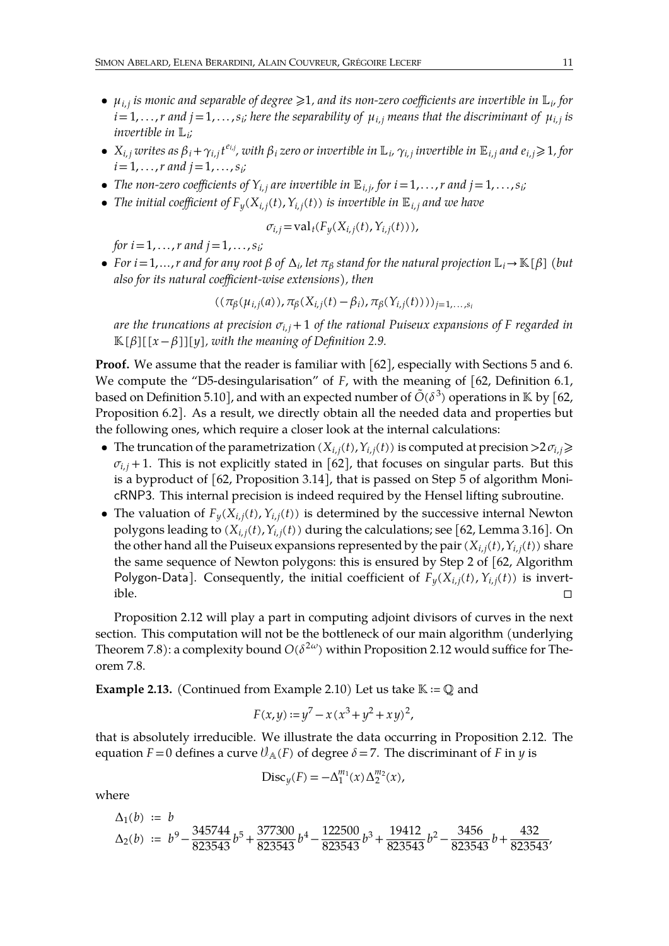- $\mu_{i,j}$  is monic and separable of degree  $\geq 1$ , and its non-zero coefficients are invertible in  $\mathbb{L}_i$ , for  $i=1,\ldots,r$  and  $j=1,\ldots,s_i$ ; here the separability of  $\mu_{i,j}$  means that the discriminant of  $\mu_{i,j}$  is *invertible in*  $\mathbb{L}_i$ *;*
- $X_{i,j}$  writes as  $\beta_i + \gamma_{i,j}t^{e_{i,j}}$ , with  $\beta_i$  zero or invertible in  $\mathbb{L}_i$ ,  $\gamma_{i,j}$  invertible in  $\mathbb{E}_{i,j}$  and  $e_{i,j} \geqslant 1$ , for  $i = 1, \ldots, r$  and  $j = 1, \ldots, s_i;$
- The non-zero coefficients of  $Y_{i,j}$  are invertible in  $\mathbb{E}_{i,j}$  for  $i=1,\ldots,r$  and  $j=1,\ldots,s_i$ ;
- The initial coefficient of  $F_u(X_{i,j}(t), Y_{i,j}(t))$  is invertible in  $\mathbb{E}_{i,j}$  and we have

$$
\sigma_{i,j} = \mathrm{val}_t(F_y(X_{i,j}(t), Y_{i,j}(t))),
$$

*for*  $i = 1, ..., r$  *and*  $j = 1, ..., s$ *i*;

• *For*  $i = 1,...,r$  *and for any root*  $\beta$  *of*  $\Delta_i$ , let  $\pi_\beta$  *stand for the natural projection*  $\mathbb{L}_i \to \mathbb{K}[\beta]$  (*but also for its natural coefficient-wise extensions), then*

$$
((\pi_{\beta}(\mu_{i,j}(a)), \pi_{\beta}(X_{i,j}(t) - \beta_i), \pi_{\beta}(Y_{i,j}(t))))_{j=1,...,s_i}
$$

*are the truncations at precision*  $\sigma_{i,j} + 1$  *of the rational Puiseux expansions of F regarded in*  $\mathbb{K}[\beta][[x-\beta]][y]$ *, with the meaning of Definition [2.9.](#page-8-1)* 

**Proof.** We assume that the reader is familiar with [\[62\]](#page-47-9), especially with Sections 5 and 6. We compute the "D5-desingularisation" of *F*, with the meaning of [\[62,](#page-47-9) Definition 6.1, based on Definition 5.10], and with an expected number of  $\tilde{O}(\delta^3)$  operations in  $\mathbb K$  by [\[62,](#page-47-9) Proposition 6.2]. As a result, we directly obtain all the needed data and properties but the following ones, which require a closer look at the internal calculations:

- The truncation of the parametrization  $(X_{i,j}(t), Y_{i,j}(t))$  is computed at precision  $>2\sigma_{i,j}$  $\sigma_{i,j}$  + 1. This is not explicitly stated in [\[62\]](#page-47-9), that focuses on singular parts. But this is a byproduct of  $[62,$  Proposition 3.14], that is passed on Step 5 of algorithm MonicRNP3. This internal precision is indeed required by the Hensel lifting subroutine.
- The valuation of  $F_y(X_{i,j}(t), Y_{i,j}(t))$  is determined by the successive internal Newton polygons leading to  $(X_{i,j}(t), Y_{i,j}(t))$  during the calculations; see [\[62,](#page-47-9) Lemma 3.16]. On the other hand all the Puiseux expansions represented by the pair  $(X_{i,j}(t), Y_{i,j}(t))$  share the same sequence of Newton polygons: this is ensured by Step 2 of [\[62,](#page-47-9) Algorithm Polygon-Data]. Consequently, the initial coefficient of  $F_v(X_{i,j}(t), Y_{i,j}(t))$  is invert- $\Box$

Proposition [2.12](#page-9-0) will play a part in computing adjoint divisors of curves in the next section. This computation will not be the bottleneck of our main algorithm (underlying Theorem [7.8\)](#page-42-0): a complexity bound  $O(\delta^{2\omega})$  within Proposition [2.12](#page-9-0) would suffice for Theorem [7.8.](#page-42-0)

**Example 2.13.** (Continued from Example [2.10\)](#page-9-1) Let us take  $K := \mathbb{Q}$  and

<span id="page-10-0"></span>
$$
F(x, y) := y^7 - x(x^3 + y^2 + xy)^2,
$$

that is absolutely irreducible. We illustrate the data occurring in Proposition [2.12.](#page-9-0) The equation  $F=0$  defines a curve  $\mathcal{V}_{A}(F)$  of degree  $\delta = 7$ . The discriminant of F in *y* is

$$
Discy(F) = -\Delta_1^{m_1}(x) \Delta_2^{m_2}(x),
$$

where

$$
\Delta_1(b) := b
$$
\n
$$
\Delta_2(b) := b^9 - \frac{345744}{823543}b^5 + \frac{377300}{823543}b^4 - \frac{122500}{823543}b^3 + \frac{19412}{823543}b^2 - \frac{3456}{823543}b + \frac{432}{823543},
$$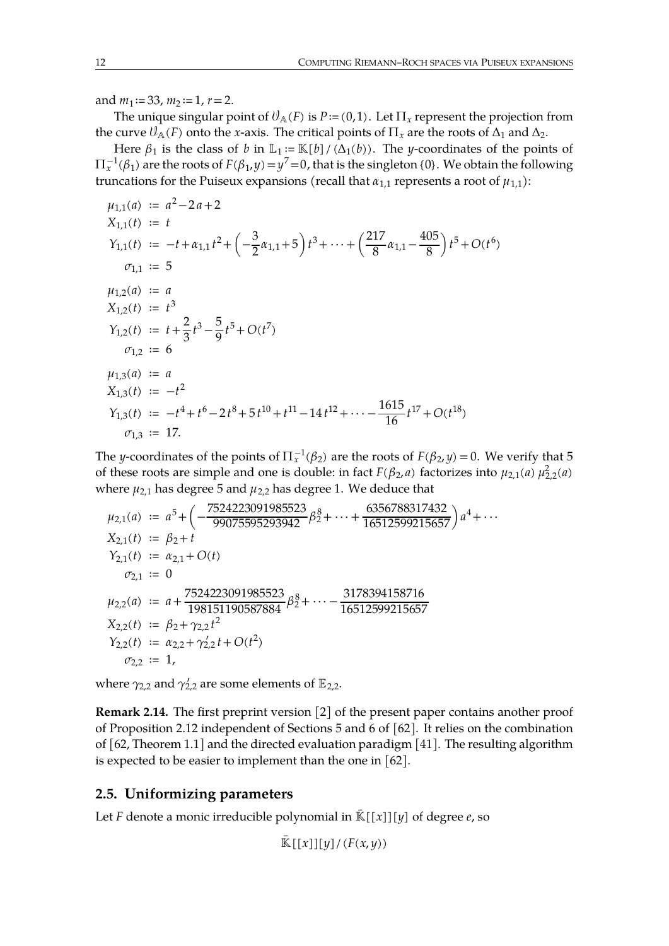and  $m_1$ :=33,  $m_2$ :=1,  $r$  =2.

The unique singular point of  $\theta_A(F)$  is  $P := (0,1)$ . Let  $\Pi_x$  represent the projection from the curve  $\mathcal{V}_{\mathbb{A}}(F)$  onto the *x*-axis. The critical points of  $\Pi_x$  are the roots of  $\Delta_1$  and  $\Delta_2$ .

Here  $\beta_1$  is the class of *b* in  $\mathbb{L}_1 := \mathbb{K}[b]/(\Delta_1(b))$ . The *y*-coordinates of the points of  $\Pi_x^{-1}(\beta_1)$  are the roots of  $F(\beta_1,y)$  =  $y^7$  = 0, that is the singleton {0}. We obtain the following truncations for the Puiseux expansions (recall that  $\alpha_{1,1}$  represents a root of  $\mu_{1,1}$ ):

$$
\mu_{1,1}(a) := a^2 - 2a + 2
$$
\n
$$
X_{1,1}(t) := t
$$
\n
$$
Y_{1,1}(t) := -t + \alpha_{1,1}t^2 + \left(-\frac{3}{2}\alpha_{1,1} + 5\right)t^3 + \dots + \left(\frac{217}{8}\alpha_{1,1} - \frac{405}{8}\right)t^5 + O(t^6)
$$
\n
$$
\sigma_{1,1} := 5
$$
\n
$$
\mu_{1,2}(a) := a
$$
\n
$$
X_{1,2}(t) := t^3
$$
\n
$$
Y_{1,2}(t) := t + \frac{2}{3}t^3 - \frac{5}{9}t^5 + O(t^7)
$$
\n
$$
\sigma_{1,2} := 6
$$
\n
$$
\mu_{1,3}(a) := a
$$
\n
$$
X_{1,3}(t) := -t^2
$$
\n
$$
Y_{1,3}(t) := -t^4 + t^6 - 2t^8 + 5t^{10} + t^{11} - 14t^{12} + \dots - \frac{1615}{16}t^{17} + O(t^{18})
$$
\n
$$
\sigma_{1,3} := 17.
$$

The *y*-coordinates of the points of  $\Pi_x^{-1}(\beta_2)$  are the roots of  $F(\beta_2, y) = 0$ . We verify that 5 of these roots are simple and one is double: in fact  $F(\beta_2, a)$  factorizes into  $\mu_{2,1}(a) \mu_{2,2}^2(a)$ where  $\mu_{2,1}$  has degree 5 and  $\mu_{2,2}$  has degree 1. We deduce that

$$
\mu_{2,1}(a) := a^5 + \left(-\frac{7524223091985523}{99075595293942} \beta_2^8 + \dots + \frac{6356788317432}{16512599215657}\right) a^4 + \dots
$$
  
\n
$$
X_{2,1}(t) := \beta_2 + t
$$
  
\n
$$
Y_{2,1}(t) := \alpha_{2,1} + O(t)
$$
  
\n
$$
\sigma_{2,1} := 0
$$
  
\n
$$
\mu_{2,2}(a) := a + \frac{7524223091985523}{198151190587884} \beta_2^8 + \dots - \frac{3178394158716}{16512599215657}
$$
  
\n
$$
X_{2,2}(t) := \beta_2 + \gamma_{2,2} t^2
$$
  
\n
$$
Y_{2,2}(t) := \alpha_{2,2} + \gamma_{2,2}' t + O(t^2)
$$
  
\n
$$
\sigma_{2,2} := 1,
$$

where  $\gamma_{2,2}$  and  $\gamma_{2,2}^\prime$  are some elements of  $\mathbb{E}_{2,2}.$ 

**Remark 2.14.** The first preprint version [\[2\]](#page-44-2) of the present paper contains another proof of Proposition [2.12](#page-9-0) independent of Sections 5 and 6 of [\[62\]](#page-47-9). It relies on the combination of [\[62,](#page-47-9) Theorem 1.1] and the directed evaluation paradigm [\[41\]](#page-46-20). The resulting algorithm is expected to be easier to implement than the one in [\[62\]](#page-47-9).

## **2.5. Uniformizing parameters**

Let *F* denote a monic irreducible polynomial in  $\mathbb{K}[[x]][y]$  of degree  $e$ , so

 $\bar{\mathbb{K}}[[x]][y]/(F(x,y))$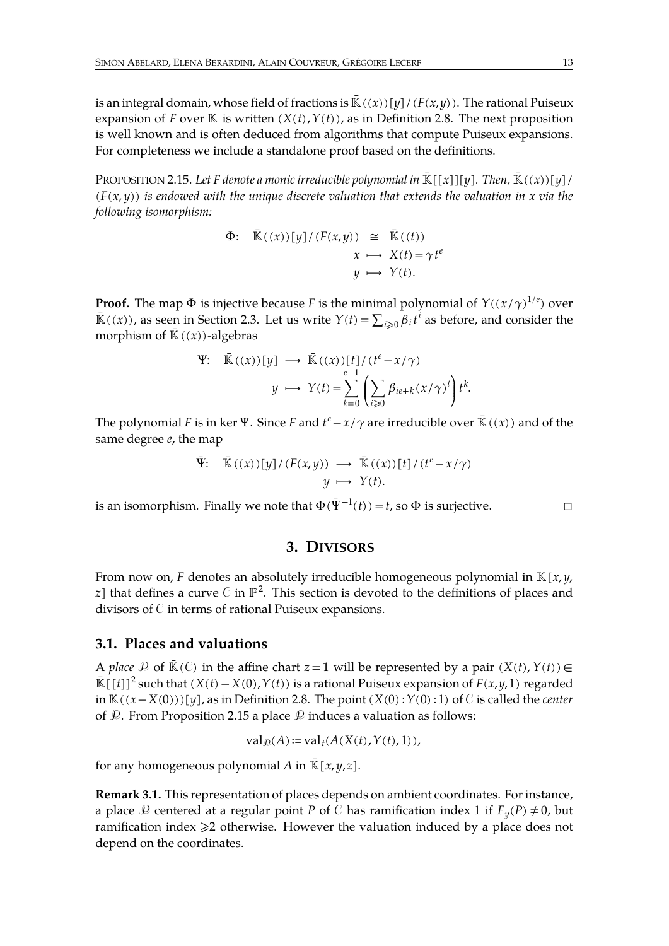is an integral domain, whose field of fractions is  $\mathbb{K}((x))[y]/(F(x,y))$ . The rational Puiseux expansion of *F* over  $K$  is written  $(X(t), Y(t))$ , as in Definition [2.8.](#page-8-0) The next proposition is well known and is often deduced from algorithms that compute Puiseux expansions. For completeness we include a standalone proof based on the definitions.

PROPOSITION 2.15. Let *F* denote a monic irreducible polynomial in  $\overline{\mathbb{K}}[[x]][y]$ . Then,  $\overline{\mathbb{K}}((x))[y]$ / (*F*(*x*, *y*)) *is endowed with the unique discrete valuation that extends the valuation in x via the following isomorphism:*

<span id="page-12-1"></span>
$$
\Phi: \quad \bar{\mathbb{K}}((x))[y]/(F(x,y)) \cong \quad \bar{\mathbb{K}}((t))
$$
\n
$$
x \mapsto X(t) = \gamma t^e
$$
\n
$$
y \mapsto Y(t).
$$

**Proof.** The map  $\Phi$  is injective because F is the minimal polynomial of  $Y((x/\gamma)^{1/e})$  over  $\overline{K}((x))$ , as seen in Section [2.3.](#page-7-0) Let us write *Y*(*t*) =  $\sum_{i≥0} β_i t^i$  as before, and consider the morphism of  $\overline{\mathbb{K}}((x))$ -algebras

$$
\Psi: \quad \bar{\mathbb{K}}((x))[y] \longrightarrow \bar{\mathbb{K}}((x))[t]/(t^e - x/\gamma)
$$

$$
y \longrightarrow Y(t) = \sum_{k=0}^{e-1} \left( \sum_{i \ge 0} \beta_{ie+k} (x/\gamma)^i \right) t^k.
$$

The polynomial  $F$  is in ker  $\Psi$ . Since  $F$  and  $t^e - x/\gamma$  are irreducible over  $\bar{\mathbb{K}}$  ((*x*)) and of the same degree *e*, the map

$$
\bar{\Psi} \colon \overline{\mathbb{K}}((x))[y]/(F(x,y)) \longrightarrow \overline{\mathbb{K}}((x))[t]/(t^e-x/\gamma)
$$
  

$$
y \longrightarrow Y(t).
$$

is an isomorphism. Finally we note that  $\Phi(\bar{\Psi}^{-1}(t))=t$ , so  $\Phi$  is surjective.  $\Box$ 

# <span id="page-12-0"></span>**3. DIVISORS**

From now on, *F* denotes an absolutely irreducible homogeneous polynomial in  $\mathbb{K}[x, y, z]$  $z$ ] that defines a curve  $C$  in  $\mathbb{P}^2.$  This section is devoted to the definitions of places and divisors of  $C$  in terms of rational Puiseux expansions.

### **3.1. Places and valuations**

A *place*  $\mathcal{P}$  of  $\mathbb{K}(C)$  in the affine chart  $z = 1$  will be represented by a pair  $(X(t), Y(t)) \in$  $\mathbb{E}[f^t]]^2$  such that (*X*(*t*)−*X*(0),*Y*(*t*)) is a rational Puiseux expansion of *F*(*x,y,*1) regarded in  $\mathbb{K}((x-X(0)))[y]$ , as in Definition [2.8.](#page-8-0) The point  $(X(0):Y(0):1)$  of  $\mathcal C$  is called the *center* of  $\mathcal{P}$ . From Proposition [2.15](#page-12-1) a place  $\mathcal P$  induces a valuation as follows:

$$
\mathrm{val}_{\mathcal{P}}(A) := \mathrm{val}_t(A(X(t), Y(t), 1)),
$$

for any homogeneous polynomial *A* in  $\mathbb{K}[x, y, z]$ .

Remark 3.1. This representation of places depends on ambient coordinates. For instance, a place  $\mathcal P$  centered at a regular point *P* of *C* has ramification index 1 if  $F_\nu(P) \neq 0$ , but ramification index  $\geq 2$  otherwise. However the valuation induced by a place does not depend on the coordinates.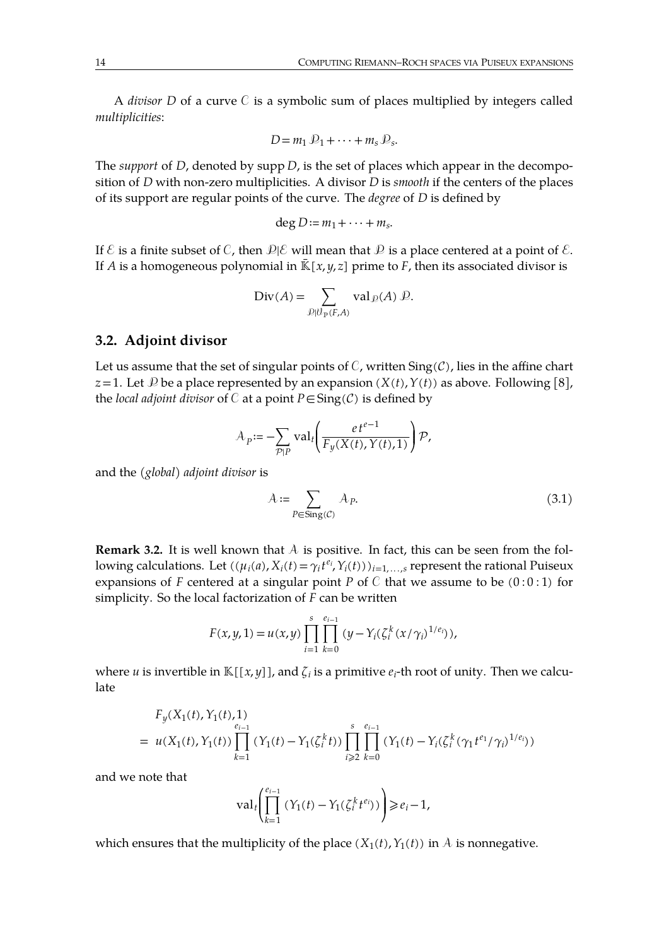A *divisor*  $D$  of a curve  $C$  is a symbolic sum of places multiplied by integers called *multiplicities*:

$$
D = m_1 D_1 + \cdots + m_s D_s.
$$

The *support* of *D*, denoted by supp *D*, is the set of places which appear in the decompo sition of *D* with non-zero multiplicities. A divisor *D* is *smooth* if the centers of the places of its support are regular points of the curve. The *degree* of *D* is defined by

$$
\deg D := m_1 + \cdots + m_s.
$$

If  $\mathcal E$  is a finite subset of  $\mathcal C$ , then  $\mathcal P\vert\mathcal E$  will mean that  $\mathcal P$  is a place centered at a point of  $\mathcal E$ . If *A* is a homogeneous polynomial in  $\overline{K}[x, y, z]$  prime to *F*, then its associated divisor is

<span id="page-13-0"></span>
$$
\text{Div}(A) = \sum_{\mathcal{P} \mid \mathcal{V}_{\mathbb{P}}(F,A)} \text{val}_{\mathcal{P}}(A) \mathcal{P}.
$$

### **3.2. Adjoint divisor**

Let us assume that the set of singular points of  $C$ , written  $Sing(C)$ , lies in the affine chart *z* = 1. Let  $\mathcal{P}$  be a place represented by an expansion  $(X(t), Y(t))$  as above. Following [\[8\]](#page-45-10), the *local adjoint divisor* of *C* at a point  $P \in Sing(C)$  is defined by

$$
\mathcal{A}_p := -\sum_{\mathcal{P}|P} \mathrm{val}_t \bigg( \frac{e t^{e-1}}{F_y(X(t), Y(t), 1)} \bigg) \mathcal{P},
$$

and the *(global) adjoint divisor* is

<span id="page-13-1"></span>
$$
A := \sum_{P \in \text{Sing}(\mathcal{C})} A_P. \tag{3.1}
$$

**Remark 3.2.** It is well known that  $A$  is positive. In fact, this can be seen from the following calculations. Let  $((\mu_i(a), X_i(t) = \gamma_i t^{e_i}, Y_i(t)))_{i=1,\ldots,s}$  represent the rational Puiseux expansions of *F* centered at a singular point *P* of *C* that we assume to be  $(0:0:1)$  for simplicity. So the local factorization of *F* can be written

$$
F(x,y,1) = u(x,y) \prod_{i=1}^{s} \prod_{k=0}^{e_{i-1}} (y - Y_i(\zeta_i^k (x/\gamma_i)^{1/e_i})),
$$

where *u* is invertible in  $\mathbb{K}[[x,y]]$ , and  $\zeta_i$  is a primitive  $e_i$ -th root of unity. Then we calculate

$$
F_y(X_1(t), Y_1(t), 1)
$$
  
=  $u(X_1(t), Y_1(t)) \prod_{k=1}^{e_{i-1}} (Y_1(t) - Y_1(\zeta_i^k t)) \prod_{i \geq 2}^{s} \prod_{k=0}^{e_{i-1}} (Y_1(t) - Y_i(\zeta_i^k (\gamma_1 t^{e_1} / \gamma_i)^{1/e_i}))$ 

and we note that

$$
\operatorname{val}_t \left( \prod_{k=1}^{e_{i-1}} (Y_1(t) - Y_1(\zeta_i^k t^{e_i})) \right) \ge e_i - 1,
$$

which ensures that the multiplicity of the place  $(X_1(t), Y_1(t))$  in  $\mathcal A$  is nonnegative.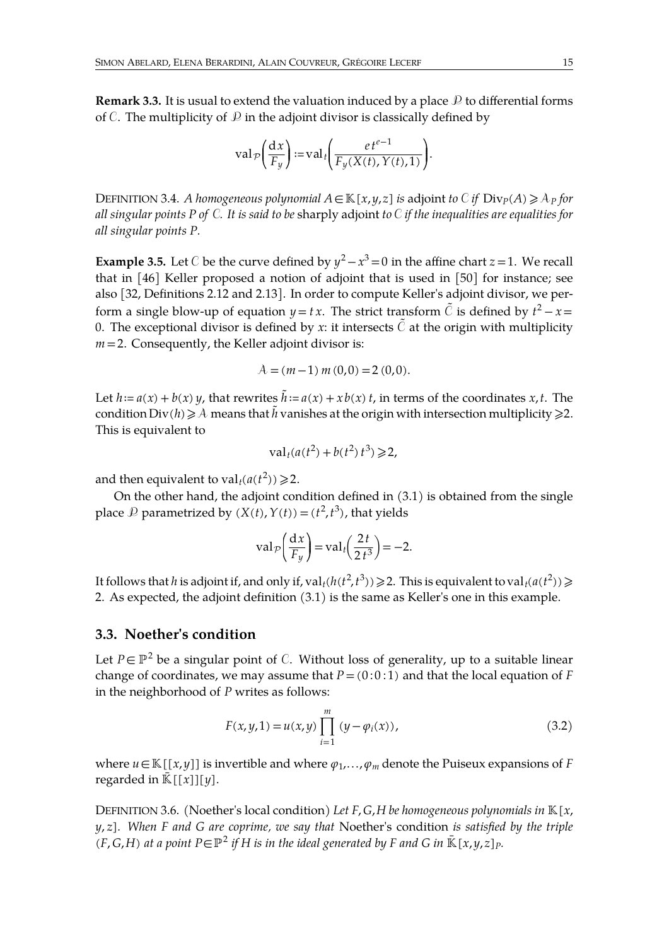**Remark 3.3.** It is usual to extend the valuation induced by a place  $\mathcal{P}$  to differential forms of  $C$ . The multiplicity of  $D$  in the adjoint divisor is classically defined by

<span id="page-14-2"></span>
$$
\mathrm{val}_{\mathcal{P}}\bigg(\frac{\mathrm{d}x}{F_y}\bigg) := \mathrm{val}_{t}\bigg(\frac{e\,t^{e-1}}{F_y(X(t), Y(t), 1)}\bigg).
$$

DEFINITION 3.4. *A homogeneous polynomial*  $A \in K[x, y, z]$  *is* adjoint *to*  $C$ *if*  $Div_P(A) \geq A_P$  *for* all singular points P of  $C$ . It is said to be sharply adjoint to  $C$  if the inequalities are equalities for *all singular points P.*

**Example 3.5.** Let *C* be the curve defined by  $y^2 - x^3 = 0$  in the affine chart *z* = 1. We recall that in [\[46\]](#page-46-7) Keller proposed a notion of adjoint that is used in [\[50\]](#page-46-10) for instance; see also [\[32,](#page-46-8) Definitions 2.12 and 2.13]. In order to compute Keller's adjoint divisor, we perform a single blow-up of equation  $y = t x$ . The strict transform  $\tilde{C}$  is defined by  $t^2 - x =$ 0. The exceptional divisor is defined by *x*: it intersects  $\tilde{C}$  at the origin with multiplicity *m*=2. Consequently, the Keller adjoint divisor is:

$$
A = (m-1) m (0,0) = 2 (0,0).
$$

Let  $h := a(x) + b(x)$  *y*, that rewrites  $\tilde{h} := a(x) + xb(x) t$ , in terms of the coordinates *x*,*t*. The condition Div( $h$ ) $\geqslant$   $\lambda$  means that  $\tilde{h}$  vanishes at the origin with intersection multiplicity  $\geqslant$  2. This is equivalent to

$$
\mathrm{val}_t(a(t^2) + b(t^2)\,t^3) \ge 2,
$$

and then equivalent to val<sub>*t*</sub>( $a(t^2)$ )  $\geq$  2.

On the other hand, the adjoint condition defined in [\(3.1\)](#page-13-1) is obtained from the single place  $\mathcal{P}$  parametrized by  $(X(t), Y(t)) = (t^2, t^3)$ , that yields

<span id="page-14-0"></span>
$$
\mathrm{val}_{\mathcal{P}}\bigg(\frac{\mathrm{d}x}{F_y}\bigg) = \mathrm{val}_{t}\bigg(\frac{2t}{2t^3}\bigg) = -2.
$$

It follows that *h* is adjoint if, and only if,  $\mathrm{val}_t(h(t^2, t^3))$   $\geqslant$  2. This is equivalent to  $\mathrm{val}_t(a(t^2))$   $\geqslant$ 2. As expected, the adjoint definition [\(3.1\)](#page-13-1) is the same as Keller's one in this example.

# **3.3. Noether's condition**

Let  $P \in \mathbb{P}^2$  be a singular point of C. Without loss of generality, up to a suitable linear change of coordinates, we may assume that  $P=(0:0:1)$  and that the local equation of *F* in the neighborhood of *P* writes as follows:

<span id="page-14-1"></span>
$$
F(x, y, 1) = u(x, y) \prod_{i=1}^{m} (y - \varphi_i(x)),
$$
\n(3.2)

where  $u \in K[[x,y]]$  is invertible and where  $\varphi_1, \ldots, \varphi_m$  denote the Puiseux expansions of *F* regarded in  $\bar{K}[[x]][y]$ .

DEFINITION 3.6. (Noether's local condition) Let  $F$ ,  $G$ ,  $H$  be homogeneous polynomials in  $\mathbb{K}[x]$ , *y*, *z*]*. When F and G are coprime, we say that* Noether's condition *is satisfied by the triple*  $(F,G,H)$  at a point  $P \in \mathbb{P}^2$  if H is in the ideal generated by F and G in  $\bar{\mathbb{K}}[x,y,z]_P$ .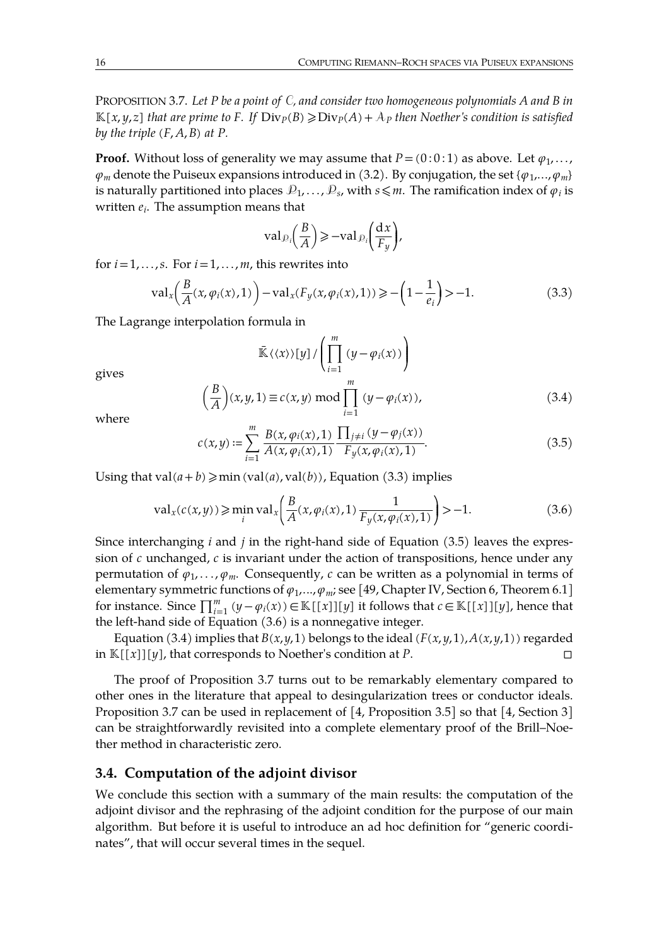<span id="page-15-4"></span>PROPOSITION 3.7. *Let P be a point of , and consider two homogeneous polynomials A and B in*  $K[x, y, z]$  *that are prime to F.* If  $Div_P(B) \geq Div_P(A) + A_P$  *then Noether's condition is satisfied by the triple* (*F*,*A*,*B*) *at P.*

**Proof.** Without loss of generality we may assume that  $P = (0 : 0 : 1)$  as above. Let  $\varphi_1, \ldots,$  $\varphi_m$  denote the Puiseux expansions introduced in [\(3.2\)](#page-14-1). By conjugation, the set { $\varphi_1$ ,..., $\varphi_m$ } is naturally partitioned into places  $\mathcal{P}_1, \dots, \mathcal{P}_s$ , with  $s$   $\leqslant$   $m.$  The ramification index of  $\varphi_i$  is written *ei*. The assumption means that

$$
\mathrm{val}_{\mathcal{P}_i}\!\!\left(\frac{B}{A}\right) \!\geqslant\! -\mathrm{val}_{\mathcal{P}_i}\!\!\left(\frac{\mathrm{d} x}{F_y}\right)\!,
$$

for  $i = 1, \ldots, s$ . For  $i = 1, \ldots, m$ , this rewrites into

$$
\mathrm{val}_x\Big(\frac{B}{A}(x,\varphi_i(x),1)\Big) - \mathrm{val}_x(F_y(x,\varphi_i(x),1)) \geq -\Big(1 - \frac{1}{e_i}\Big) > -1. \tag{3.3}
$$

The Lagrange interpolation formula in

$$
\bar{\mathbb{K}}\langle\langle x\rangle\rangle[y]/\left(\prod_{i=1}^{m} (y - \varphi_i(x))\right)
$$
\n
$$
\left(\frac{B}{A}\right)(x, y, 1) \equiv c(x, y) \mod \prod_{i=1}^{m} (y - \varphi_i(x)),
$$
\n(3.4)

where

gives

$$
c(x,y) := \sum_{i=1}^{m} \frac{B(x,\varphi_i(x),1)}{A(x,\varphi_i(x),1)} \frac{\prod_{j\neq i} (y-\varphi_j(x))}{F_y(x,\varphi_i(x),1)}.
$$
 (3.5)

Using that  $val(a+b) \geq min(val(a),val(b))$ , Equation [\(3.3\)](#page-15-0) implies

$$
\operatorname{val}_x(c(x,y)) \ge \min_i \operatorname{val}_x\left(\frac{B}{A}(x,\varphi_i(x),1)\frac{1}{F_y(x,\varphi_i(x),1)}\right) > -1. \tag{3.6}
$$

<span id="page-15-5"></span><span id="page-15-3"></span><span id="page-15-2"></span><span id="page-15-1"></span><span id="page-15-0"></span>*i*=1

Since interchanging *i* and *j* in the right-hand side of Equation [\(3.5\)](#page-15-1) leaves the expres sion of *c* unchanged, *c* is invariant under the action of transpositions, hence under any permutation of  $\varphi_1, \ldots, \varphi_m$ . Consequently, *c* can be written as a polynomial in terms of elementary symmetric functions of  $\varphi_1$ ,..., $\varphi_m$ ; see [\[49,](#page-46-21) Chapter IV, Section 6, Theorem 6.1] for instance. Since  $\prod_{i=1}^{m} (y - \varphi_i(x)) \in \mathbb{K}[[x]][y]$  it follows that  $c \in \mathbb{K}[[x]][y]$ , hence that the left-hand side of Equation  $(3.6)$  is a nonnegative integer.

Equation [\(3.4\)](#page-15-3) implies that  $B(x,y,1)$  belongs to the ideal  $(F(x,y,1),A(x,y,1))$  regarded in  $\mathbb{K}[[x]][y]$ , that corresponds to Noether's condition at *P*. □

The proof of Proposition [3.7](#page-15-4) turns out to be remarkably elementary compared to other ones in the literature that appeal to desingularization trees or conductor ideals. Proposition [3.7](#page-15-4) can be used in replacement of [\[4,](#page-45-6) Proposition 3.5] so that [4, Section 3] can be straightforwardly revisited into a complete elementary proof of the Brill–Noether method in characteristic zero.

# **3.4. Computation of the adjoint divisor**

We conclude this section with a summary of the main results: the computation of the adjoint divisor and the rephrasing of the adjoint condition for the purpose of our main algorithm. But before it is useful to introduce an ad hoc definition for "generic coordi nates", that will occur several times in the sequel.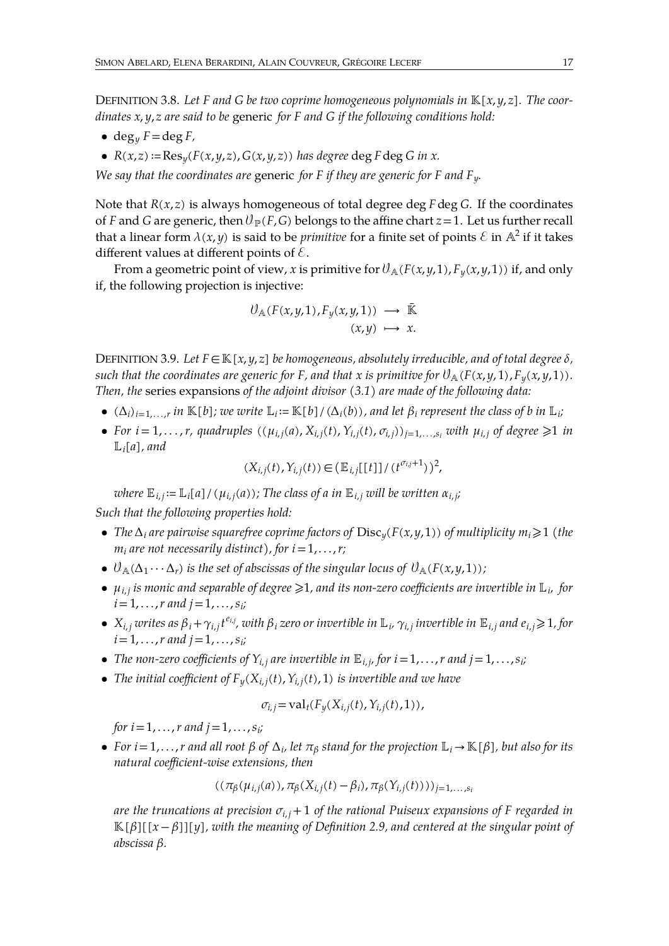<span id="page-16-1"></span>DEFINITION 3.8. Let F and G be two coprime homogeneous polynomials in  $\mathbb{K}[x,y,z]$ . The coor*dinates x*,*y*, *z are said to be* generic *for F and G if the following conditions hold:*

- $\bullet$  deg<sub>*y*</sub>  $F = \deg F$ ,
- $\bullet$  *R*(*x*,*z*) :=  $\text{Res}_{\mathcal{U}}(F(x,y,z), G(x,y,z))$  has degree deg *F* deg *G in x*.

*We say that the coordinates are* generic *for F if they are generic for F and Fy.*

Note that  $R(x, z)$  is always homogeneous of total degree deg  $F$  deg  $G$ . If the coordinates of *F* and *G* are generic, then  $\mathcal{U}_{\mathbb{P}}(F,G)$  belongs to the affine chart  $z=1$ . Let us further recall that a linear form  $\lambda(x,y)$  is said to be  $\emph{primitive}$  for a finite set of points  $\mathscr E$  in  $\mathbb A^2$  if it takes different values at different points of  $\mathcal{E}$ .

From a geometric point of view, *x* is primitive for  $\theta_A(F(x,y,1),F_y(x,y,1))$  if, and only if, the following projection is injective:

<span id="page-16-0"></span>
$$
\mathcal{V}_{\mathbb{A}}(F(x,y,1), F_y(x,y,1)) \longrightarrow \overline{\mathbb{R}}
$$
  
 $(x,y) \longmapsto x.$ 

DEFINITION 3.9. Let  $F \in K[x,y,z]$  *be homogeneous, absolutely irreducible, and of total degree*  $\delta$ , such that the coordinates are generic for F, and that x is primitive for  $\mathcal{V}_{A}(F(x,y,1), F_{\nu}(x,y,1)).$ *Then, the* series expansions *of the adjoint divisor [\(3.1\)](#page-13-1) are made of the following data:*

- $(\Delta_i)_{i=1,\ldots,r}$  in  $\mathbb{K}[b]$ ; we write  $\mathbb{L}_i := \mathbb{K}[b]/(\Delta_i(b))$ , and let  $\beta_i$  represent the class of b in  $\mathbb{L}_i$ ;
- For  $i=1,\ldots,r$ , quadruples  $((\mu_{i,j}(a),X_{i,j}(t),Y_{i,j}(t),\sigma_{i,j}))_{i=1,\ldots,s_i}$  with  $\mu_{i,j}$  of degree  $\geq 1$  in  $\mathbb{L}_i[a]$ *, and*

$$
(X_{i,j}(t), Y_{i,j}(t)) \in (\mathbb{E}_{i,j}[[t]]/(t^{\sigma_{i,j}+1}))^2,
$$

*where*  $\mathbb{E}_{i,j} := \mathbb{L}_i[a]/(\mu_{i,j}(a))$ ; *The class of a in*  $\mathbb{E}_{i,j}$  *will be written*  $\alpha_{i,j}$ ;

*Such that the following properties hold:*

- *The*  $\Delta_i$  *are* pairwise squarefree coprime factors of  $Disc_y(F(x,y,1))$  of multiplicity  $m_i \geq 1$  (the *m*<sub>*i*</sub> are not necessarily distinct), for  $i = 1, \ldots, r$ ;
- $\mathcal{V}_{\mathbb{A}}(\Delta_1 \cdots \Delta_r)$  *is the set of abscissas of the singular locus of*  $\mathcal{V}_{\mathbb{A}}(F(x,y,1))$ *;*
- $\mu_{i,j}$  is monic and separable of degree  $\geq 1$ , and its non-zero coefficients are invertible in  $\mathbb{L}_{i}$ , for  $i = 1, \ldots, r$  and  $j = 1, \ldots, s_i$ ;
- $X_{i,j}$  writes as  $\beta_i + \gamma_{i,j}t^{e_{i,j}}$ , with  $\beta_i$  zero or invertible in  $\mathbb{L}_i$ ,  $\gamma_{i,j}$  invertible in  $\mathbb{E}_{i,j}$  and  $e_{i,j} \geq 1$ , for  $i = 1, \ldots, r$  and  $j = 1, \ldots, s_i$ ;
- The non-zero coefficients of  $Y_{i,j}$  are invertible in  $\mathbb{E}_{i,j}$  for  $i = 1, \ldots, r$  and  $j = 1, \ldots, s_{i}$
- *The initial coefficient of*  $F_v(X_{i,j}(t), Y_{i,j}(t), 1)$  *is invertible and we have*

$$
\sigma_{i,j} = \mathrm{val}_t(F_y(X_{i,j}(t), Y_{i,j}(t), 1)),
$$

*for*  $i = 1, ..., r$  *and*  $j = 1, ..., s$ *i*;

• For  $i=1,\ldots,r$  and all root  $\beta$  of  $\Delta_i$ , let  $\pi_\beta$  stand for the projection  $\mathbb{L}_i \to \mathbb{K}[\beta]$ , but also for its *natural coefficient-wise extensions, then*

$$
((\pi_{\beta}(\mu_{i,j}(a)), \pi_{\beta}(X_{i,j}(t) - \beta_i), \pi_{\beta}(Y_{i,j}(t))))_{j=1,...,s_i}
$$

*are the truncations at precision*  $\sigma_{i,j} + 1$  *of the rational Puiseux expansions of F regarded in* [][[*x*−]][*y*]*, with the meaning of Definition [2.9,](#page-8-1) and centered at the singular point of abscissa .*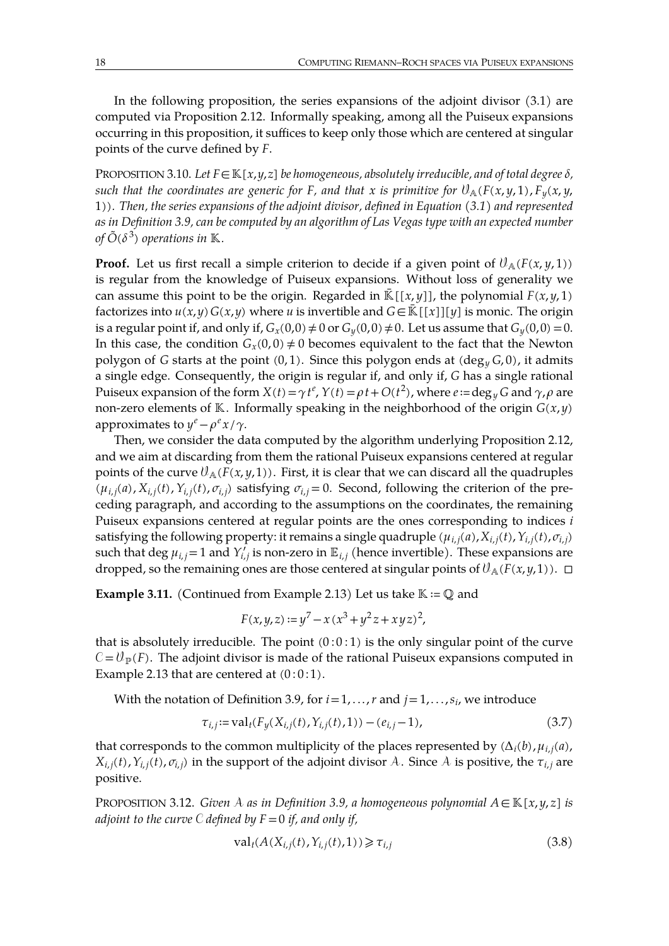In the following proposition, the series expansions of the adjoint divisor [\(3.1\)](#page-13-1) are computed via Proposition [2.12.](#page-9-0) Informally speaking, among all the Puiseux expansions occurring in this proposition, it suffices to keep only those which are centered at singular points of the curve defined by *F*.

<span id="page-17-2"></span>PROPOSITION 3.10. Let  $F \in \mathbb{K}[x, y, z]$  *be homogeneous, absolutely irreducible, and of total degree*  $\delta$ *,* such that the coordinates are generic for F, and that x is primitive for  $\mathcal{V}_{\mathbb{A}}(F(x,y,1), F_y(x,y,$ 1))*. Then, the series expansions of the adjoint divisor, defined in Equation [\(3.1\)](#page-13-1) and represented as in Definition [3.9,](#page-16-0) can be computed by an algorithm of Las Vegas type with an expected number* of  $\tilde{O}(\delta^3)$  operations in  $\mathbb K$ .

**Proof.** Let us first recall a simple criterion to decide if a given point of  $\theta_A(F(x, y, 1))$ is regular from the knowledge of Puiseux expansions. Without loss of generality we can assume this point to be the origin. Regarded in  $\mathbb{K}[[x, y]]$ , the polynomial  $F(x, y, 1)$ factorizes into  $u(x,y) G(x,y)$  where *u* is invertible and  $G \in K[[x]][y]$  is monic. The origin is a regular point if, and only if,  $G_x(0,0) \neq 0$  or  $G_y(0,0) \neq 0$ . Let us assume that  $G_y(0,0) = 0$ . In this case, the condition  $G_x(0,0) \neq 0$  becomes equivalent to the fact that the Newton polygon of *G* starts at the point  $(0, 1)$ . Since this polygon ends at  $(\deg_y G, 0)$ , it admits a single edge. Consequently, the origin is regular if, and only if, *G* has a single rational Puiseux expansion of the form  $X(t) = \gamma t^e$ ,  $Y(t) = \rho t + O(t^2)$ , where  $e := deg_y G$  and  $\gamma$ ,  $\rho$  are non-zero elements of  $K$ . Informally speaking in the neighborhood of the origin  $G(x, y)$ approximates to  $y^e - \rho^e x / \gamma$ .

Then, we consider the data computed by the algorithm underlying Proposition [2.12,](#page-9-0) and we aim at discarding from them the rational Puiseux expansions centered at regular points of the curve  $\theta_{A}(F(x,y,1))$ . First, it is clear that we can discard all the quadruples  $(\mu_{i,j}(a), X_{i,j}(t), Y_{i,j}(t), \sigma_{i,j})$  satisfying  $\sigma_{i,j} = 0$ . Second, following the criterion of the preceding paragraph, and according to the assumptions on the coordinates, the remaining Puiseux expansions centered at regular points are the ones corresponding to indices *i* satisfying the following property: it remains a single quadruple  $(\mu_{i,j}(a), X_{i,j}(t), Y_{i,j}(t), \sigma_{i,j})$ such that deg  $\mu_{i,j}=1$  and  $Y'_{i,j}$  is non-zero in  $\mathbb{E}_{i,j}$  (hence invertible). These expansions are dropped, so the remaining ones are those centered at singular points of  $\theta_A(F(x,y,1))$ .  $\Box$ 

**Example 3.11.** (Continued from Example [2.13\)](#page-10-0) Let us take K := **Q** and

<span id="page-17-1"></span>
$$
F(x, y, z) := y^7 - x(x^3 + y^2z + xyz)^2,
$$

that is absolutely irreducible. The point  $(0:0:1)$  is the only singular point of the curve  $C = \mathcal{V}_P(F)$ . The adjoint divisor is made of the rational Puiseux expansions computed in Example [2.13](#page-10-0) that are centered at  $(0:0:1)$ .

With the notation of Definition [3.9,](#page-16-0) for  $i = 1, \ldots, r$  and  $j = 1, \ldots, s_i$ , we introduce

$$
\tau_{i,j} := \text{val}_t(F_y(X_{i,j}(t), Y_{i,j}(t), 1)) - (e_{i,j} - 1),\tag{3.7}
$$

that corresponds to the common multiplicity of the places represented by  $(\Delta_i(b), \mu_{i,j}(a))$  $X_{i,j}(t)$ ,  $Y_{i,j}(t)$ ,  $\sigma_{i,j}$ ) in the support of the adjoint divisor A. Since A is positive, the  $\tau_{i,j}$  are positive.

PROPOSITION 3.12. *Given* A as *in Definition* [3.9,](#page-16-0) a *homogeneous polynomial*  $A \in K[x, y, z]$  *is adjoint to the curve*  $C$  *defined by*  $F = 0$  *if, and only if,* 

<span id="page-17-0"></span>
$$
\operatorname{val}_t(A(X_{i,j}(t), Y_{i,j}(t), 1)) \ge \tau_{i,j} \tag{3.8}
$$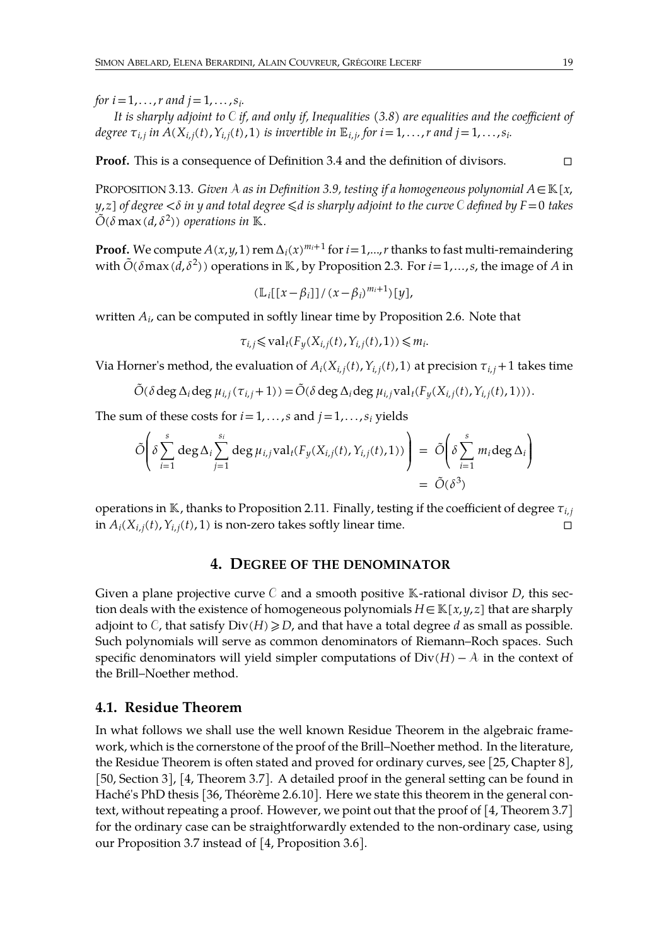*for*  $i = 1, ..., r$  *and*  $j = 1, ..., s_i$ .

*It is sharply adjoint to if, and only if, Inequalities [\(3.8\)](#page-17-0) are equalities and the coefficient of* degree  $\tau_{i,j}$  in  $A(X_{i,j}(t), Y_{i,j}(t), 1)$  is invertible in  $\mathbb{E}_{i,j}$  for  $i = 1, ..., r$  and  $j = 1, ..., s_i$ .

**Proof.** This is a consequence of Definition [3.4](#page-14-2) and the definition of divisors. □

<span id="page-18-1"></span>PROPOSITION 3.13. *Given*  $A$  *as in Definition* [3.9,](#page-16-0) *testing if a homogeneous polynomial*  $A \in K[x,$  $y,z$ ] of degree  $\lt \delta$  in y and total degree  $\leq d$  is sharply adjoint to the curve C defined by  $F=0$  takes  $\tilde{O}(\delta \max{(d,\delta^2)})$  operations in  $\mathbb K$ .

**Proof.** We compute  $A(x,y,1)$  rem  $\Delta_i(x)^{m_i+1}$  for  $i=1,...,r$  thanks to fast multi-remaindering with  $\tilde{O}(\delta \max(\tilde{d}, \delta^2))$  operations in  $\mathbb K$ , by Proposition [2.3.](#page-5-1) For  $i\!=\!1,...,s$ , the image of  $A$  in

$$
(\mathbb{L}_i\big[[x-\beta_i]\big]/(x-\beta_i)^{m_i+1})[y],
$$

written  $A_i$ , can be computed in softly linear time by Proposition [2.6.](#page-7-1) Note that

 $\tau_{i,j}$   $\leq$   $\text{val}_t$   $(F_v(X_{i,j}(t), Y_{i,j}(t), 1)) \leq m_i$ .

Via Horner's method, the evaluation of  $A_i(X_{i,i}(t), Y_{i,i}(t), 1)$  at precision  $\tau_{i,i}$  + 1 takes time

$$
\tilde{O}(\delta \deg \Delta_i \deg \mu_{i,j}(\tau_{i,j}+1)) = \tilde{O}(\delta \deg \Delta_i \deg \mu_{i,j} \operatorname{val}_t(F_y(X_{i,j}(t), Y_{i,j}(t), 1))).
$$

The sum of these costs for  $i = 1, \ldots, s$  and  $j = 1, \ldots, s_i$  yields

$$
\tilde{O}\left(\delta \sum_{i=1}^{s} \deg \Delta_{i} \sum_{j=1}^{s_{i}} \deg \mu_{i,j} \operatorname{val}_{t}(F_{y}(X_{i,j}(t), Y_{i,j}(t), 1))\right) = \tilde{O}\left(\delta \sum_{i=1}^{s} m_{i} \deg \Delta_{i}\right)
$$

$$
= \tilde{O}(\delta^{3})
$$

operations in  $\mathbb{K}$ , thanks to Proposition [2.11.](#page-9-2) Finally, testing if the coefficient of degree  $\tau_{i,j}$ in  $A_i(X_{i,j}(t), Y_{i,j}(t), 1)$  is non-zero takes softly linear time. □

## <span id="page-18-0"></span>**4. DEGREE OF THE DENOMINATOR**

Given a plane projective curve  $C$  and a smooth positive  $K$ -rational divisor  $D$ , this section deals with the existence of homogeneous polynomials  $H \in K[x,y,z]$  that are sharply adjoint to  $C$ , that satisfy  $Div(H) \ge D$ , and that have a total degree *d* as small as possible. Such polynomials will serve as common denominators of Riemann–Roch spaces. Such specific denominators will yield simpler computations of  $Div(H) - A$  in the context of the Brill–Noether method.

## **4.1. Residue Theorem**

In what follows we shall use the well known Residue Theorem in the algebraic frame work, which is the cornerstone of the proof of the Brill–Noether method. In the literature, the Residue Theorem is often stated and proved for ordinary curves, see [\[25,](#page-45-14) Chapter 8], [\[50,](#page-46-10) Section 3], [\[4,](#page-45-6) Theorem 3.7]. A detailed proof in the general setting can be found in Haché's PhD thesis [\[36,](#page-46-12) Théorème 2.6.10]. Here we state this theorem in the general context, without repeating a proof. However, we point out that the proof of [\[4,](#page-45-6) Theorem 3.7] for the ordinary case can be straightforwardly extended to the non-ordinary case, using our Proposition [3.7](#page-15-4) instead of [\[4,](#page-45-6) Proposition 3.6].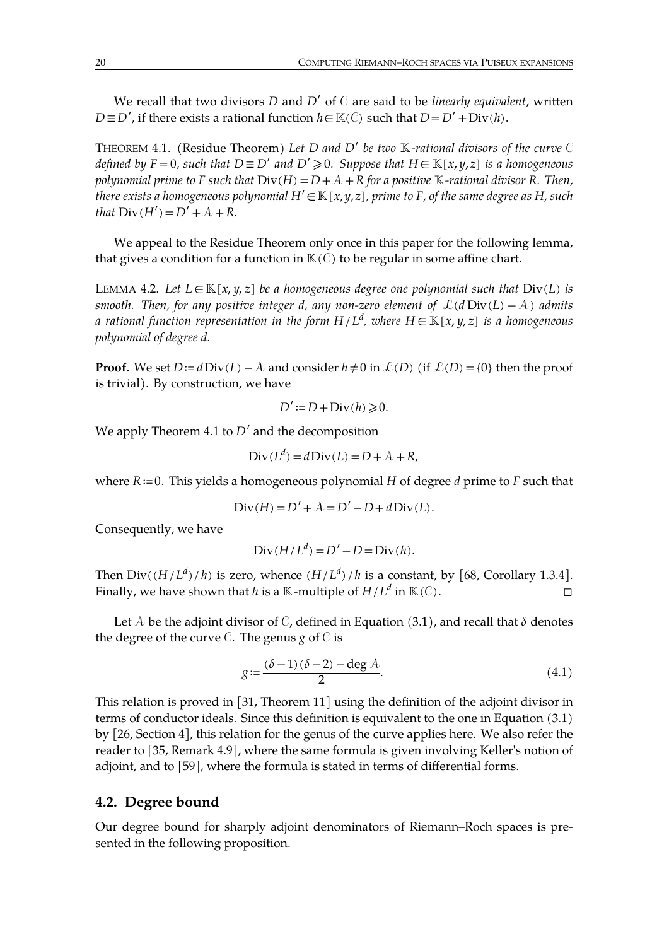We recall that two divisors *D* and *D'* of *C* are said to be *linearly equivalent*, written *D*≡*D*<sup>′</sup>, if there exists a rational function *h*∈K(*C*) such that *D*=*D*<sup>′</sup>+Div(*h*).

<span id="page-19-0"></span>THEOREM 4.1. (Residue Theorem) *Let D and D*′ *be two -rational divisors of the curve* defined by F = 0, such that  $D \equiv D'$  and  $D' \ge 0$ . Suppose that  $H \in \mathbb{K}[x, y, z]$  is a homogeneous *polynomial prime to F such that*  $Div(H) = D + A + R$  *for a positive*  $K$ -*rational divisor R. Then,* there exists a homogeneous polynomial  $H' \in \mathbb{K}[x,y,z]$ , prime to F, of the same degree as H, such *that*  $Div(H') = D' + A + R$ .

We appeal to the Residue Theorem only once in this paper for the following lemma, that gives a condition for a function in  $K(\mathcal{C})$  to be regular in some affine chart.

<span id="page-19-2"></span>**LEMMA 4.2.** Let  $L \in \mathbb{K}[x, y, z]$  be a homogeneous degree one polynomial such that  $Div(L)$  is *smooth. Then, for any positive integer d, any non-zero element of*  $\mathcal{L}(d\mathrm{Div}(L) - A)$  *admits*  $a$  *rational function representation in the form*  $H/L^d$ *, where*  $H \in \mathbb{K}[x,y,z]$  *<i>is a homogeneous polynomial of degree d.*

**Proof.** We set  $D := d$ Div( $L$ )− $\hat{A}$  and consider  $h \neq 0$  in  $\mathcal{L}(D)$  (if  $\mathcal{L}(D) = \{0\}$  then the proof is trivial). By construction, we have

$$
D' := D + \text{Div}(h) \geq 0.
$$

We apply Theorem [4.1](#page-19-0) to *D*′ and the decomposition

$$
Div(L^d) = dDiv(L) = D + A + R,
$$

where *R*≔0. This yields a homogeneous polynomial *H* of degree *d* prime to *F* such that

$$
Div(H) = D' + A = D' - D + dDiv(L).
$$

Consequently, we have

$$
Div(H/L^d) = D' - D = Div(h).
$$

Then  $Div((H/L^d)/h)$  is zero, whence  $(H/L^d)/h$  is a constant, by [\[68,](#page-47-10) Corollary 1.3.4]. Finally, we have shown that *h* is a K-multiple of  $H/L^d$  in  $\mathbb{K}(C)$ .

Let A be the adjoint divisor of C, defined in Equation [\(3.1\)](#page-13-1), and recall that  $\delta$  denotes the degree of the curve  $C$ . The genus  $g$  of  $C$  is

<span id="page-19-1"></span>
$$
g := \frac{(\delta - 1)(\delta - 2) - \deg A}{2}.
$$
 (4.1)

This relation is proved in [\[31,](#page-46-6) Theorem 11] using the definition of the adjoint divisor in terms of conductor ideals. Since this definition is equivalent to the one in Equation [\(3.1\)](#page-13-1) by [\[26,](#page-45-11) Section 4], this relation for the genus of the curve applies here. We also refer the reader to [\[35,](#page-46-11) Remark 4.9], where the same formula is given involving Keller's notion of adjoint, and to [\[59\]](#page-47-11), where the formula is stated in terms of differential forms.

### **4.2. Degree bound**

Our degree bound for sharply adjoint denominators of Riemann–Roch spaces is pre sented in the following proposition.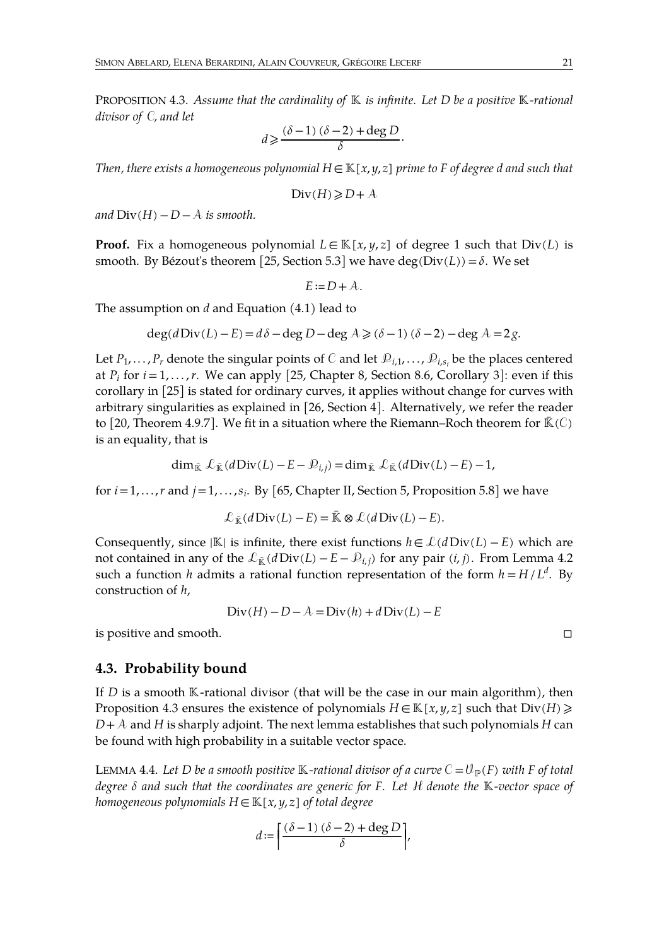PROPOSITION 4.3. *Assume that the cardinality of is infinite. Let D be a positive -rational divisor* of *C*, and let

<span id="page-20-0"></span>
$$
d \geqslant \frac{(\delta-1)\,(\delta-2)+\deg D}{\delta}.
$$

Then, there exists a homogeneous polynomial  $H \in \mathbb{K}[x, y, z]$  prime to F of degree d and such that

$$
Div(H) \geq D + A
$$

*and*  $Div(H) - D - A$  *is smooth.* 

**Proof.** Fix a homogeneous polynomial  $L \in \mathbb{K}[x, y, z]$  of degree 1 such that  $Div(L)$  is smooth. By Bézout's theorem [\[25,](#page-45-14) Section 5.3] we have deg( $Div(L)$ ) =  $\delta$ . We set

 $E := D + A$ .

The assumption on *d* and Equation [\(4.1\)](#page-19-1) lead to

$$
\deg(d\operatorname{Div}(L)-E) = d\,\delta - \deg D - \deg A \geq (\delta - 1)(\delta - 2) - \deg A = 2g.
$$

Let  $P_1, \ldots, P_r$  denote the singular points of C and let  $\mathcal{P}_{i,1}, \ldots, \mathcal{P}_{i,s_i}$  be the places centered at  $P_i$  for  $i = 1, \ldots, r$ . We can apply [\[25,](#page-45-14) Chapter 8, Section 8.6, Corollary 3]: even if this corollary in [\[25\]](#page-45-14) is stated for ordinary curves, it applies without change for curves with arbitrary singularities as explained in [\[26,](#page-45-11) Section 4]. Alternatively, we refer the reader to [\[20,](#page-45-21) Theorem 4.9.7]. We fit in a situation where the Riemann–Roch theorem for  $\bar{K}(C)$ is an equality, that is

$$
\dim_{\bar{\mathbb{K}}}\mathcal{L}_{\bar{\mathbb{K}}}(d\operatorname{Div}(L)-E-\mathcal{D}_{i,j})=\dim_{\bar{\mathbb{K}}}\mathcal{L}_{\bar{\mathbb{K}}}(d\operatorname{Div}(L)-E)-1,
$$

for  $i=1,\ldots,r$  and  $j=1,\ldots,s_i$ . By [\[65,](#page-47-12) Chapter II, Section 5, Proposition 5.8] we have

$$
\mathcal{L}_{\bar{\mathbb{K}}}(d\operatorname{Div}(L)-E) = \bar{\mathbb{K}} \otimes \mathcal{L}(d\operatorname{Div}(L)-E).
$$

Consequently, since  $|\mathbb{K}|$  is infinite, there exist functions  $h \in \mathcal{L}(d \text{Div}(L) - E)$  which are not contained in any of the  $\mathcal{L}_{\bar{k}}(d\text{Div}(L)-E-\mathcal{P}_{i,j})$  for any pair  $(i, j)$ . From Lemma [4.2](#page-19-2) such a function *h* admits a rational function representation of the form  $h = H/L^d$ . By construction of *h*,

$$
Div(H) - D - A = Div(h) + d Div(L) - E
$$

is positive and smooth. □

### **4.3. Probability bound**

If  $D$  is a smooth  $K$ -rational divisor (that will be the case in our main algorithm), then Proposition [4.3](#page-20-0) ensures the existence of polynomials  $H \in \mathbb{K}[x, y, z]$  such that  $Div(H) \geq$  $D + A$  and *H* is sharply adjoint. The next lemma establishes that such polynomials *H* can be found with high probability in a suitable vector space.

<span id="page-20-1"></span>LEMMA 4.4. Let D be a smooth positive K-rational divisor of a curve  $C = U_{\mathbb{P}}(F)$  with F of total *degree and such that the coordinates are generic for F. Let* ℋ *denote the -vector space of homogeneous polynomials*  $H \in K[x, y, z]$  *of total degree* 

$$
d := \left\lceil \frac{(\delta - 1) (\delta - 2) + \deg D}{\delta} \right\rceil,
$$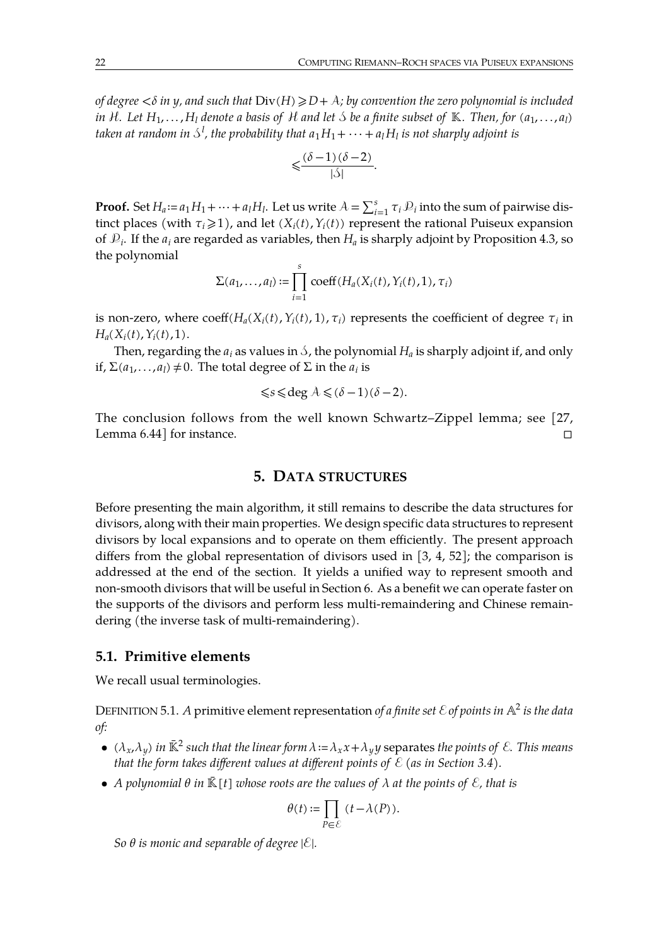*of* degree  $\lt$  $\delta$  *in y*, and such that  $Div(H) \ge D + A$ ; by convention the zero polynomial is included in H. Let  $H_1, \ldots, H_l$  denote a basis of H and let S be a finite subset of K. Then, for  $(a_1, \ldots, a_l)$ taken at random in  $\mathcal{S}^l$ , the probability that  $a_1H_1+\cdots+a_lH_l$  is not sharply adjoint is

$$
\leqslant \frac{(\delta-1)(\delta-2)}{|\mathcal{S}|}.
$$

**Proof.** Set  $H_a := a_1 H_1 + \dots + a_l H_l$ . Let us write  $A = \sum_{i=1}^s \tau_i D_i$  into the sum of pairwise distinct places (with  $\tau_i \geq 1$ ), and let  $(X_i(t), Y_i(t))$  represent the rational Puiseux expansion of  $\mathcal{P}_i$ . If the  $a_i$  are regarded as variables, then  $H_a$  is sharply adjoint by Proposition [4.3,](#page-20-0) so the polynomial

$$
\Sigma(a_1,\ldots,a_l):=\prod_{i=1}^s\mathrm{coeff}(H_a(X_i(t),Y_i(t),1),\tau_i)
$$

is non-zero, where  $\text{coeff}(H_a(X_i(t), Y_i(t), 1), \tau_i)$  represents the coefficient of degree  $\tau_i$  in  $H_a(X_i(t), Y_i(t), 1).$ 

Then, regarding the  $a_i$  as values in  $\mathcal S$ , the polynomial  $H_a$  is sharply adjoint if, and only if,  $\Sigma$ ( $a_1$ , . . . , $a_l$ ) ≠0. The total degree of  $\Sigma$  in the  $a_i$  is

$$
\leq s \leq \deg A \leq (\delta - 1)(\delta - 2).
$$

The conclusion follows from the well known Schwartz–Zippel lemma; see [\[27,](#page-45-8) Lemma 6.44] for instance.  $\Box$ 

# **5. DATA STRUCTURES**

Before presenting the main algorithm, it still remains to describe the data structures for divisors, along with their main properties. We design specific data structures to represent divisors by local expansions and to operate on them efficiently. The present approach differs from the global representation of divisors used in [\[3,](#page-44-0) [4,](#page-45-6) [52\]](#page-46-3); the comparison is addressed at the end of the section. It yields a unified way to represent smooth and non-smooth divisors that will be useful in Section [6.](#page-30-0) As a benefit we can operate faster on the supports of the divisors and perform less multi-remaindering and Chinese remain dering (the inverse task of multi-remaindering).

### **5.1. Primitive elements**

We recall usual terminologies.

<span id="page-21-0"></span>DEFINITION 5.1. *A* primitive element representation *of a finite set*  $\mathcal E$  *of points in*  $\mathbb A^2$  *is the data of:*

- $(\lambda_x, \lambda_y)$  *in*  $\bar{\mathbb{K}}^2$  *such that the linear form*  $\lambda := \lambda_x x + \lambda_y y$  separates *the points of*  $\mathcal{E}$ *. This means that the form takes different values at different points of*  $\mathcal{E}$  (as *in Section 3.4*).
- *A polynomial*  $\theta$  *in*  $\bar{K}$ [*t*] *whose roots are the values of*  $\lambda$  *at the points of*  $\mathcal{E}$ *, that is*

$$
\theta(t) := \prod_{P \in \mathcal{E}} (t - \lambda(P)).
$$

*So*  $\theta$  *is monic and separable of degree*  $|\mathcal{E}|$ *.*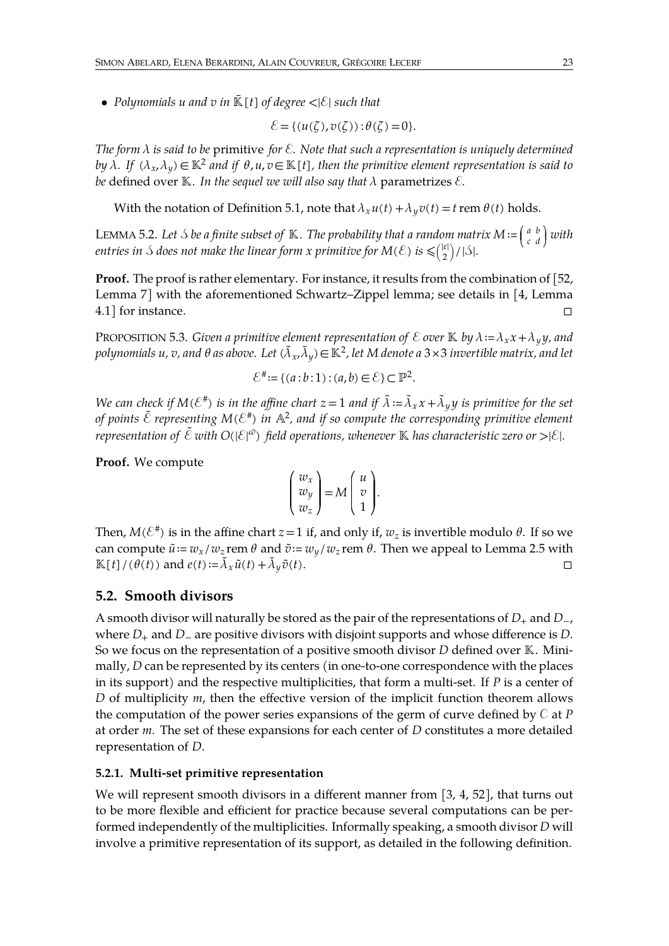• Polynomials *u* and *v* in  $\overline{\mathbb{K}}[t]$  of degree  $\langle |\mathcal{E}|$  such that

$$
\mathcal{E} = \{ (u(\zeta), v(\zeta)) : \theta(\zeta) = 0 \}.
$$

*The* form  $\lambda$  *is said to be* primitive *for*  $\epsilon$ *. Note that such a representation is uniquely determined by*  $\lambda$ . If  $(\lambda_x, \lambda_y) \in \mathbb{K}^2$  and if  $\theta, u, v \in \mathbb{K}$  [t], then the primitive element representation is said to *be* defined over  $K$ *. In the sequel we will also say that*  $\lambda$  parametrizes  $\mathcal{E}$ *.* 

<span id="page-22-1"></span>With the notation of Definition [5.1,](#page-21-0) note that  $\lambda_x u(t) + \lambda_y v(t) = t$  rem  $\theta(t)$  holds.

LEMMA 5.2. Let S be a finite subset of K. The probability that a random matrix  $M = \begin{pmatrix} a & b \\ c & d \end{pmatrix}$  with *entries in*  $\Diamond$  *does not make the linear form*  $x$  *primitive for*  $M(\mathcal{E})$  *<i>is*  $\leqslant \binom{|\varepsilon|}{2}/|\Diamond|.$ 

**Proof.** The proof is rather elementary. For instance, it results from the combination of [\[52,](#page-46-3) Lemma 7] with the aforementioned Schwartz–Zippel lemma; see details in [\[4,](#page-45-6) Lemma 4.1] for instance.  $\Box$ 

**PROPOSITION 5.3.** *Given a primitive element representation of*  $\mathcal E$  *over*  $\mathbb K$  *by*  $\lambda := \lambda_x x + \lambda_y y$ , *and*  $p$ olynomials  $u$ ,  $v$ , and  $\theta$  as above. Let  $(\tilde{\lambda}_x,\tilde{\lambda}_y)\in\mathbb{K}^2$ , let  $M$  denote a 3×3 invertible matrix, and let

<span id="page-22-0"></span>
$$
\mathcal{E}^{\#} := \{ (a:b:1) : (a,b) \in \mathcal{E} \} \subset \mathbb{P}^2.
$$

We can check if  $M(\mathcal{E}^{\#})$  is in the affine chart  $z=1$  and if  $\tilde{\lambda}:=\tilde{\lambda}_x x+\tilde{\lambda}_y y$  is primitive for the set *of points* ℰ ˜ *representing M*(ℰ #) *in* <sup>2</sup> *, and if so compute the corresponding primitive element representation of* ℰ ˜ *with O*(|ℰ|) *field operations, whenever has characteristic zero or* >|ℰ|*.*

**Proof.** We compute

$$
\left(\begin{array}{c} w_x \\ w_y \\ w_z \end{array}\right) = M \left(\begin{array}{c} u \\ v \\ 1 \end{array}\right).
$$

Then,  $M(\mathcal{E}^{\#})$  is in the affine chart  $z\!=\!1$  if, and only if,  $w_{z}$  is invertible modulo  $\theta.$  If so we can compute  $\tilde{u} = w_x/w_z$  rem  $\theta$  and  $\tilde{v} = w_y/w_z$  rem  $\theta$ . Then we appeal to Lemma [2.5](#page-6-0) with  $\mathbb{K}[t]/(\theta(t))$  and  $e(t) := \lambda_x \tilde{u}(t) + \lambda_y \tilde{v}(t)$ .

# **5.2. Smooth divisors**

A smooth divisor will naturally be stored as the pair of the representations of *D*<sup>+</sup> and *D*−, where *D*<sup>+</sup> and *D*<sup>−</sup> are positive divisors with disjoint supports and whose difference is *D*. So we focus on the representation of a positive smooth divisor *D* defined over K. Minimally, *D* can be represented by its centers (in one-to-one correspondence with the places in its support) and the respective multiplicities, that form a multi-set. If *P* is a center of *D* of multiplicity *m*, then the effective version of the implicit function theorem allows the computation of the power series expansions of the germ of curve defined by  $C$  at  $P$ at order *m*. The set of these expansions for each center of *D* constitutes a more detailed representation of *D*.

### **5.2.1. Multi-set primitive representation**

We will represent smooth divisors in a different manner from [\[3,](#page-44-0) [4,](#page-45-6) [52\]](#page-46-3), that turns out to be more flexible and efficient for practice because several computations can be performed independently of the multiplicities. Informally speaking, a smooth divisor *D* will involve a primitive representation of its support, as detailed in the following definition.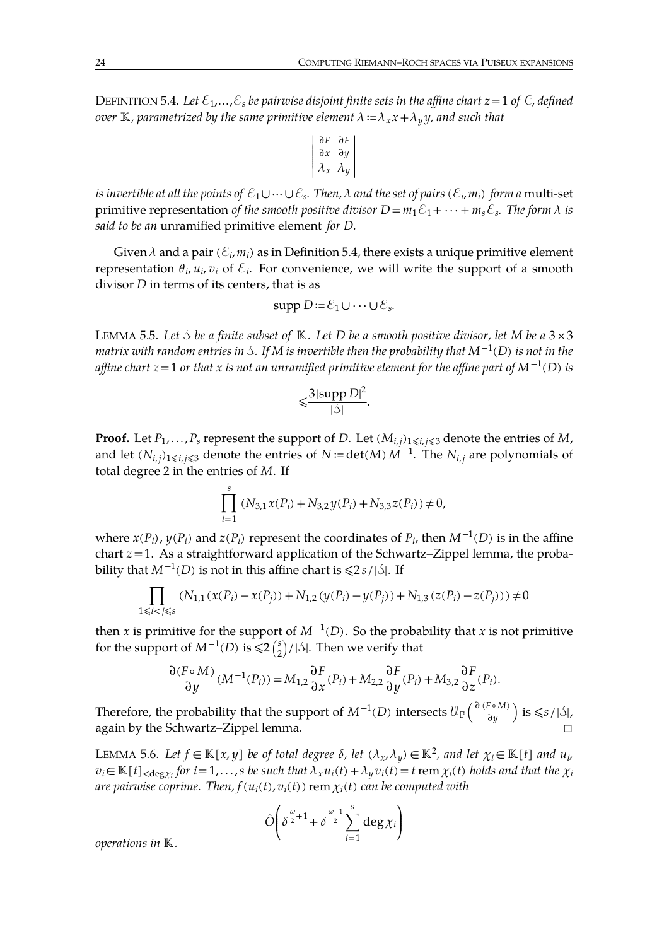<span id="page-23-0"></span>DEFINITION 5.4. Let  $\mathcal{E}_1, \ldots, \mathcal{E}_s$  be pairwise disjoint finite sets in the affine chart  $z = 1$  of  $C$ , defined *over* **K**, parametrized by the same primitive element  $\lambda := \lambda_x x + \lambda_y y$ , and such that

| $\partial F$ | $\partial F$            |  |
|--------------|-------------------------|--|
| $\partial x$ | $\partial y$            |  |
| $\cdot x$    | $\Lambda_{\mathcal{U}}$ |  |

is invertible at all the points of  $\mathscr{E}_1\cup\cdots\cup\mathscr{E}_s.$  Then,  $\lambda$  and the set of pairs  $(\mathscr{E}_i,m_i)$  form a  ${\rm multi\text{-}set}$ primitive representation *of the smooth positive divisor*  $D\!=\!m_1\mathcal{E}_1\!+\dots +m_s\mathcal{E}_s$ *. The form*  $\lambda$  *is said to be an* unramified primitive element *for D.*

Given  $\lambda$  and a pair  $(\mathcal{E}_i, m_i)$  as in Definition [5.4,](#page-23-0) there exists a unique primitive element representation  $\theta_i$ ,  $u_i$ ,  $v_i$  of  $\mathcal{E}_i$ . For convenience, we will write the support of a smooth divisor *D* in terms of its centers, that is as

$$
supp D := \mathcal{E}_1 \cup \cdots \cup \mathcal{E}_s.
$$

<span id="page-23-2"></span>LEMMA 5.5. Let  $\Diamond$  *be a finite subset of*  $\mathbb{K}$ . Let  $D$  *be a smooth positive divisor, let*  $M$  *be a*  $3 \times 3$ matrix with random entries in S. If M is invertible then the probability that  $M^{-1}(D)$  is not in the affine chart  $z = 1$  or that x is not an unramified primitive element for the affine part of  $M^{-1}(D)$  is

$$
\leqslant \frac{3|\text{supp }D|^2}{|\mathcal{S}|}.
$$

**Proof.** Let  $P_1, \ldots, P_s$  represent the support of *D*. Let  $(M_{i,j})_{1 \leq i,j \leq 3}$  denote the entries of *M*, and let  $(N_{i,j})_{1\leqslant i,j\leqslant 3}$  denote the entries of  $N$  := det $(M) M^{-1}$ . The  $N_{i,j}$  are polynomials of total degree 2 in the entries of *M*. If

$$
\prod_{i=1}^{s} (N_{3,1}x(P_i) + N_{3,2}y(P_i) + N_{3,3}z(P_i)) \neq 0,
$$

where  $x(P_i)$ ,  $y(P_i)$  and  $z(P_i)$  represent the coordinates of  $P_i$ , then  $M^{-1}(D)$  is in the affine chart *z* = 1. As a straightforward application of the Schwartz–Zippel lemma, the probability that  $M^{-1}(D)$  is not in this affine chart is  $\leq 2s/|\mathcal{S}|$ . If

$$
\prod_{1 \le i < j \le s} (N_{1,1}(x(P_i) - x(P_j)) + N_{1,2}(y(P_i) - y(P_j)) + N_{1,3}(z(P_i) - z(P_j))) \neq 0
$$

then *x* is primitive for the support of  $M^{-1}(D)$ . So the probability that *x* is not primitive for the support of  $M^{-1}(D)$  is  $\leqslant 2{s \choose 2}/|\mathcal{S}|$ . Then we verify that

$$
\frac{\partial (F \circ M)}{\partial y}(M^{-1}(P_i)) = M_{1,2} \frac{\partial F}{\partial x}(P_i) + M_{2,2} \frac{\partial F}{\partial y}(P_i) + M_{3,2} \frac{\partial F}{\partial z}(P_i).
$$

Therefore, the probability that the support of  $M^{-1}(D)$  intersects  $\mathcal{V}_{\mathbb{P}}\left(\frac{\partial (F \circ M)}{\partial y}\right)$  is  $\leqslant$  s/|3|, again by the Schwartz–Zippel lemma.

<span id="page-23-1"></span>*LEMMA* 5.6. *Let f* ∈  $\mathbb{K}[x, y]$  *be of total degree δ, let* ( $\lambda_x, \lambda_y$ ) ∈  $\mathbb{K}^2$ , and let  $\chi_i$  ∈  $\mathbb{K}[t]$  and  $u_i$ ,  $v_i \in \mathbb{K}[t]_{\leq \deg x_i}$  for  $i = 1, \ldots, s$  be such that  $\lambda_x u_i(t) + \lambda_y v_i(t) = t$  rem  $\chi_i(t)$  holds and that the  $\chi_i$ *are pairwise coprime.* Then,  $f(u_i(t), v_i(t))$  **rem**  $\chi_i(t)$  *can be computed with* 

$$
\tilde{O}\left(\delta^{\frac{\omega}{2}+1}+\delta^{\frac{\omega-1}{2}}\sum_{i=1}^s \deg \chi_i\right)
$$

*operations in .*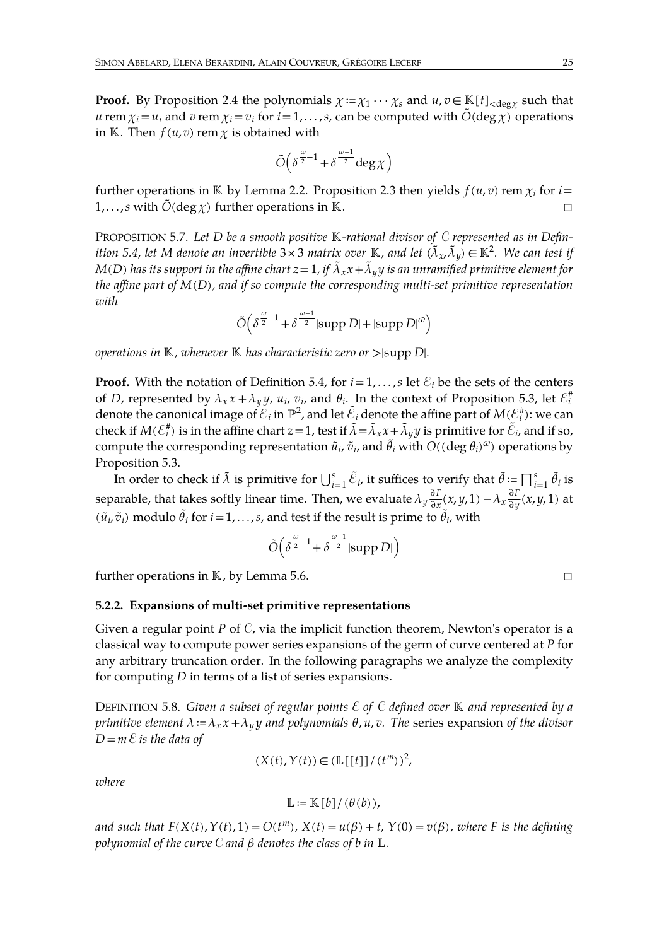**Proof.** By Proposition [2.4](#page-5-2) the polynomials  $\chi := \chi_1 \cdots \chi_s$  and  $u, v \in \mathbb{K}[t]_{\text{edge} \chi}$  such that *u* rem  $\chi_i = u_i$  and *v* rem  $\chi_i = v_i$  for  $i = 1, \ldots, s$ , can be computed with  $O(\deg \chi)$  operations in  $K$ . Then  $f(u,v)$  rem  $\chi$  is obtained with

$$
\tilde{O}\left(\delta^{\frac{\omega}{2}+1} + \delta^{\frac{\omega-1}{2}} \deg \chi\right)
$$

further operations in K by Lemma [2.2.](#page-5-3) Proposition [2.3](#page-5-1) then yields  $f(u, v)$  rem  $\chi_i$  for  $i =$  $1, \ldots, s$  with  $O(\deg \chi)$  further operations in K.

PROPOSITION 5.7. Let D be a smooth positive K-rational divisor of C represented as in Defin-ition [5.4,](#page-23-0) let M denote an invertible 3  $\times$  3 matrix over  $\mathbb K$ , and let  $(\tilde\lambda_x, \tilde\lambda_y)\in\mathbb K^2.$  We can test if  $M(D)$  has its support in the affine chart  $z=1$ , if  $\tilde{\lambda}_x x + \tilde{\lambda}_y y$  is an unramified primitive element for *the affine part of M*(*D*)*, and if so compute the corresponding multi-set primitive representation with*

<span id="page-24-1"></span>
$$
\tilde{O}\left(\delta^{\frac{\omega}{2}+1} + \delta^{\frac{\omega-1}{2}}|\text{supp } D| + |\text{supp } D|^{\omega}\right)
$$

*operations in , whenever has characteristic zero or* >|supp *D*|*.*

**Proof.** With the notation of Definition [5.4,](#page-23-0) for  $i = 1, \ldots, s$  let  $\mathcal{E}_i$  be the sets of the centers of *D*, represented by  $\lambda_x x + \lambda_y y$ ,  $u_i$ ,  $v_i$ , and  $\theta_i$ . In the context of Proposition [5.3,](#page-22-0) let  $\mathcal{E}_i^{\#}$ denote the canonical image of  $\tilde{\cal E}_i$  in  $\mathbb{P}^2$ , and let  $\tilde{\cal E}_i$  denote the affine part of  $M(\cal E_i^{\#})$ : we can check if  $M(\mathcal{E}_i^{\#})$  is in the affine chart  $z\!=\!1$ , test if  $\tilde{\lambda}\!=\!\tilde{\lambda}_xx\!+\!\tilde{\lambda}_yy$  is primitive for  $\tilde{\mathcal{E}}_i$ , and if so, compute the corresponding representation  $\tilde{u}_i$ ,  $\tilde{v}_i$ , and  $\tilde{\theta}_i$  with  $O((\deg\theta_i)^{\varpi})$  operations by Proposition [5.3.](#page-22-0)

In order to check if  $\tilde{\lambda}$  is primitive for  $\bigcup_{i=1}^s \tilde{\mathcal{E}}_i$ , it suffices to verify that  $\tilde{\theta} := \prod_{i=1}^s \tilde{\theta}_i$  is separable, that takes softly linear time. Then, we evaluate  $\lambda_y \frac{\partial F}{\partial x}(x,y,1) - \lambda_x \frac{\partial F}{\partial y}(x,y,1)$  at  $(\tilde{u}_i, \tilde{v}_i)$  modulo  $\tilde{\theta}_i$  for  $i = 1, \ldots, s$ , and test if the result is prime to  $\tilde{\theta}_i$ , with

$$
\tilde{O}\left(\delta^{\frac{\omega}{2}+1} + \delta^{\frac{\omega-1}{2}}|\text{supp } D|\right)
$$

further operations in  $\mathbb{K}$ , by Lemma [5.6.](#page-23-1) □

#### **5.2.2. Expansions of multi-set primitive representations**

Given a regular point  $P$  of  $C$ , via the implicit function theorem, Newton's operator is a classical way to compute power series expansions of the germ of curve centered at *P* for any arbitrary truncation order. In the following paragraphs we analyze the complexity for computing *D* in terms of a list of series expansions.

**DEFINITION 5.8.** Given a subset of regular points  $\mathcal{E}$  of  $\mathcal{C}$  defined over  $\mathbb{K}$  and represented by a *primitive element*  $\lambda := \lambda_x x + \lambda_y y$  *and polynomials*  $\theta, u, v$ . *The series expansion of the divisor*  $D = m \mathcal{E}$  *is the data of* 

<span id="page-24-0"></span>
$$
(X(t), Y(t)) \in (\mathbb{L}[[t]]/(t^m))^2,
$$

*where*

$$
\mathbb{L} \coloneqq \mathbb{K}[b]/(\theta(b)),
$$

and such that  $F(X(t), Y(t), 1) = O(t^m), X(t) = u(\beta) + t, Y(0) = v(\beta)$ , where F is the defining *polynomial of the curve*  $C$  *and*  $\beta$  *denotes the class of b in*  $\mathbb{L}$ *.*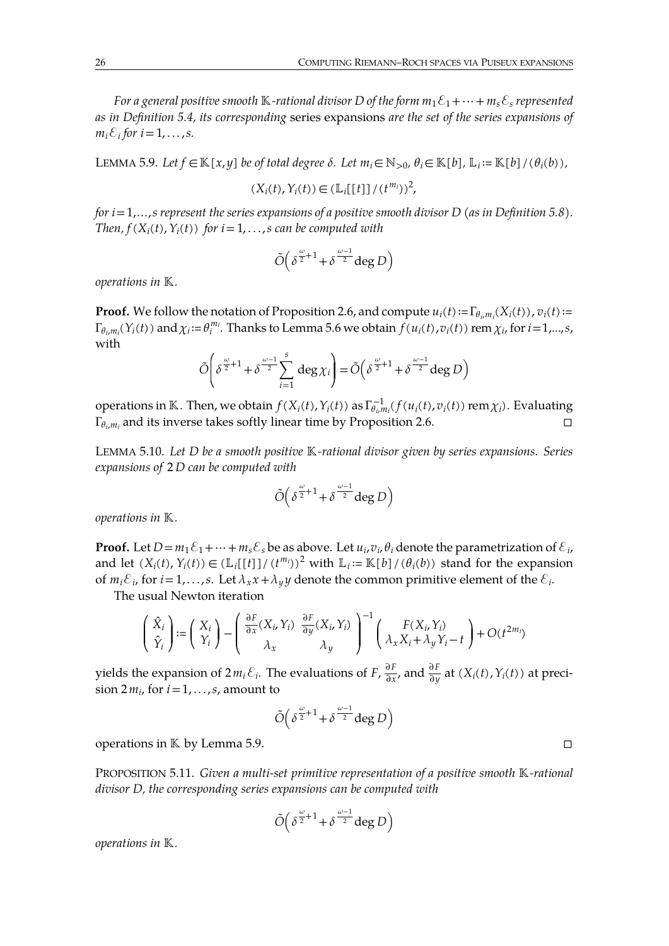*For a general positive smooth*  $K$ -rational divisor *D* of the form  $m_1 \mathcal{E}_1 + \cdots + m_s \mathcal{E}_s$  represented *as in Definition [5.4,](#page-23-0) its corresponding* series expansions *are the set of the series expansions of*  $m_i \mathcal{E}_i$  for  $i = 1, \ldots, s$ .

<span id="page-25-0"></span>*LEMMA* 5.9. *Let f* ∈  $K[x, y]$  *be of total degree δ*. *Let*  $m_i ∈ N_{>0}$ *,*  $\theta_i ∈ K[b]$ *,*  $L_i := K[b]/(\theta_i(b))$ *,* 

$$
(X_i(t), Y_i(t)) \in (\mathbb{L}_i[[t]]/(t^{m_i}))^2
$$
,

for  $i = 1,...,s$  represent the series expansions of a positive smooth divisor D (as in Definition [5.8\)](#page-24-0). *Then,*  $f(X_i(t), Y_i(t))$  *for*  $i = 1, \ldots, s$  *can be computed with* 

$$
\tilde{O}\Big(\delta^{\frac{\omega}{2}+1} + \delta^{\frac{\omega-1}{2}}\text{deg}\,D\Big)
$$

*operations in .*

**Proof.** We follow the notation of Proposition [2.6,](#page-7-1) and compute  $u_i(t) := \Gamma_{\theta_i, m_i}(X_i(t))$ ,  $v_i(t) :=$  $\Gamma_{\theta_i,m_i}(Y_i(t))$  and  $\chi_i := \theta_i^{m_i}$ . Thanks to Lemma [5.6](#page-23-1) we obtain  $f(u_i(t), v_i(t))$  rem  $\chi_i$ , for  $i = 1,...,s$ , with

$$
\tilde{O}\left(\delta^{\frac{\omega}{2}+1} + \delta^{\frac{\omega-1}{2}}\sum_{i=1}^{s} \deg \chi_{i}\right) = \tilde{O}\left(\delta^{\frac{\omega}{2}+1} + \delta^{\frac{\omega-1}{2}} \deg D\right)
$$

operations in  $K$ . Then, we obtain  $f(X_i(t), Y_i(t))$  as  $\Gamma_{\theta_i,m_i}^{-1}(f(u_i(t), v_i(t))$  rem  $\chi_i$ ). Evaluating  $\Gamma_{\theta_i, m_i}$  and its inverse takes softly linear time by Proposition [2.6.](#page-7-1)  $\Box$ 

<span id="page-25-1"></span>LEMMA 5.10. *Let D be a smooth positive -rational divisor given by series expansions. Series expansions of* 2*D canbe computed with*

$$
\tilde{O}\Big(\delta^{\frac{\omega}{2}+1} + \delta^{\frac{\omega-1}{2}} \deg D\Big)
$$

*operations in .*

**Proof.** Let  $D = m_1 \mathcal{E}_1 + \dots + m_s \mathcal{E}_s$  be as above. Let  $u_i, v_i, \theta_i$  denote the parametrization of  $\mathcal{E}_i$ , and let  $(X_i(t), Y_i(t)) \in (\mathbb{L}_i[[t]]/(t^{m_i}))^2$  with  $\mathbb{L}_i := \mathbb{K}[b]/(\theta_i(b))$  stand for the expansion of  $m_i \mathcal{E}_i$ , for  $i = 1, \ldots, s$ . Let  $\lambda_x x + \lambda_y y$  denote the common primitive element of the  $\mathcal{E}_i$ .

The usual Newton iteration

$$
\begin{pmatrix} \hat{X}_i \\ \hat{Y}_i \end{pmatrix} := \begin{pmatrix} X_i \\ Y_i \end{pmatrix} - \begin{pmatrix} \frac{\partial F}{\partial x}(X_i, Y_i) & \frac{\partial F}{\partial y}(X_i, Y_i) \\ \lambda_x & \lambda_y \end{pmatrix}^{-1} \begin{pmatrix} F(X_i, Y_i) \\ \lambda_x X_i + \lambda_y Y_i - t \end{pmatrix} + O(t^{2m_i})
$$

yields the expansion of  $2m_i\mathcal{E}_i$ . The evaluations of  $F$ ,  $\frac{\partial F}{\partial x'}$ , and  $\frac{\partial F}{\partial y}$  at  $(X_i(\theta))$  $\frac{\partial I}{\partial y}$  at  $(X_i(t), Y_i(t))$  at precision  $2m_i$ , for  $i = 1, \ldots, s$ , amount to

$$
\tilde{O}\Big(\delta^{\frac{\omega}{2}+1} + \delta^{\frac{\omega-1}{2}} \deg D\Big)
$$

operations in  $K$  by Lemma [5.9.](#page-25-0) □

PROPOSITION 5.11. *Given a multi-set primitive representation of a positive smooth -rational divisor D, the corresponding series expansions can be computed with*

<span id="page-25-2"></span>
$$
\tilde{O}\left(\delta^{\frac{\omega}{2}+1} + \delta^{\frac{\omega-1}{2}} \deg D\right)
$$

*operations in .*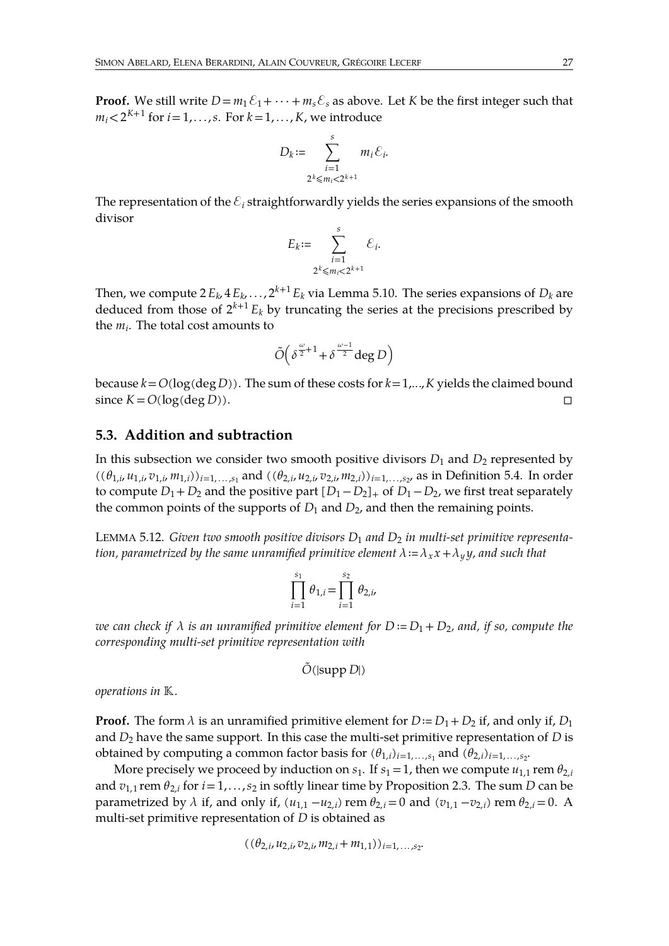**Proof.** We still write  $D = m_1 \mathcal{E}_1 + \cdots + m_s \mathcal{E}_s$  as above. Let *K* be the first integer such that  $m_i$   $\lt$  2<sup>*K*+1</sup> for *i* = 1, . . . , *s*. For *k* = 1, . . . , *K*, we introduce

$$
D_k := \sum_{\substack{i=1 \ 2^k \le m_i < 2^{k+1}}}^s m_i \mathcal{E}_i.
$$

The representation of the  $\mathcal{E}_i$  straightforwardly yields the series expansions of the smooth divisor

$$
E_k := \sum_{\substack{i=1 \ 2^k \le m_i < 2^{k+1}}}^s \mathcal{E}_i.
$$

Then, we compute  $2E_k$ , $4E_k, \ldots, 2^{k+1}E_k$  via Lemma [5.10.](#page-25-1) The series expansions of  $D_k$  are deduced from those of  $2^{k+1}E_k$  by truncating the series at the precisions prescribed by the *mi*. The total cost amounts to

$$
\tilde{O}\Big(\delta^{\frac{\omega}{2}+1} + \delta^{\frac{\omega-1}{2}}\deg D\Big)
$$

because  $k = O(\log(\deg D))$ . The sum of these costs for  $k = 1, ..., K$  yields the claimed bound since  $K = O(\log(\deg D))$ .

# **5.3. Addition and subtraction**

In this subsection we consider two smooth positive divisors  $D_1$  and  $D_2$  represented by  $((\theta_{1,i},u_{1,i},v_{1,i},m_{1,i}))_{i=1,\ldots,s_1}$  and  $((\theta_{2,i},u_{2,i},v_{2,i},m_{2,i}))_{i=1,\ldots,s_2}$ , as in Definition [5.4.](#page-23-0) In order to compute  $D_1 + D_2$  and the positive part  $[D_1 - D_2]_+$  of  $D_1 - D_2$ , we first treat separately the common points of the supports of  $D_1$  and  $D_2$ , and then the remaining points.

<span id="page-26-0"></span>LEMMA 5.12. *Given two smooth positive divisors D*<sup>1</sup> *and D*<sup>2</sup> *in multi-set primitive representation, parametrized by the same unramified primitive element*  $\lambda := \lambda_x x + \lambda_y y$ , and such that

$$
\prod_{i=1}^{s_1} \theta_{1,i} = \prod_{i=1}^{s_2} \theta_{2,i},
$$

*we* can check if  $\lambda$  is an unramified primitive element for  $D := D_1 + D_2$ , and, if so, compute the *corresponding multi-set primitive representation with*

$$
\tilde{O}(|\text{supp } D|)
$$

*operations in .*

**Proof.** The form  $\lambda$  is an unramified primitive element for  $D := D_1 + D_2$  if, and only if,  $D_1$ and *D*<sup>2</sup> have the same support. In this case the multi-set primitive representation of *D* is obtained by computing a common factor basis for  $(\theta_{1,i})_{i=1,\ldots,s_1}$  and  $(\theta_{2,i})_{i=1,\ldots,s_2}$ .

More precisely we proceed by induction on  $s_1$ . If  $s_1 = 1$ , then we compute  $u_{1,1}$  rem  $\theta_{2,i}$ and  $v_{1,1}$  rem  $\theta_{2,i}$  for  $i=1,\ldots,s_2$  in softly linear time by Proposition [2.3.](#page-5-1) The sum *D* can be parametrized by  $\lambda$  if, and only if,  $(u_{1,1} - u_{2,i})$  rem  $\theta_{2,i} = 0$  and  $(v_{1,1} - v_{2,i})$  rem  $\theta_{2,i} = 0$ . A multi-set primitive representation of *D* is obtained as

$$
((\theta_{2,i}, u_{2,i}, v_{2,i}, m_{2,i} + m_{1,1}))_{i=1,...,s_2}.
$$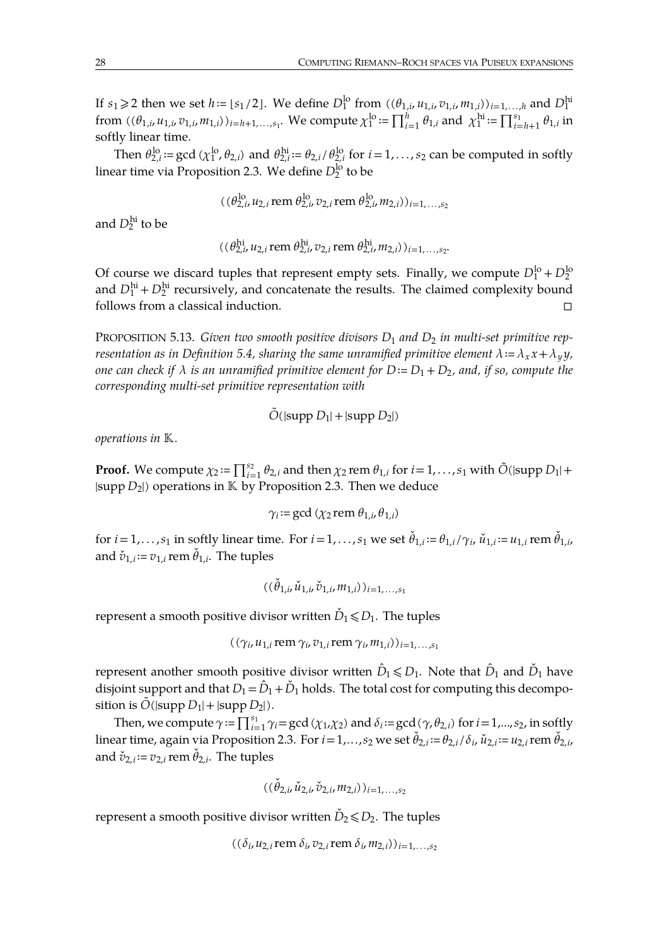If *s*<sub>1</sub> ≥ 2 then we set *h* ≔ [*s*<sub>1</sub>/2]. We define  $D_1^{\text{lo}}$  from  $((θ_{1,i}, u_{1,i}, v_{1,i}, m_{1,i}))_{i=1,...,h}$  and  $D_1^{\text{hi}}$ from  $((\theta_{1,i}, u_{1,i}, v_{1,i}, m_{1,i}))_{i=h+1,...,s_1}$ . We compute  $\chi_1^{\text{lo}} := \prod_{i=1}^h \theta_{1,i}$  and  $\chi_1^{\text{hi}} := \prod_{i=h+1}^{s_1} \theta_{1,i}$  in softly linear time.

Then  $\theta_{2,i}^{lo} := \gcd(\chi_1^{lo}, \theta_{2,i})$  and  $\theta_{2,i}^{hi} := \theta_{2,i}/\theta_{2,i}^{lo}$  for  $i = 1, ..., s_2$  can be computed in softly linear time via Proposition [2.3.](#page-5-1) We define  $D_2^{\rm lo}$  to be

$$
((\theta_{2,i}^{lo}, u_{2,i} \text{ rem } \theta_{2,i}^{lo}, v_{2,i} \text{ rem } \theta_{2,i}^{lo}, m_{2,i}))_{i=1,...,s_2}
$$

and  $D_2^{\text{hi}}$  to be

<span id="page-27-0"></span>
$$
((\theta_{2,i}^{hi}, u_{2,i} \text{ rem }\theta_{2,i}^{hi}, v_{2,i} \text{ rem }\theta_{2,i}^{hi}, m_{2,i}))_{i=1,...,s_2}.
$$

Of course we discard tuples that represent empty sets. Finally, we compute  $D_1^{\text{lo}} + D_2^{\text{lo}}$ and  $D_1^{\text{hi}} + D_2^{\text{hi}}$  recursively, and concatenate the results. The claimed complexity bound follows from a classical induction. □

PROPOSITION 5.13. *Given two smooth positive divisors D*<sup>1</sup> *and D*<sup>2</sup> *in multi-set primitive rep resentation as in Definition* [5.4,](#page-23-0) *sharing the same unramified primitive element*  $\lambda := \lambda_x x + \lambda_y y$ , one can check if  $\lambda$  is an unramified primitive element for  $D := D_1 + D_2$ , and, if so, compute the *corresponding multi-set primitive representation with*

$$
\tilde{O}(|\text{supp } D_1| + |\text{supp } D_2|)
$$

*operations in .*

**Proof.** We compute  $\chi_2$ :=  $\prod_{i=1}^{s_2} \theta_{2,i}$  and then  $\chi_2$  rem  $\theta_{1,i}$  for  $i=1,\ldots,s_1$  with  $\tilde{O}(|\text{supp } D_1| +$ |supp  $D_2$ |) operations in  $K$  by Proposition [2.3.](#page-5-1) Then we deduce

$$
\gamma_i := \gcd(\chi_2 \text{ rem } \theta_{1,i}, \theta_{1,i})
$$

for  $i=1,\ldots,s_1$  in softly linear time. For  $i=1,\ldots,s_1$  we set  $\check{\theta}_{1,i}:=\theta_{1,i}/\gamma_i$ ,  $\check{u}_{1,i}:=u_{1,i}$  rem  $\check{\theta}_{1,i}$ , and  $\check{v}_{1,i}\!:=\!v_{1,i}$  rem  $\check{\theta}_{1,i}.$  The tuples

$$
((\check{\theta}_{1,i}, \check{u}_{1,i}, \check{v}_{1,i}, m_{1,i}))_{i=1,...,s_1}
$$

represent a smooth positive divisor written  $\check{D}_1 \leq D_1$ . The tuples

$$
((\gamma_i, u_{1,i} \text{ rem } \gamma_i, v_{1,i} \text{ rem } \gamma_i, m_{1,i}))_{i=1,\ldots,s_1}
$$

represent another smooth positive divisor written  $\hat{D}_1 \leq D_1$ . Note that  $\hat{D}_1$  and  $\hat{D}_1$  have disjoint support and that  $D_1 = \hat{D}_1 + \hat{D}_1$  holds. The total cost for computing this decomposition is  $O(|\text{supp } D_1| + |\text{supp } D_2|)$ .

Then, we compute  $\gamma := \prod_{i=1}^{s_1} \gamma_i = \gcd(\chi_1, \chi_2)$  and  $\delta_i := \gcd(\gamma, \theta_{2,i})$  for  $i = 1,...,s_2$ , in softly linear time, again via Proposition [2.3.](#page-5-1) For  $i\!=\!1,...,s_2$  we set  $\check{\theta}_{2,i}\!:=\!\theta_{2,i}/\delta_i$ ,  $\check{u}_{2,i}\!:=\!u_{2,i}$ rem  $\check{\theta}_{2,i}$ , and  $\check{v}_{2,i}\!:=\!v_{2,i}$  rem  $\check{\theta}_{2,i}.$  The tuples

$$
((\check{\theta}_{2,i},\check{u}_{2,i},\check{v}_{2,i},m_{2,i}))_{i=1,\ldots,s_2}
$$

represent a smooth positive divisor written  $\check{D}_2 \leq D_2$ . The tuples

$$
((\delta_i, u_{2,i} \text{ rem } \delta_i, v_{2,i} \text{ rem } \delta_i, m_{2,i}))_{i=1,\ldots,s_2}
$$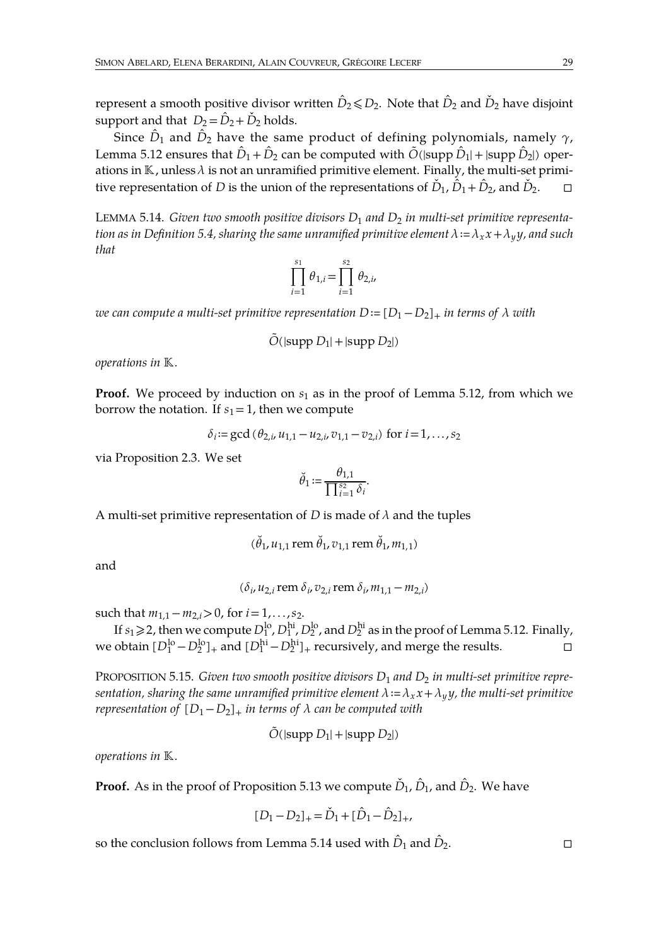represent a smooth positive divisor written  $\hat{D}_2 \leq D_2$ . Note that  $\hat{D}_2$  and  $\hat{D}_2$  have disjoint support and that  $D_2 = \hat{D}_2 + \hat{D}_2$  holds.

Since  $\hat{D}_1$  and  $\hat{D}_2$  have the same product of defining polynomials, namely  $\gamma$ , Lemma [5.12](#page-26-0) ensures that  $\hat{D}_1 + \hat{D}_2$  can be computed with  $\tilde{O}(|\text{supp }\hat{D}_1| + |\text{supp }\hat{D}_2|)$  operations in  $K$ , unless  $\lambda$  is not an unramified primitive element. Finally, the multi-set primitive representation of *D* is the union of the representations of  $\check{D}_1$ ,  $\hat{D}_1 + \hat{D}_2$ , and  $\check{D}_2$ .  $\square$ 

<span id="page-28-0"></span>LEMMA 5.14. *Given two smooth positive divisors D*<sup>1</sup> *and D*<sup>2</sup> *in multi-set primitive representation as in Definition* [5.4,](#page-23-0) *sharing the same unramified primitive element*  $\lambda := \lambda_x x + \lambda_y y$ , *and such that*

$$
\prod_{i=1}^{s_1} \theta_{1,i} = \prod_{i=1}^{s_2} \theta_{2,i},
$$

*we* can compute a multi-set primitive representation  $D := [D_1 - D_2]_+$  in terms of  $\lambda$  with

$$
\tilde{O}(|\text{supp } D_1| + |\text{supp } D_2|)
$$

*operations in .*

**Proof.** We proceed by induction on  $s_1$  as in the proof of Lemma [5.12,](#page-26-0) from which we borrow the notation. If  $s_1 = 1$ , then we compute

$$
\delta_i
$$
 := gcd  $(\theta_{2,i}, u_{1,1} - u_{2,i}, v_{1,1} - v_{2,i})$  for  $i = 1, ..., s_2$ 

via Proposition [2.3.](#page-5-1) We set

$$
\breve{\theta}_1 := \frac{\theta_{1,1}}{\prod_{i=1}^{s_2} \delta_i}.
$$

A multi-set primitive representation of *D* is made of  $\lambda$  and the tuples

$$
(\check{\theta}_1, u_{1,1} \text{ rem } \check{\theta}_1, v_{1,1} \text{ rem } \check{\theta}_1, m_{1,1})
$$

and

$$
(\delta_i, u_{2,i} \text{ rem } \delta_i, v_{2,i} \text{ rem } \delta_i, m_{1,1} - m_{2,i})
$$

such that  $m_{1,1} - m_{2,i} > 0$ , for  $i = 1, ..., s_2$ .

If  $s_1$  $\geqslant$  2, then we compute  $D_1^{\rm lo}$ ,  $D_1^{\rm hi}$ ,  $D_2^{\rm lo}$ , and  $D_2^{\rm hi}$  as in the proof of Lemma [5.12.](#page-26-0) Finally, we obtain  $[D_1^{\text{lo}} - D_2^{\text{lo}}]_+$  and  $[D_1^{\text{hi}} - D_2^{\text{hi}}]_+$  recursively, and merge the results. □

PROPOSITION 5.15. *Given two smooth positive divisors D*<sup>1</sup> *and D*<sup>2</sup> *in multi-set primitive repre sentation, sharing the same unramified primitive element*  $\lambda := \lambda_x x + \lambda_y y$ , *the multi-set primitive representation of*  $[D_1 - D_2]_+$  *in terms of*  $\lambda$  *can be computed with* 

<span id="page-28-1"></span>
$$
\tilde{O}(|\text{supp } D_1| + |\text{supp } D_2|)
$$

*operations in .*

**Proof.** As in the proof of Proposition [5.13](#page-27-0) we compute  $\dot{D}_1$ ,  $\dot{D}_1$ , and  $\dot{D}_2$ . We have

$$
[D_1 - D_2]_+ = \check{D}_1 + [\hat{D}_1 - \hat{D}_2]_+,
$$

so the conclusion follows from Lemma [5.14](#page-28-0) used with  $\hat{D}_1$  and  $\hat{D}_2$ .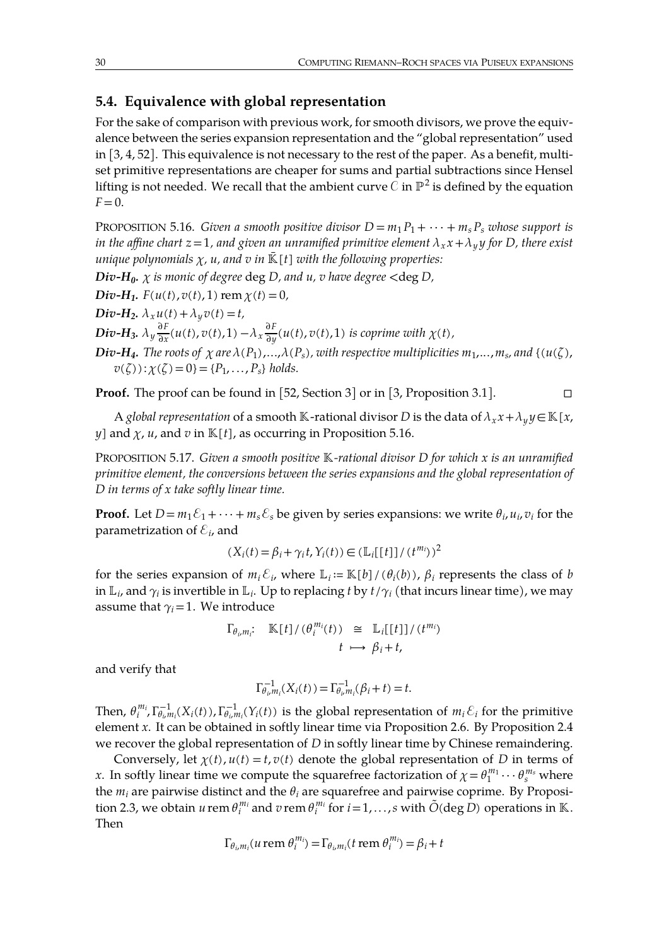# **5.4. Equivalence with global representation**

For the sake of comparison with previous work, for smooth divisors, we prove the equivalence between the series expansion representation and the "global representation" used in  $[3, 4, 52]$  $[3, 4, 52]$  $[3, 4, 52]$  $[3, 4, 52]$  $[3, 4, 52]$ . This equivalence is not necessary to the rest of the paper. As a benefit, multiset primitive representations are cheaper for sums and partial subtractions since Hensel lifting is not needed. We recall that the ambient curve  $\mathcal C$  in  $\mathbb P^2$  is defined by the equation  $F=0$ .

<span id="page-29-0"></span>PROPOSITION 5.16. *Given a smooth positive divisor*  $D = m_1 P_1 + \cdots + m_s P_s$  *whose support is* in the affine chart  $z = 1$ , and given an unramified primitive element  $\lambda_x x + \lambda_y y$  for D, there exist *unique* polynomials  $\chi$ ,  $u$ , and  $v$  *in*  $\bar{k}$ [t] with the following properties:

 $Div-H_0$ *.*  $\chi$  *is monic of degree* deg *D*, *and*  $u$ *,*  $v$  *have degree*  $\langle$  deg *D*,

 $Div-H_1$ *.*  $F(u(t), v(t), 1)$  rem  $\chi(t) = 0$ *,* 

*Div*- $H_2$ *.*  $\lambda_x u(t) + \lambda_y v(t) = t$ *,* 

**Div-H<sub>3</sub>.**  $\lambda_y \frac{\partial F}{\partial x}(u(t), v(t), 1) - \lambda_x \frac{\partial F}{\partial y}(u(t), v(t), 1)$  is coprime with  $\chi(t)$ ,

**Div-H4.** The roots of  $\chi$  are  $\lambda(P_1),...,\lambda(P_s)$ , with respective multiplicities  $m_1,...,m_s$ , and {(u(ζ),  $v(\zeta)$  :  $\chi(\zeta) = 0$  = { $P_1, \ldots, P_s$ } *holds.* 

**Proof.** The proof can be found in [\[52,](#page-46-3) Section 3] or in [\[3,](#page-44-0) Proposition 3.1]. □

A *global representation* of a smooth K-rational divisor *D* is the data of  $\lambda_x x + \lambda_y y \in K[x,$ *y*] and  $\chi$ , *u*, and *v* in  $\mathbb{K}[t]$ , as occurring in Proposition [5.16.](#page-29-0)

PROPOSITION 5.17. *Given a smooth positive -rational divisor D for which x is an unramified primitive element, the conversions between the series expansions and the global representation of D in terms of x take softly linear time.*

**Proof.** Let  $D = m_1 \mathcal{E}_1 + \cdots + m_s \mathcal{E}_s$  be given by series expansions: we write  $\theta_i$ ,  $u_i$ ,  $v_i$  for the parametrization of  $\varepsilon_i$ , and

$$
(X_i(t) = \beta_i + \gamma_i t, Y_i(t)) \in (\mathbb{L}_i[[t]]/(t^{m_i}))^2
$$

for the series expansion of  $m_i \mathcal{E}_i$ , where  $\mathbb{L}_i := \mathbb{K}[b]/(\theta_i(b))$ ,  $\beta_i$  represents the class of *b* in  $\mathbb{L}_i$ , and  $\gamma_i$  is invertible in  $\mathbb{L}_i$ . Up to replacing *t* by  $t/\gamma_i$  (that incurs linear time), we may assume that  $\gamma_i=1$ . We introduce

$$
\Gamma_{\theta_i, m_i}: \mathbb{K}[t]/(\theta_i^{m_i}(t)) \cong \mathbb{L}_i[[t]]/(t^{m_i})
$$
  

$$
t \mapsto \beta_i + t,
$$

and verify that

$$
\Gamma_{\theta_i, m_i}^{-1}(X_i(t)) = \Gamma_{\theta_i, m_i}^{-1}(\beta_i + t) = t.
$$

Then,  $\theta_i^{m_i}$ ,  $\Gamma_{\theta_i,m_i}^{-1}(X_i(t))$ ,  $\Gamma_{\theta_i,m_i}^{-1}(Y_i(t))$  is the global representation of  $m_i \mathcal{E}_i$  for the primitive element *x*. It can be obtained in softly linear time via Proposition [2.6.](#page-7-1) By Proposition [2.4](#page-5-2) we recover the global representation of *D* in softly linear time by Chinese remaindering.

Conversely, let  $\chi(t)$ ,  $u(t) = t$ ,  $v(t)$  denote the global representation of *D* in terms of *x*. In softly linear time we compute the squarefree factorization of  $\chi = \theta_1^{m_1} \cdots \theta_s^{m_s}$  where the  $m_i$  are pairwise distinct and the  $\theta_i$  are squarefree and pairwise coprime. By Proposi-tion [2.3,](#page-5-1) we obtain *u* rem  $\theta_i^{m_i}$  and *v* rem  $\theta_i^{m_i}$  for  $i = 1, \ldots, s$  with  $\tilde{O}(\deg D)$  operations in K. Then

$$
\Gamma_{\theta_i, m_i}(u \text{ rem } \theta_i^{m_i}) = \Gamma_{\theta_i, m_i}(t \text{ rem } \theta_i^{m_i}) = \beta_i + t
$$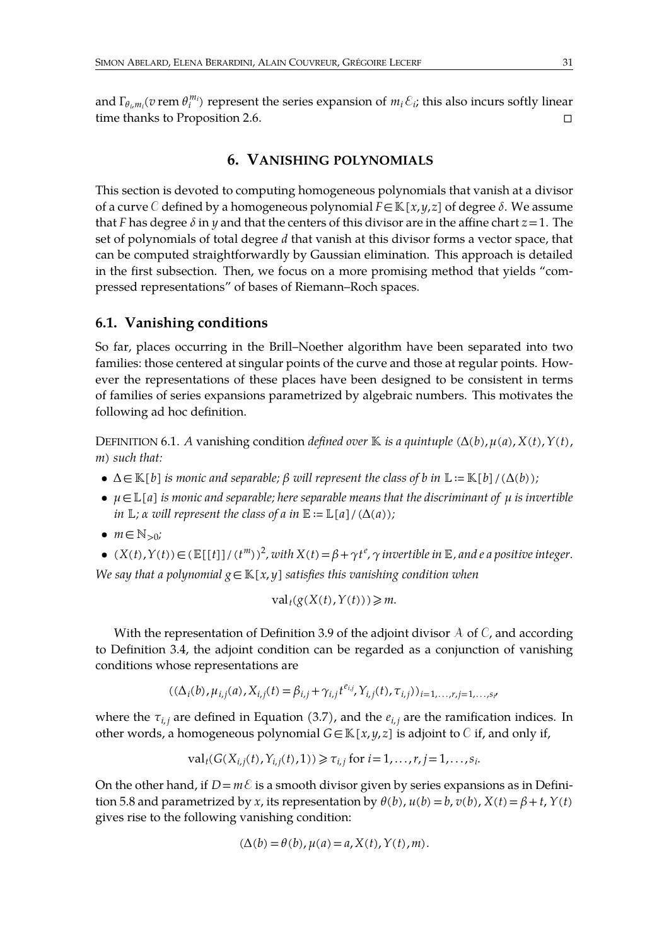and  $\Gamma_{\theta_i,m_i}(v \text{ rem } \theta_i^{m_i})$  represent the series expansion of  $m_i \mathcal{E}_i$ ; this also incurs softly linear time thanks to Proposition [2.6.](#page-7-1) □

# <span id="page-30-2"></span><span id="page-30-0"></span>**6. VANISHING POLYNOMIALS**

This section is devoted to computing homogeneous polynomials that vanish at a divisor of a curve C defined by a homogeneous polynomial  $F \in K[x, y, z]$  of degree  $\delta$ . We assume that *F* has degree  $\delta$  in *y* and that the centers of this divisor are in the affine chart  $z = 1$ . The set of polynomials of total degree *d* that vanish at this divisor forms a vector space, that can be computed straightforwardly by Gaussian elimination. This approach is detailed in the first subsection. Then, we focus on a more promising method that yields "compressed representations" of bases of Riemann–Roch spaces.

## **6.1. Vanishing conditions**

So far, places occurring in the Brill–Noether algorithm have been separated into two families: those centered at singular points of the curve and those at regular points. However the representations of these places have been designed to be consistent in terms of families of series expansions parametrized by algebraic numbers. This motivates the following ad hoc definition.

<span id="page-30-1"></span>DEFINITION 6.1. *A* vanishing condition *defined over*  $K$  *is a quintuple*  $(\Delta(b), \mu(a), X(t), Y(t))$ *m*) *such that:*

- $\Delta \in \mathbb{K}[b]$  *is monic and separable;*  $\beta$  *will represent the class of b in*  $\mathbb{L} := \mathbb{K}[b]/(\Delta(b))$ *;*
- $\mu \in \mathbb{L}[a]$  *is monic and separable; here separable means that the discriminant of*  $\mu$  *is invertible in*  $\mathbb{L}$ *;*  $\alpha$  *will represent the class of a in*  $\mathbb{E} := \mathbb{L}[a]/(\Delta(a))$ *;*
- $\bullet$   $m \in \mathbb{N}_{>0}$ ;
- $(X(t), Y(t)) \in (\mathbb{E}[[t]]/(t^m))^2$ , with  $X(t) = \beta + \gamma t^e$ ,  $\gamma$  invertible in  $\mathbb{E}$ , and e a positive integer. *We* say that a polynomial  $g \in K[x, y]$  satisfies this vanishing condition when

$$
\mathrm{val}_t(g(X(t), Y(t))) \geq m.
$$

With the representation of Definition [3.9](#page-16-0) of the adjoint divisor  $A$  of  $C$ , and according to Definition [3.4,](#page-14-2) the adjoint condition can be regarded as a conjunction of vanishing conditions whose representations are

$$
((\Delta_i(b), \mu_{i,j}(a), X_{i,j}(t)) = \beta_{i,j} + \gamma_{i,j} t^{e_{i,j}}, Y_{i,j}(t), \tau_{i,j})_{i=1,\ldots,r, j=1,\ldots,s_i}
$$

where the  $\tau_{i,j}$  are defined in Equation [\(3.7\)](#page-17-1), and the  $e_{i,j}$  are the ramification indices. In other words, a homogeneous polynomial  $G \in K[x, y, z]$  is adjoint to  $C$  if, and only if,

$$
val_t(G(X_{i,j}(t), Y_{i,j}(t), 1)) \ge \tau_{i,j}
$$
 for  $i = 1, ..., r, j = 1, ..., s_i$ .

On the other hand, if  $D = m \mathcal{E}$  is a smooth divisor given by series expansions as in Defini-tion [5.8](#page-24-0) and parametrized by *x*, its representation by  $\theta$ (*b*),  $u$ (*b*) = *b*,  $v$ (*b*),  $X$ (*t*) =  $\beta$  + *t*,  $Y$ (*t*) gives rise to the following vanishing condition:

$$
(\Delta(b) = \theta(b), \mu(a) = a, X(t), Y(t), m).
$$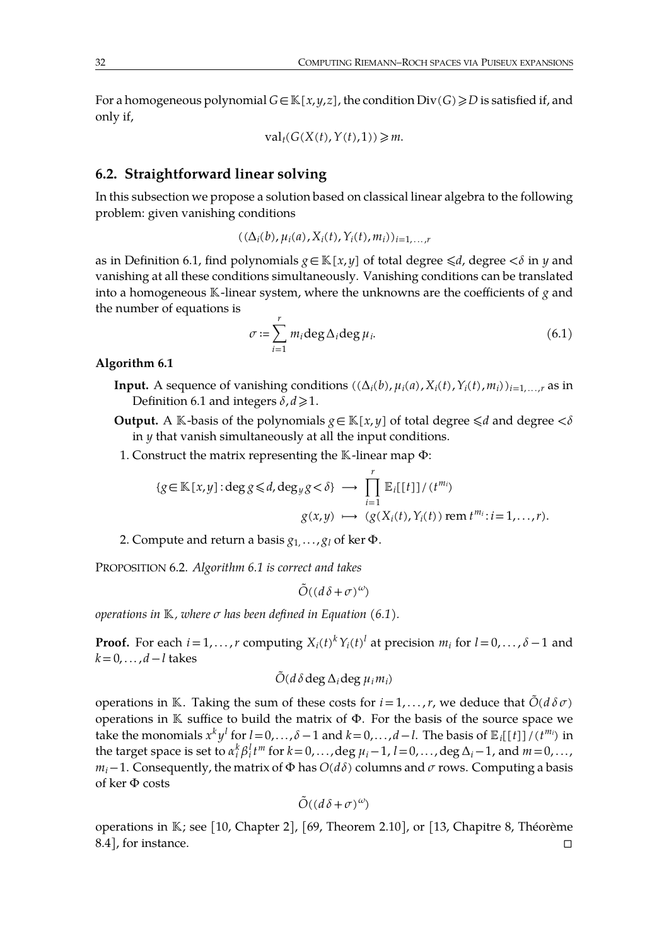For a homogeneous polynomial  $G \in K[x,y,z]$ , the condition  $Div(G) \ge D$  is satisfied if, and only if,

 $val_t(G(X(t), Y(t),1)) \geq m$ .

# **6.2. Straightforward linear solving**

In this subsection we propose a solution based on classical linear algebra to the following problem: given vanishing conditions

$$
((\Delta_i(b),\mu_i(a),X_i(t),Y_i(t),m_i))_{i=1,\ldots,r}
$$

as in Definition [6.1,](#page-30-1) find polynomials *g*∈ $K[x, y]$  of total degree  $\le d$ , degree  $\lt \delta$  in *y* and vanishing at all these conditions simultaneously. Vanishing conditions can be translated into a homogeneous  $K$ -linear system, where the unknowns are the coefficients of  $g$  and the number of equations is

<span id="page-31-1"></span>
$$
\sigma := \sum_{i=1}^{r} m_i \deg \Delta_i \deg \mu_i.
$$
 (6.1)

**Algorithm 6.1**

- <span id="page-31-0"></span>**Input.** A sequence of vanishing conditions  $((\Delta_i(b), \mu_i(a), X_i(t), Y_i(t), m_i))_{i=1,\dots,r}$  as in Definition [6.1](#page-30-1) and integers  $\delta, d \ge 1$ .
- **Output.** A  $K$ -basis of the polynomials  $g \in K[x, y]$  of total degree  $\le d$  and degree  $\le \delta$ in *y* that vanish simultaneously at all the input conditions.
- 1. Construct the matrix representing the  $K$ -linear map  $\Phi$ :

$$
\{g \in \mathbb{K}[x,y]: \deg g \leq d, \deg_y g < \delta\} \longrightarrow \prod_{i=1}^r \mathbb{E}_i[[t]]/(t^{m_i})
$$
\n
$$
g(x,y) \longmapsto (g(X_i(t), Y_i(t)) \text{ rem } t^{m_i}: i = 1, \dots, r).
$$

<span id="page-31-2"></span>2. Compute and return a basis  $g_1, \ldots, g_l$  of ker  $\Phi$ .

PROPOSITION 6.2. *Algorithm [6.1](#page-31-0) is correct and takes*

 $\tilde{O}((d\,\delta+\sigma)^{\omega})$ 

*operations in*  $K$ *, where*  $\sigma$  *has been defined in Equation* [\(6.1\)](#page-31-1)*.* 

**Proof.** For each  $i = 1, ..., r$  computing  $X_i(t)^k Y_i(t)^l$  at precision  $m_i$  for  $l = 0, ..., \delta - 1$  and *k*=0, . . .,*d*−*l* takes

$$
\tilde{O}(d\,\delta\deg\Delta_i\deg\mu_im_i)
$$

operations in K. Taking the sum of these costs for  $i = 1, \ldots, r$ , we deduce that  $\tilde{O}(d \delta \sigma)$ operations in  $K$  suffice to build the matrix of  $\Phi$ . For the basis of the source space we take the monomials  $x^k y^l$  for  $l = 0, \ldots, \delta - 1$  and  $k = 0, \ldots, d - l$ . The basis of  $\mathbb{E}_i[[t]]/(t^{m_i})$  in the target space is set to  $\alpha_i^k \beta_i^l t^m$  for  $k = 0, \ldots$ , deg  $\mu_i - 1$ ,  $l = 0, \ldots$ , deg  $\Delta_i - 1$ , and  $m = 0, \ldots$ ,  $m_i-1$ . Consequently, the matrix of  $\Phi$  has  $O(d\delta)$  columns and  $\sigma$  rows. Computing a basis of ker Φ costs

$$
\tilde{O}((d\,\delta + \sigma)^{\omega})
$$

operations in K; see [\[10,](#page-45-22) Chapter 2], [\[69,](#page-47-13) Theorem 2.10], or [\[13,](#page-45-23) Chapitre 8, Théorème 8.4], for instance.  $\Box$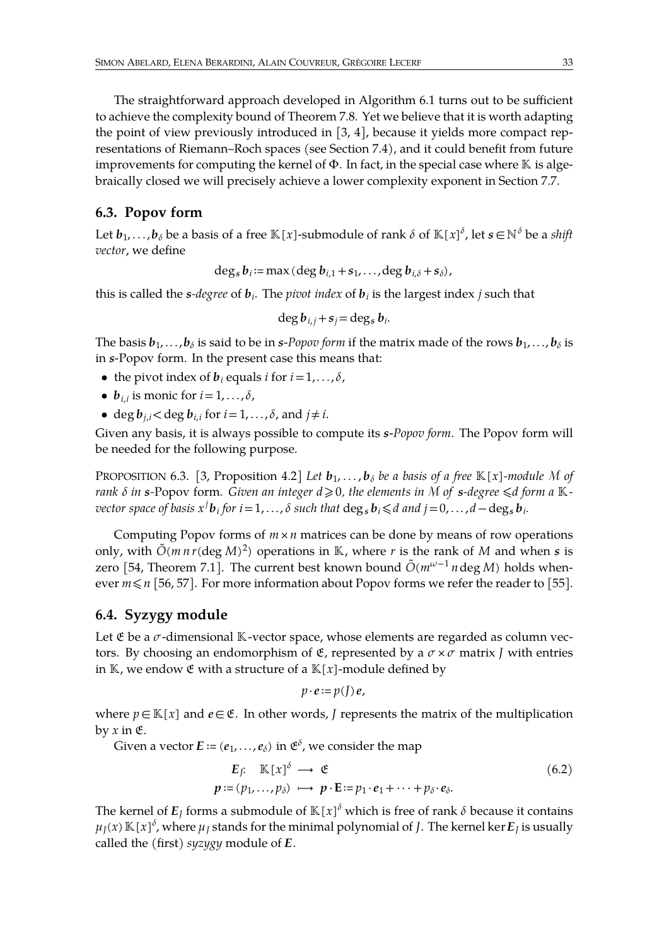The straightforward approach developed in Algorithm [6.1](#page-31-0) turns out to be sufficient to achieve the complexity bound of Theorem [7.8.](#page-42-0) Yet we believe that it is worth adapting the point of view previously introduced in [\[3,](#page-44-0)[4\]](#page-45-6), because it yields more compact rep resentations of Riemann–Roch spaces (see Section [7.4\)](#page-38-0), and it could benefit from future improvements for computing the kernel of  $\Phi$ . In fact, in the special case where  $\mathbb K$  is algebraically closed we will precisely achieve a lower complexity exponent in Section [7.7.](#page-43-0)

# **6.3. Popov form**

Let  $b_1,\ldots,b_\delta$  be a basis of a free  $\mathbb{K}[x]$ -submodule of rank  $\delta$  of  $\mathbb{K}[x]^\delta$ , let  $s\!\in\!\mathbb{N}^\delta$  be a *shift vector*, we define

$$
\deg_s b_i := \max (\deg b_{i,1} + s_1, \ldots, \deg b_{i,\delta} + s_\delta),
$$

this is called the *s*-degree of  $b_i$ . The *pivot index* of  $b_j$  is the largest index *j* such that

$$
\deg b_{i,j} + s_j = \deg_s b_i.
$$

The basis  $b_1, \ldots, b_\delta$  is said to be in *s*-*Popov form* if the matrix made of the rows  $b_1, \ldots, b_\delta$  is in s-Popov form. In the present case this means that:

- the pivot index of  $b_i$  equals *i* for  $i = 1, \ldots, \delta$ ,
- $b_{i,i}$  is monic for  $i = 1, \ldots, \delta$ ,
- deg  $b_{i,i}$  < deg  $b_{i,i}$  for  $i = 1, \ldots, \delta$ , and  $j \neq i$ .

Given any basis, it is always possible to compute its  $s$ -Popov form. The Popov form will be needed for the following purpose.

<span id="page-32-1"></span>PROPOSITION 6.3. [\[3,](#page-44-0) Proposition 4.2] *Let*  $\mathbf{b}_1, \ldots, \mathbf{b}_\delta$  *be a basis of a free*  $\mathbb{K}[x]$ *-module* M of *rank*  $\delta$  *in s*-Popov form. Given an *integer*  $d \ge 0$ *, the elements in*  $M$  *of s*-degree  $\le d$  *form* a  $K$ - $\alpha$  *vector space of basis*  $x^j$   $\bm{b}_i$  *for*   $i$  = 1, . . . ,  $\delta$  *such that*  $\deg_s \bm{b}_i$  $\leqslant$  *d and*  $j$  *= 0, . . . , d* −  $\deg_s \bm{b}_i$ .

Computing Popov forms of  $m \times n$  matrices can be done by means of row operations only, with  $\tilde{O}(m \, n \, r (\deg M)^2)$  operations in  $\mathbb K$ , where  $r$  is the rank of  $M$  and when  $s$  is zero [\[54,](#page-46-22) Theorem 7.1]. The current best known bound  $\tilde{O}(m^{\omega-1}n\deg M)$  holds whenever  $m \le n$  [\[56,](#page-46-23) [57\]](#page-47-14). For more information about Popov forms we refer the reader to [\[55\]](#page-46-24).

# **6.4. Syzygy module**

Let  $\mathfrak E$  be a  $\sigma$ -dimensional  $\mathbb K$ -vector space, whose elements are regarded as column vectors. By choosing an endomorphism of  $\mathfrak{E}$ , represented by a  $\sigma \times \sigma$  matrix *J* with entries in  $K$ , we endow  $\mathfrak E$  with a structure of a  $K[x]$ -module defined by

<span id="page-32-2"></span><span id="page-32-0"></span>
$$
p \cdot e := p(J) e,
$$

where  $p \in \mathbb{K}[x]$  and  $e \in \mathfrak{E}$ . In other words, *J* represents the matrix of the multiplication by  $x$  in  $E$ .

Given a vector  $E \coloneqq (e_1, \ldots, e_\delta)$  in  $\mathfrak{E}^\delta$ , we consider the map

$$
\begin{aligned} E_j: \quad & \mathbb{K}[x]^\delta \longrightarrow \mathfrak{E} \\ p &:= (p_1, \dots, p_\delta) \longrightarrow p \cdot \mathbf{E} := p_1 \cdot e_1 + \dots + p_\delta \cdot e_\delta. \end{aligned} \tag{6.2}
$$

The kernel of  $E_J$  forms a submodule of  $\mathbb{K}[x]^\delta$  which is free of rank  $\delta$  because it contains  $\mu_J(x) \, \mathbb{K}\left[ x \right]^{\delta}$ , where  $\mu_J$  stands for the minimal polynomial of *J*. The kernel ker  $E_J$  is usually called the (first) *syzygy* module of E.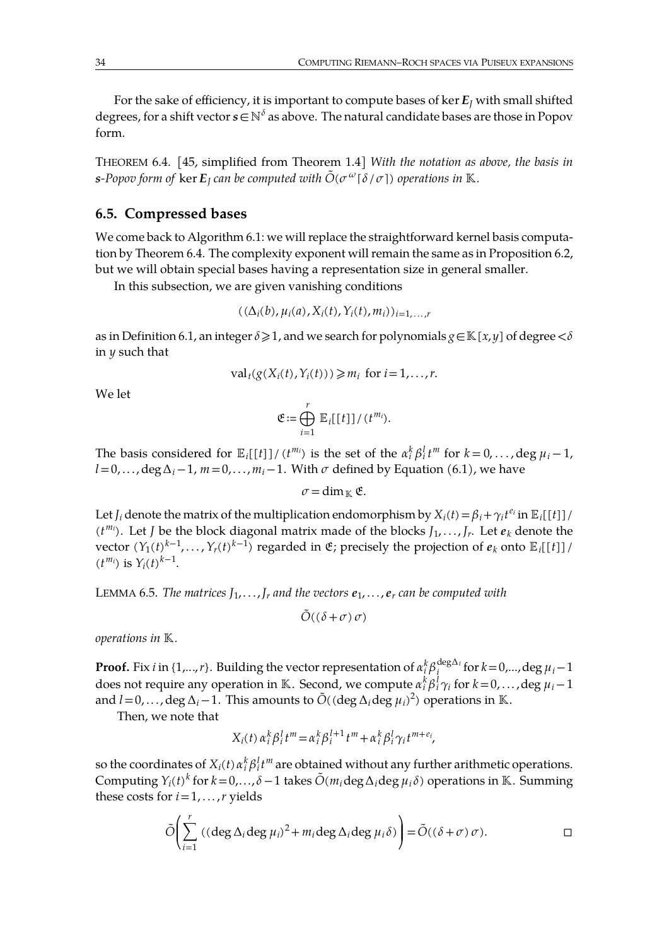For the sake of efficiency, it is important to compute bases of ker  $E_l$  with small shifted degrees, for a shift vector  $s \in \mathbb{N}^{\delta}$  as above. The natural candidate bases are those in Popov form.

<span id="page-33-0"></span>THEOREM 6.4. [\[45,](#page-46-25) simplified from Theorem 1.4] *With the notation asabove, the basis in*  $s$ -Popov form of  $\ker E_J$  can be computed with  $\tilde{O}(\sigma^\omega \lceil \delta / \sigma \rceil)$  operations in  $\mathbb K.$ 

### **6.5. Compressed bases**

We come back to Algorithm [6.1:](#page-31-0) we will replace the straightforward kernel basis computa-tion by Theorem [6.4.](#page-33-0) The complexity exponent will remain the same as in Proposition [6.2,](#page-31-2) but we will obtain special bases having a representation size in general smaller.

In this subsection, we are given vanishing conditions

<span id="page-33-2"></span>
$$
((\Delta_i(b), \mu_i(a), X_i(t), Y_i(t), m_i))_{i=1,...,r}
$$

as in Definition [6.1,](#page-30-1) an integer  $\delta \geq 1$ , and we search for polynomials  $g \in K[x,y]$  of degree  $\lt \delta$ in *y* such that

$$
\mathrm{val}_t(g(X_i(t), Y_i(t))) \geq m_i \text{ for } i = 1, \ldots, r.
$$

We let

$$
\mathfrak{E}:=\bigoplus_{i=1}^r\, \mathbb{E}_i[[t]]/(t^{m_i}).
$$

The basis considered for  $\mathbb{E}_i[[t]]/(t^{m_i})$  is the set of the  $\alpha_i^k \beta_i^l t^m$  for  $k = 0, \ldots$ , deg  $\mu_i - 1$ ,  $l=0,\ldots$ , deg  $\Delta_i-1$ ,  $m=0,\ldots,m_i-1$ . With  $\sigma$  defined by Equation [\(6.1\)](#page-31-1), we have

$$
\sigma = \dim_{\mathbb{K}} \mathfrak{E}.
$$

Let *J*<sub>*i*</sub> denote the matrix of the multiplication endomorphism by  $X_i(t) = \beta_i + \gamma_i t^{e_i}$  in  $\mathbb{E}_i[[t]]/i$  $(t^{m_i})$ . Let *J* be the block diagonal matrix made of the blocks  $J_1, \ldots, J_r$ . Let  $e_k$  denote the vector  $(Y_1(t)^{k-1}, \ldots, Y_r(t)^{k-1})$  regarded in  $\mathfrak{E}$ ; precisely the projection of  $e_k$  onto  $\mathbb{E}_i[[t]]/i$  $(t^{m_i})$  is  $Y_i(t)^{k-1}$ .

<span id="page-33-1"></span>LEMMA 6.5. *The matrices*  $J_1, \ldots, J_r$  *and the vectors*  $e_1, \ldots, e_r$  *can be computed with* 

 $\tilde{O}((\delta+\sigma)\sigma)$ 

*operations in .*

**Proof.** Fix *i* in {1,...,*r*}. Building the vector representation of  $\alpha^k_i\beta^{deg\Delta_i}_i$  for  $k\!=\!0,...$ , deg  $\mu_i\!-\!1$ does not require any operation in  $\mathbb K.$  Second, we compute  $\alpha_i^k\beta_i^l\gamma_i$  for  $k\!=\!0,\ldots$  , deg  $\mu_i\!-\!1$ and  $l\!=\!0,\dots$ , deg  $\Delta_i\!-\!1$ . This amounts to  $\tilde{O}((\deg \Delta_i \deg \mu_i)^2)$  operations in  $\mathbb K.$ 

Then, we note that

$$
X_i(t) \alpha_i^k \beta_i^l t^m = \alpha_i^k \beta_i^{l+1} t^m + \alpha_i^k \beta_i^l \gamma_i t^{m+e_i},
$$

so the coordinates of  $X_i(t)\,\alpha^k_i\beta^l_i t^m$  are obtained without any further arithmetic operations. Computing  $Y_i(t)^k$  for  $k\!=\!0,...,\delta\!-\!1$  takes  $\tilde{O}(m_i\!\deg\Delta_i\!\deg\mu_i\delta)$  operations in  $\mathbb K.$  Summing these costs for  $i = 1, \ldots, r$  yields

$$
\tilde{O}\left(\sum_{i=1}^r ((\deg \Delta_i \deg \mu_i)^2 + m_i \deg \Delta_i \deg \mu_i \delta)\right) = \tilde{O}((\delta + \sigma) \sigma).
$$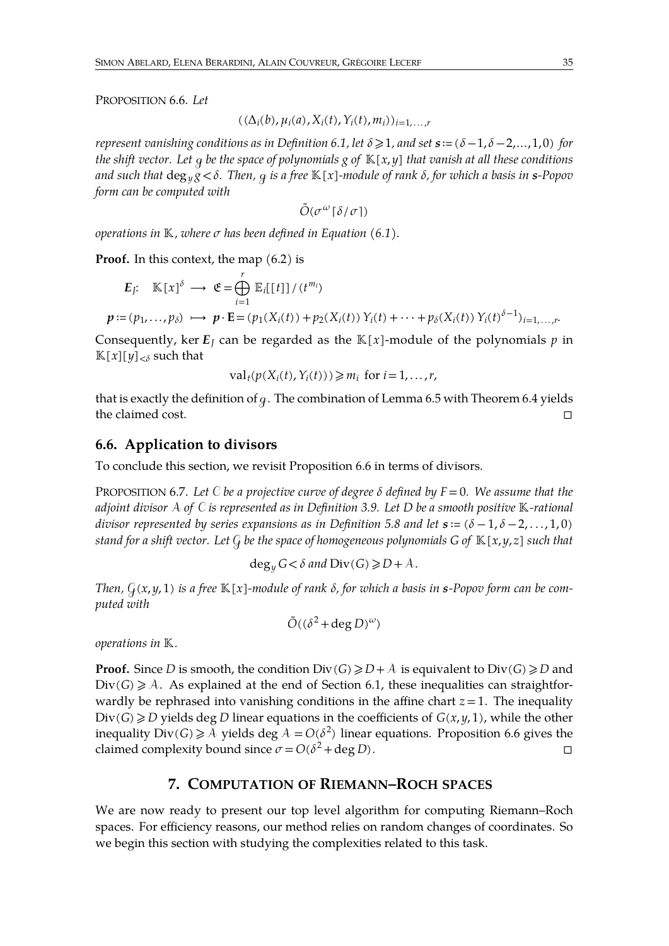PROPOSITION 6.6. *Let*

<span id="page-34-0"></span>
$$
((\Delta_i(b), \mu_i(a), X_i(t), Y_i(t), m_i))_{i=1,...,r}
$$

*represent vanishing conditions as in Definition* [6.1,](#page-30-1) let  $\delta \ge 1$ , and set  $s := (\delta - 1, \delta - 2, ..., 1, 0)$  for the shift vector. Let  $q$  be the space of polynomials  $q$  of  $K[x,y]$  that vanish at all these conditions and such that  $\deg_{\nu} g < \delta$ . Then, q is a free  $\mathbb{K}[x]$ -module of rank  $\delta$ , for which a basis in s-Popov *form canbe computed with*

$$
\tilde{O}(\sigma^\omega\lceil\delta/\sigma\rceil)
$$

*operations in*  $K$ *, where*  $\sigma$  *has been defined in Equation* [\(6.1\)](#page-31-1)*.* 

Proof. In this context, the map  $(6.2)$  is

$$
E_j: \quad \mathbb{K}[x]^{\delta} \longrightarrow \mathfrak{E} = \bigoplus_{i=1}^r \mathbb{E}_i[[t]]/(t^{m_i})
$$

 $p := (p_1, ..., p_\delta) \rightarrow p \cdot \mathbf{E} = (p_1(X_i(t)) + p_2(X_i(t)) Y_i(t) + \cdots + p_\delta(X_i(t)) Y_i(t)^{\delta-1})_{i=1,...,r}.$ 

Consequently, ker  $E_l$  can be regarded as the  $K[x]$ -module of the polynomials *p* in  $\mathbb{K}[x][y]_{< \delta}$  such that

 $val_t(p(X_i(t), Y_i(t))) \geq m_i$  for  $i = 1, \ldots, r$ ,

that is exactly the definition of  $q$ . The combination of Lemma [6.5](#page-33-1) with Theorem [6.4](#page-33-0) yields the claimed cost. □

### **6.6. Application to divisors**

To conclude this section, we revisit Proposition [6.6](#page-34-0) in terms of divisors.

PROPOSITION 6.7. Let  $C$  *be a projective curve of degree*  $\delta$  *defined by*  $F = 0$ *. We assume that the adjoint divisor of isrepresented as in Definition [3.9.](#page-16-0) Let D be a smooth positive -rational divisor represented by series expansions as in Definition* [5.8](#page-24-0) *and let*  $s := (\delta - 1, \delta - 2, \ldots, 1, 0)$ stand for a shift vector. Let  $G$  be the space of homogeneous polynomials G of  $K[x,y,z]$  such that

<span id="page-34-1"></span>
$$
deg_y G < \delta \text{ and } Div(G) \ge D + A.
$$

Then,  $G(x, y, 1)$  is a free  $K[x]$ -module of rank  $\delta$ , for which a basis in s-Popov form can be com*puted with*

$$
\tilde{O}((\delta^2 + \deg D)^{\omega})
$$

*operations in .*

**Proof.** Since *D* is smooth, the condition  $Div(G) \ge D + A$  is equivalent to  $Div(G) \ge D$  and  $Div(G) \geq \lambda$ . As explained at the end of Section [6.1,](#page-30-2) these inequalities can straightforwardly be rephrased into vanishing conditions in the affine chart  $z = 1$ . The inequality  $Div(G) \ge D$  yields deg *D* linear equations in the coefficients of  $G(x, y, 1)$ , while the other inequality  $\text{Div}(G) \geqslant \mathcal{A}$  yields deg  $\mathcal{A} = O(\delta^2)$  linear equations. Proposition [6.6](#page-34-0) gives the claimed complexity bound since  $\sigma = O(\delta^2 + \text{deg } D)$ .

# **7. COMPUTATION OF RIEMANN–ROCH SPACES**

We are now ready to present our top level algorithm for computing Riemann–Roch spaces. For efficiency reasons, our method relies on random changes of coordinates. So we begin this section with studying the complexities related to this task.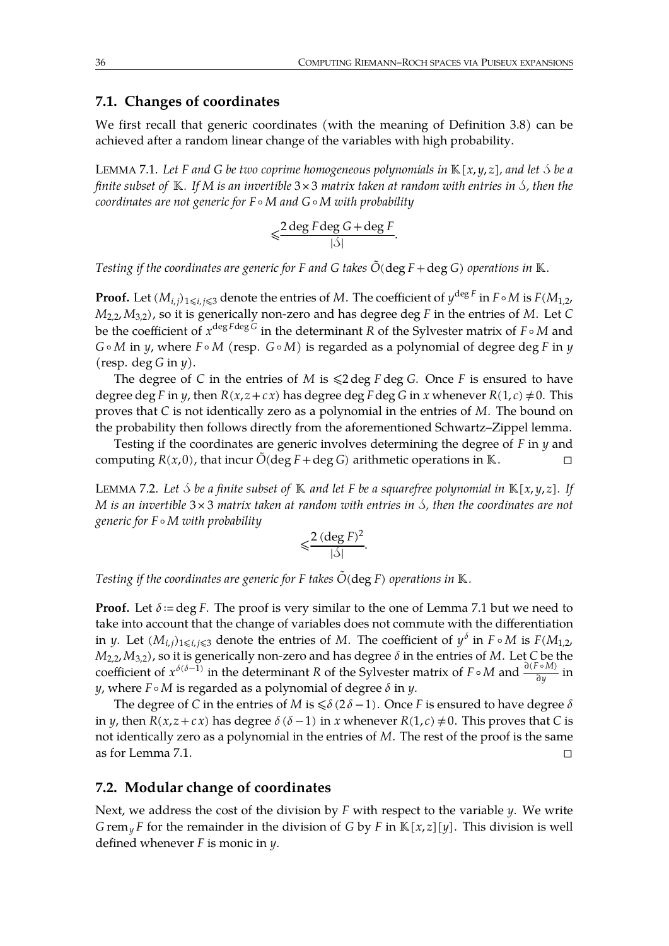# **7.1. Changes of coordinates**

We first recall that generic coordinates (with the meaning of Definition [3.8\)](#page-16-1) can be achieved after a random linear change of the variables with high probability.

<span id="page-35-0"></span>LEMMA 7.1. Let F and G be two coprime homogeneous polynomials in  $\mathbb{K}[x, y, z]$ , and let S be a *finite* subset of  $K$ . If M is an invertible  $3 \times 3$  matrix taken at random with entries in  $\delta$ , then the *coordinates are not generic for F*∘*M and G*∘*M with probability*

$$
\leqslant \frac{2\deg F \deg G + \deg F}{|\mathcal{S}|}.
$$

*Testing if the coordinates are generic for F* and *G takes*  $\tilde{O}$  (deg  $F + deg G$ ) *operations in*  $K$ .

**Proof.** Let (*Mi*,*j*)1⩽*i*,*j*⩽3 denote the entries of *M*. The coefficient of *y* deg *F* in *F*∘*M* is *F*(*M*1,2, *M*2,2,*M*3,2), so it is generically non-zero and has degree deg *F* in the entries of *M*. Let *C* be the coefficient of *x* deg*F*deg *G* in the determinant *R* of the Sylvester matrix of *F* ∘*M* and *G* ∘*M* in *y*, where *F* ∘*M* (resp. *G*∘*M*) is regarded as a polynomial of degree deg *F* in *y* (resp. deg *G* in *y*).

The degree of *C* in the entries of *M* is  $\leq 2$  deg *F* deg *G*. Once *F* is ensured to have degree deg *F* in *y*, then  $R(x, z + cx)$  has degree deg *F* deg *G* in *x* whenever  $R(1, c) \neq 0$ . This proves that *C* is not identically zero as a polynomial in the entries of *M*. The bound on the probability then follows directly from the aforementioned Schwartz–Zippel lemma.

Testing if the coordinates are generic involves determining the degree of *F* in *y* and computing  $R(x, 0)$ , that incur  $O(\deg F + \deg G)$  arithmetic operations in  $K$ .

<span id="page-35-1"></span>LEMMA 7.2. Let  $\Delta$  be a finite subset of K and let F be a squarefree polynomial in  $\mathbb{K}[x,y,z]$ . If *M is an invertible* 3×3 *matrix taken at random with entries in , then the coordinates are not generic for F*∘*M with probability*

$$
\leqslant \frac{2(\deg F)^2}{|\mathcal{S}|}.
$$

*Testing if the coordinates are generic for*  $F$  *takes*  $\tilde{O}$  (deg  $F$ ) *operations in*  $K$ .

**Proof.** Let  $\delta$  := deg *F*. The proof is very similar to the one of Lemma [7.1](#page-35-0) but we need to take into account that the change of variables does not commute with the differentiation in *y*. Let  $(M_{i,j})_{1\leqslant i,j\leqslant 3}$  denote the entries of  $M.$  The coefficient of  $y^δ$  in  $F ∘ M$  is  $F(M_{1,2},$  $M_{2,2}$ ,  $M_{3,2}$ ), so it is generically non-zero and has degree  $\delta$  in the entries of *M*. Let *C* be the coefficient of  $x^{\delta(\delta-1)}$  in the determinant *R* of the Sylvester matrix of *F* ∘ *M* and  $\frac{\partial (F \circ M)}{\partial y}$  in  $\frac{\partial^2 y}{\partial y}$  in *y*, where *F* ∘*M* is regarded as a polynomial of degree  $\delta$  in *y*.

The degree of *C* in the entries of *M* is  $\leq \delta (2\delta - 1)$ . Once *F* is ensured to have degree  $\delta$ in *y*, then  $R(x, z + c x)$  has degree  $\delta(\delta - 1)$  in *x* whenever  $R(1, c) \neq 0$ . This proves that *C* is not identically zero as a polynomial in the entries of *M*. The rest of the proof is the same as for Lemma [7.1.](#page-35-0)  $\Box$ 

### **7.2. Modular change of coordinates**

Next, we address the cost of the division by *F* with respect to the variable *y*. We write *G* rem<sub>*y*</sub> *F* for the remainder in the division of *G* by *F* in  $\mathbb{K}[x, z][y]$ . This division is well defined whenever  $F$  is monic in  $\psi$ .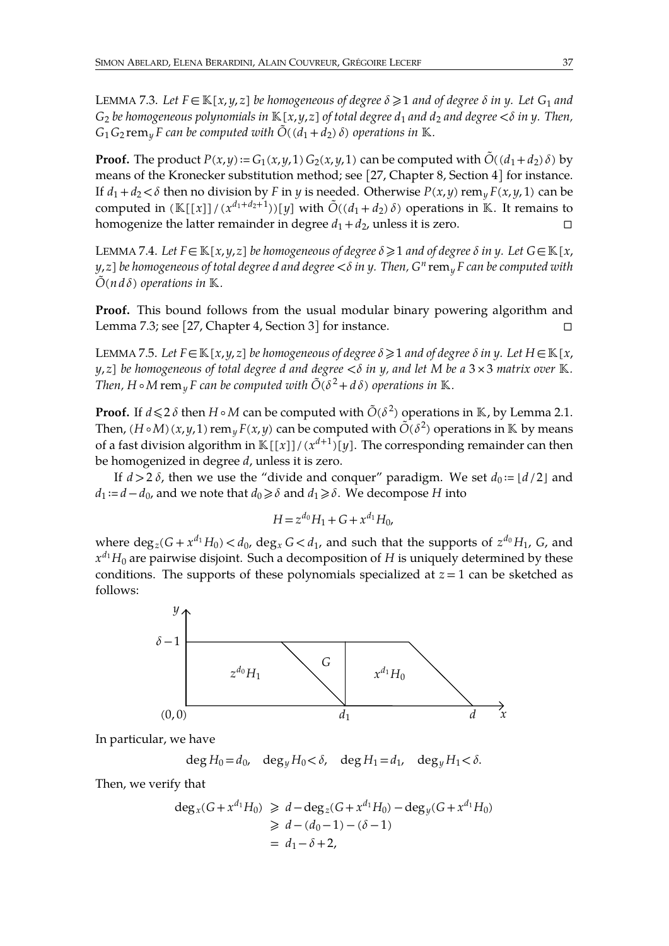<span id="page-36-0"></span>**LEMMA 7.3.** Let  $F \in \mathbb{K}[x, y, z]$  be homogeneous of degree  $\delta \ge 1$  and of degree  $\delta$  in y. Let  $G_1$  and  $G_2$  *be homogeneous* polynomials in  $\mathbb{K}[x, y, z]$  *of total degree*  $d_1$  *and*  $d_2$  *and* degree  $\lt \delta$  *in y*. Then,  $G_1G_2$  rem<sub>*y*</sub> *F can be computed with*  $\tilde{O}((d_1+d_2)\delta)$  *operations in*  $K$ .

**Proof.** The product  $P(x,y) := G_1(x,y,1) G_2(x,y,1)$  can be computed with  $\tilde{O}((d_1+d_2)\delta)$  by means of the Kronecker substitution method; see [\[27,](#page-45-8) Chapter 8, Section 4] for instance. If  $d_1 + d_2 < \delta$  then no division by *F* in *y* is needed. Otherwise  $P(x, y)$  rem<sub>*y*</sub>  $F(x, y, 1)$  can be computed in  $(\mathbb{K}[[x]]/(x^{d_1+d_2+1}))[y]$  with  $\tilde{O}((d_1+d_2)\delta)$  operations in  $\mathbb{K}$ . It remains to homogenize the latter remainder in degree  $d_1 + d_2$ , unless it is zero.  $\Box$ 

<span id="page-36-1"></span>LEMMA 7.4. Let  $F \in \mathbb{K}[x, y, z]$  *be homogeneous of degree*  $\delta \geq 1$  *and of degree*  $\delta$  *in y.* Let  $G \in \mathbb{K}[x,$ y,z] be homogeneous of total degree d and degree  $<$   $\delta$  in y. Then,  $G^n$   $\mathrm{rem}_y$  F can be computed with  $\tilde{O}(n d \delta)$  operations in  $\mathbb{K}$ .

**Proof.** This bound follows from the usual modular binary powering algorithm and Lemma [7.3;](#page-36-0) see [\[27,](#page-45-8) Chapter 4, Section 3] for instance.  $□$ 

<span id="page-36-2"></span>LEMMA 7.5. Let  $F ∈ \mathbb{K} [x, y, z]$  *be homogeneous of degree*  $\delta \geq 1$  *and of degree*  $\delta$  *in*  $y$ . Let  $H ∈ \mathbb{K} [x,$  $y, z$ ] be homogeneous of total degree d and degree  $\lt \delta$  in y, and let M be a 3  $\times$  3 matrix over K. *Then, H* ∘ *M* rem<sub>y</sub> *F can be computed with*  $\tilde{O}$ ( $\delta$ <sup>2</sup> + *d* $\delta$ ) *operations in*  $\mathbb{K}$ .

**Proof.** If  $d$ ≤2δ then  $H \circ M$  can be computed with  $\tilde{O}(\delta^2)$  operations in K, by Lemma [2.1.](#page-5-0) Then, (H∘M)(*x,y,*1) rem<sub>*y</sub>F(x,y)* can be computed with  $\tilde{O}(\delta^2)$  operations in  $\mathbb K$  by means</sub> of a fast division algorithm in  $\mathbb{K}[[x]]/(x^{d+1})[y].$  The corresponding remainder can then be homogenized in degree *d*, unless it is zero.

If  $d > 2 \delta$ , then we use the "divide and conquer" paradigm. We set  $d_0 := \lfloor d/2 \rfloor$  and *d*<sub>1</sub> := *d*−*d*<sub>0</sub>, and we note that *d*<sub>0</sub> ≥  $\delta$  and *d*<sub>1</sub> ≥  $\delta$ . We decompose *H* into

$$
H = z^{d_0} H_1 + G + x^{d_1} H_0,
$$

where  $deg_{z}(G + x^{d_1}H_0) < d_0$ ,  $deg_{x} G < d_1$ , and such that the supports of  $z^{d_0}H_1$ ,  $G$ , and  $x^{d_1} H_0$  are pairwise disjoint. Such a decomposition of  $H$  is uniquely determined by these conditions. The supports of these polynomials specialized at  $z = 1$  can be sketched as follows:



In particular, we have

 $\deg H_0 = d_0$ ,  $\deg_u H_0 < \delta$ ,  $\deg H_1 = d_1$ ,  $\deg_u H_1 < \delta$ .

Then, we verify that

$$
deg_x(G + x^{d_1}H_0) \ge d - deg_z(G + x^{d_1}H_0) - deg_y(G + x^{d_1}H_0)
$$
  
\n
$$
\ge d - (d_0 - 1) - (\delta - 1)
$$
  
\n
$$
= d_1 - \delta + 2,
$$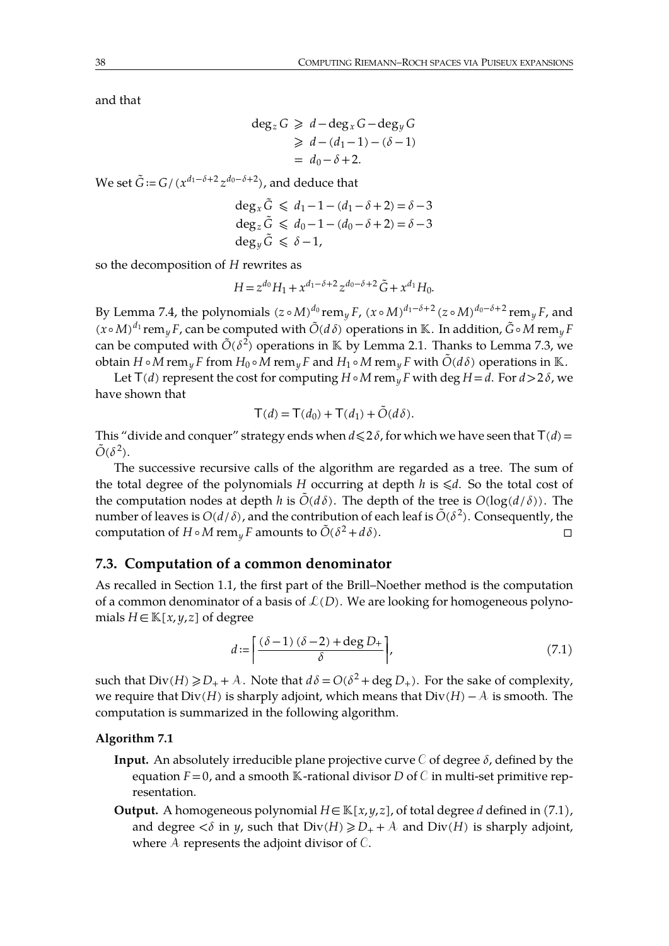and that

$$
deg_z G \geq d - deg_x G - deg_y G
$$
  
\n
$$
\geq d - (d_1 - 1) - (\delta - 1)
$$
  
\n
$$
= d_0 - \delta + 2.
$$

We set  $\tilde{G}$  :=  $G/$  ( $x^{d_1-\delta+2}z^{d_0-\delta+2}$ ), and deduce that

$$
\deg_x \tilde{G} \leq d_1 - 1 - (d_1 - \delta + 2) = \delta - 3
$$
  
\n
$$
\deg_z \tilde{G} \leq d_0 - 1 - (d_0 - \delta + 2) = \delta - 3
$$
  
\n
$$
\deg_y \tilde{G} \leq \delta - 1,
$$

so the decomposition of *H* rewrites as

$$
H = z^{d_0} H_1 + x^{d_1 - \delta + 2} z^{d_0 - \delta + 2} \tilde{G} + x^{d_1} H_0.
$$

By Lemma [7.4,](#page-36-1) the polynomials  $(z \circ M)^{d_0}$  rem $_y$  *F*,  $(x \circ M)^{d_1-\delta+2}$  ( $z \circ M)^{d_0-\delta+2}$  rem $_y$  *F*, and (*x*∘*M*) *<sup>d</sup>*<sup>1</sup> rem*<sup>y</sup> F*, can be computed with *O*˜ (*d*) operations in . In addition, *G*˜ ∘*M* rem*<sup>y</sup> F* can be computed with  $\tilde{O}(\delta^2)$  operations in  $\mathbb K$  by Lemma [2.1.](#page-5-0) Thanks to Lemma [7.3,](#page-36-0) we obtain *H* ∘ *M* rem<sub>*y*</sub> *F* from *H*<sub>0</sub> ∘ *M* rem<sub>*y*</sub> *F* and *H*<sub>1</sub> ∘ *M* rem<sub>*y*</sub> *F* with  $\tilde{O}(d\delta)$  operations in K.

Let  $\mathsf{T}(d)$  represent the cost for computing *H*∘*M* rem<sub>*y*</sub> *F* with deg *H* = *d*. For *d* > 2 $\delta$ , we have shown that

$$
\mathsf{T}(d) = \mathsf{T}(d_0) + \mathsf{T}(d_1) + \tilde{O}(d\,\delta).
$$

This "divide and conquer" strategy ends when  $d \leq 2\delta$ , for which we have seen that  $T(d)$  =  $\tilde{O}(\delta^2)$ .

The successive recursive calls of the algorithm are regarded as a tree. The sum of the total degree of the polynomials *H* occurring at depth *h* is  $\le d$ . So the total cost of the computation nodes at depth *h* is  $\tilde{O}(d\delta)$ . The depth of the tree is  $O(log(d/\delta))$ . The number of leaves is  $O(d/\delta)$ , and the contribution of each leaf is  $\tilde O(\delta^2)$ . Consequently, the computation of *H* ∘ *M* rem<sub>*y*</sub> *F* amounts to  $\tilde{O}(\delta^2 + d\delta)$ . □

#### **7.3. Computation of a common denominator**

As recalled in Section [1.1,](#page-1-1) the first part of the Brill–Noether method is the computation of a common denominator of a basis of  $\mathcal{L}(D)$ . We are looking for homogeneous polynomials  $H \in \mathbb{K}[x, y, z]$  of degree

<span id="page-37-0"></span>
$$
d := \left[ \frac{(\delta - 1)(\delta - 2) + \deg D_+}{\delta} \right],\tag{7.1}
$$

such that  $Div(H) \geq D_+ + A$ . Note that  $d\delta = O(\delta^2 + \deg D_+)$ . For the sake of complexity, we require that  $Div(H)$  is sharply adjoint, which means that  $Div(H) - A$  is smooth. The computation is summarized in the following algorithm.

#### **Algorithm 7.1**

- <span id="page-37-1"></span>**Input.** An absolutely irreducible plane projective curve  $C$  of degree  $\delta$ , defined by the equation  $F=0$ , and a smooth  $K$ -rational divisor *D* of *C* in multi-set primitive representation.
- **Output.** A homogeneous polynomial  $H \in K[x,y,z]$ , of total degree *d* defined in [\(7.1\)](#page-37-0), and degree  $\langle \delta$  in *y*, such that  $Div(H) \ge D_+ + A$  and  $Div(H)$  is sharply adjoint, where  $A$  represents the adjoint divisor of  $C$ .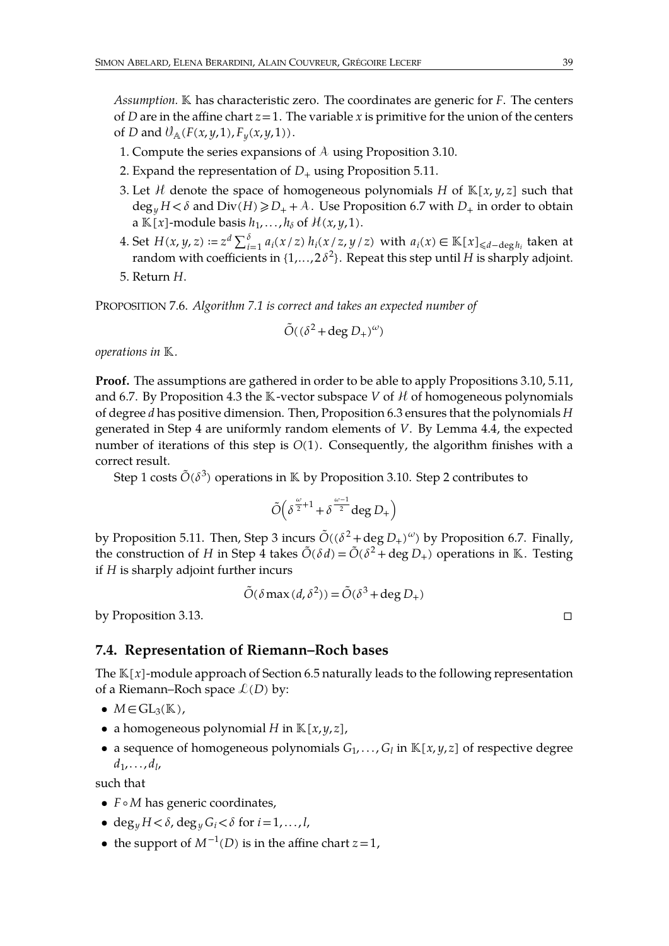*Assumption.* has characteristic zero. The coordinates are generic for *F*.The centers of *D* are in the affine chart  $z = 1$ . The variable *x* is primitive for the union of the centers of *D* and  $\mathcal{V}_A(F(x,y,1), F_y(x,y,1))$ .

- 1. Compute the series expansions of  $A$  using Proposition [3.10.](#page-17-2)
- 2. Expand the representation of  $D_{+}$  using Proposition [5.11.](#page-25-2)
- 3. Let *H* denote the space of homogeneous polynomials *H* of  $\mathbb{K}[x, y, z]$  such that  $deg_y H \leq \delta$  and  $Div(H) \geq D_+ + A$ . Use Proposition [6.7](#page-34-1) with  $D_+$  in order to obtain a  $\mathbb{K}[x]$ -module basis  $h_1, \ldots, h_\delta$  of  $\mathcal{H}(x, y, 1)$ .
- 4. Set  $H(x,y,z) \coloneqq z^d \sum_{i=1}^{\delta} a_i(x/z) h_i(x/z, y/z)$  with  $a_i(x) \in \mathbb{K}[x]_{\leq d-\deg h_i}$  taken at random with coefficients in {1,...,2  $\delta^2$ }. Repeat this step until  $H$  is sharply adjoint.
- <span id="page-38-1"></span>5. Return *H*.

PROPOSITION 7.6. *Algorithm [7.1](#page-37-1) is correct and takes an expected number of*

$$
\tilde{O}((\delta^2 + \deg D_+)^\omega)
$$

*operations in .*

**Proof.** The assumptions are gathered in order to be able to apply Propositions [3.10,](#page-17-2) [5.11,](#page-25-2) and [6.7.](#page-34-1) By Proposition [4.3](#page-20-0) the  $K$ -vector subspace *V* of  $H$  of homogeneous polynomials of degree *d* has positive dimension. Then, Proposition [6.3](#page-32-1) ensures that the polynomials *H* generated in Step 4 are uniformly random elements of *V*. By Lemma [4.4,](#page-20-1) the expected number of iterations of this step is *O*(1). Consequently, the algorithm finishes with a correct result.

Step 1 costs  $\tilde{O}(\delta^3)$  operations in  $\mathbb K$  by Proposition [3.10.](#page-17-2) Step 2 contributes to

$$
\tilde{O}\left(\delta^{\frac{\omega}{2}+1} + \delta^{\frac{\omega-1}{2}} \deg D_+\right)
$$

by Proposition [5.11.](#page-25-2) Then, Step 3 incurs  $\tilde{O}((\delta^2 + \deg D_+)^{\omega})$  by Proposition [6.7.](#page-34-1) Finally, the construction of *H* in Step 4 takes  $\tilde{O}(\delta d) = \tilde{O}(\delta^2 + \text{deg } D_+)$  operations in K. Testing if *H* is sharply adjoint further incurs

<span id="page-38-0"></span>
$$
\tilde{O}(\delta \max{(d,\delta^2)}) = \tilde{O}(\delta^3 + \deg{D_+})
$$

by Proposition [3.13.](#page-18-1)  $\Box$ 

## **7.4. Representation of Riemann–Roch bases**

The  $K[x]$ -module approach of Section [6.5](#page-33-2) naturally leads to the following representation of a Riemann–Roch space  $\mathcal{L}(D)$  by:

- $M \in GL_3(\mathbb{K})$ ,
- a homogeneous polynomial *H* in  $\mathbb{K}[x,y,z]$ ,
- a sequence of homogeneous polynomials  $G_1, \ldots, G_l$  in  $\mathbb{K}[x, y, z]$  of respective degree  $d_1, \ldots, d_l$

such that

- *F*∘*M* has generic coordinates,
- deg<sub>*y</sub>*  $H < \delta$ , deg<sub>*y*</sub>  $G_i < \delta$  for  $i = 1, ..., l$ ,</sub>
- the support of  $M^{-1}(D)$  is in the affine chart  $z=1$ ,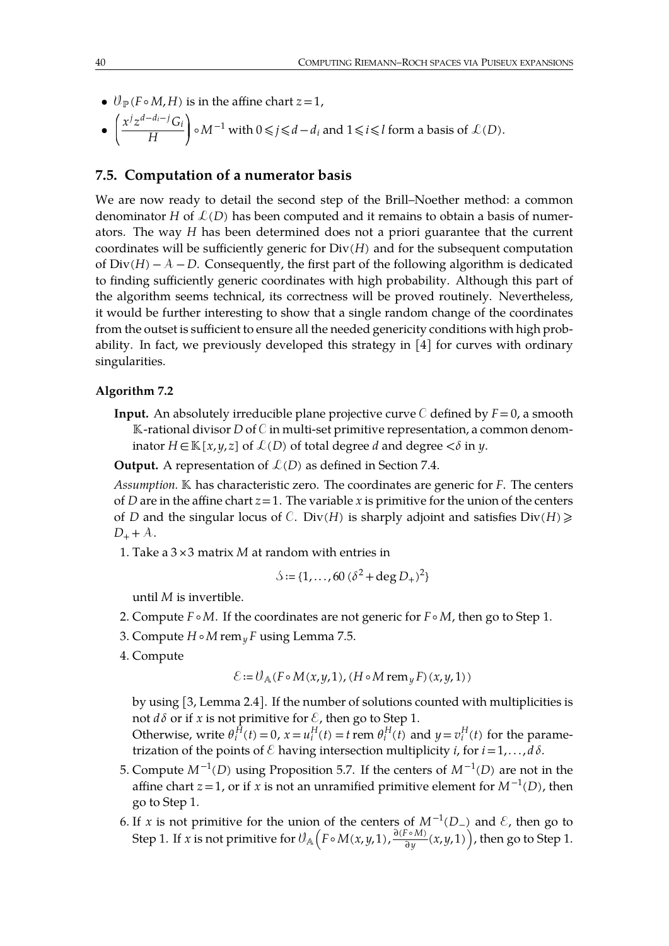- $\mathcal{U}_\mathbb{P}(F \circ M, H)$  is in the affine chart  $z = 1$ ,
- $\left(\frac{x^j z^{d-d_i-j} G_i}{H}\right) \circ$ *H*  $\left(\frac{G_i}{H}\right)$  ∘ *M*<sup>−1</sup> with  $0 \le j \le d - d_i$  and  $1 \le i \le l$  form a basis of  $L(D)$ .

# **7.5. Computation of a numerator basis**

We are now ready to detail the second step of the Brill–Noether method: a common denominator *H* of  $\mathcal{L}(D)$  has been computed and it remains to obtain a basis of numerators. The way *H* has been determined does not a priori guarantee that the current coordinates will be sufficiently generic for  $Div(H)$  and for the subsequent computation of Div(*H*)− −*D*. Consequently, the first part of the following algorithm is dedicated to finding sufficiently generic coordinates with high probability. Although this part of the algorithm seems technical, its correctness will be proved routinely. Nevertheless, it would be further interesting to show that a single random change of the coordinates from the outset is sufficient to ensure all the needed genericity conditions with high prob ability. In fact, we previously developed this strategy in [\[4\]](#page-45-6) for curves with ordinary singularities.

#### **Algorithm 7.2**

<span id="page-39-0"></span>**Input.** An absolutely irreducible plane projective curve C defined by  $F = 0$ , a smooth  $K$ -rational divisor *D* of *C* in multi-set primitive representation, a common denominator *H* ∈  $\mathbb{K}[x, y, z]$  of  $\mathcal{L}(D)$  of total degree *d* and degree  $\langle \delta$  in *y*.

**Output.** A representation of  $\mathcal{L}(D)$  as defined in Section [7.4.](#page-38-0)

*Assumption.* has characteristic zero. The coordinates are generic for *F*.The centers of *D* are in the affine chart  $z = 1$ . The variable *x* is primitive for the union of the centers of *D* and the singular locus of *C*. Div(*H*) is sharply adjoint and satisfies  $Div(H) \ge$  $D_+ + A$ .

1. Take a 3×3 matrix *M* at random with entries in

$$
\mathcal{S} := \{1, \dots, 60 \, (\delta^2 + \deg D_+)^2\}
$$

until *M* is invertible.

- 2. Compute *F*∘*M*. If the coordinates are not generic for *F*∘*M*, then go to Step 1.
- 3. Compute *H* ∘*M* rem*<sup>y</sup> F* using Lemma [7.5.](#page-36-2)
- 4. Compute

$$
\mathcal{E} := \mathcal{V}_{A}(F \circ M(x, y, 1), (H \circ M \operatorname{rem}_{y} F)(x, y, 1))
$$

by using [\[3,](#page-44-0) Lemma 2.4]. If the number of solutions counted with multiplicities is not *d*  $\delta$  or if *x* is not primitive for  $\mathcal{E}$ , then go to Step 1.

Otherwise, write  $\theta_i^H(t) = 0$ ,  $x = u_i^H(t) = t$  rem  $\theta_i^H(t)$  and  $y = v_i^H(t)$  for the parametrization of the points of  $\mathcal E$  having intersection multiplicity *i*, for  $i = 1, \ldots, d \delta$ .

- 5. Compute *M*−1(*D*) using Proposition [5.7.](#page-24-1) If the centers of *M*−1(*D*) are not in the affine chart *z* = 1, or if *x* is not an unramified primitive element for  $M^{-1}(D)$ , then go to Step 1.
- 6. If *x* is not primitive for the union of the centers of  $M^{-1}(D)$  and  $\mathcal{E}$ , then go to Step 1. If *x* is not primitive for  $\theta_A(F \circ M(x,y,1), \frac{\partial (F \circ M)}{\partial y}(x,y,1))$ , then go to Step 1.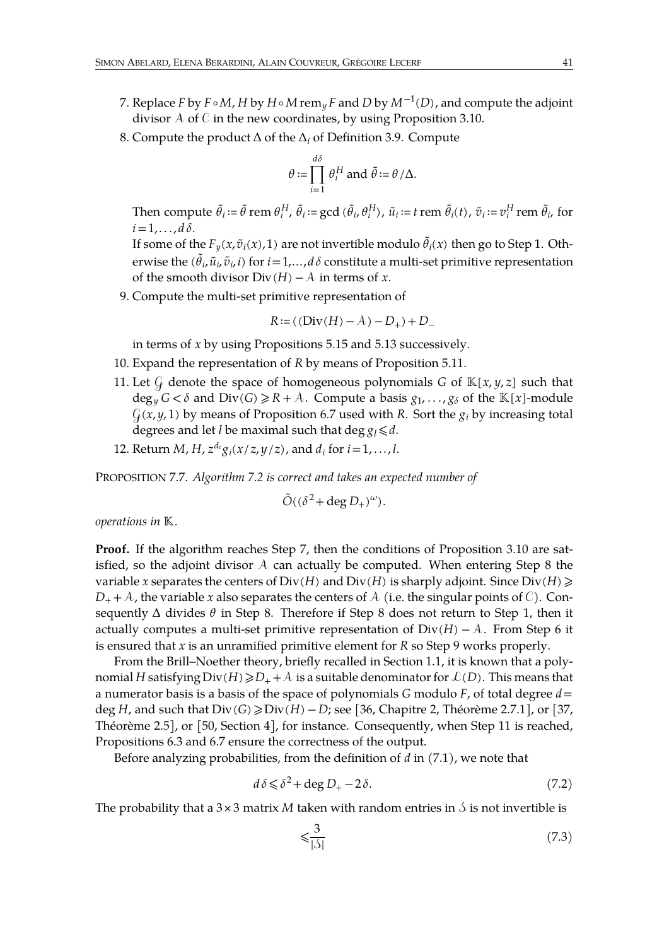- 7. Replace *F* by *F*∘*M*, *H* by *H*∘*M* rem*<sup>y</sup> F* and *D* by *M*−1(*D*), and compute the adjoint divisor  $A$  of  $C$  in the new coordinates, by using Proposition [3.10.](#page-17-2)
- 8. Compute the product Δ of the Δ*<sup>i</sup>* of Definition [3.9.](#page-16-0) Compute

$$
\theta := \prod_{i=1}^{d\delta} \theta_i^H \text{ and } \tilde{\theta} := \theta / \Delta.
$$

Then compute  $\tilde{\theta}_i:=\tilde{\theta}$  rem  $\theta_i^H$ ,  $\tilde{\theta}_i:=$  gcd ( $\tilde{\theta}_i$ ,  $\theta_i^H$ ),  $\tilde{u}_i:=$  t rem  $\tilde{\theta}_i(t)$ ,  $\tilde{v}_i:=v_i^H$  rem  $\tilde{\theta}_i$ , for  $i=1,\ldots,d\delta$ .

If some of the  $F_y(x,\tilde{v}_i(x),1)$  are not invertible modulo  $\tilde{\theta}_i(x)$  then go to Step 1. Otherwise the  $(\tilde{\theta}_i, \tilde{u}_i, \tilde{v}_i, i)$  for  $i \! = \! 1, \! ... , \! d$   $\delta$  constitute a multi-set primitive representation of the smooth divisor Div(*H*) −  $\hat{A}$  in terms of *x*.

9. Compute the multi-set primitive representation of

$$
R := ((Div(H) - A) - D_+) + D_-
$$

in terms of *x* by using Propositions [5.15](#page-28-1) and [5.13](#page-27-0) successively.

- 10. Expand the representation of *R* by means of Proposition [5.11.](#page-25-2)
- 11. Let  $\mathcal{G}$  denote the space of homogeneous polynomials  $G$  of  $\mathbb{K}[x, y, z]$  such that  $\deg_y G < \delta$  and  $Div(G) \ge R + A$ . Compute a basis  $g_1, \ldots, g_\delta$  of the  $\mathbb{K}[x]$ -module  $G(x, y, 1)$  by means of Proposition [6.7](#page-34-1) used with *R*. Sort the  $g_i$  by increasing total degrees and let *l* be maximal such that deg  $g_l \le d$ .
- <span id="page-40-2"></span>12. Return *M*, *H*,  $z^{d_i}g_i(x/z, y/z)$ , and  $d_i$  for  $i = 1, ..., l$ .

PROPOSITION 7.7. *Algorithm [7.2](#page-39-0) is correct and takes an expected number of*

$$
\tilde{O}((\delta^2 + \deg D_+)^{\omega}).
$$

*operations in .*

**Proof.** If the algorithm reaches Step 7, then the conditions of Proposition [3.10](#page-17-2) are satisfied, so the adjoint divisor  $A$  can actually be computed. When entering Step 8 the variable *x* separates the centers of  $Div(H)$  and  $Div(H)$  is sharply adjoint. Since  $Div(H) \geq$  $D_{+} + A$ , the variable *x* also separates the centers of A (i.e. the singular points of C). Consequently  $\Delta$  divides  $\theta$  in Step 8. Therefore if Step 8 does not return to Step 1, then it actually computes a multi-set primitive representation of  $Div(H) - A$ . From Step 6 it is ensured that *x* is an unramified primitive element for *R* so Step 9works properly.

From the Brill–Noether theory, briefly recalled in Section [1.1,](#page-1-1) it is known that a poly nomial *H* satisfying  $Div(H) \ge D_+ + \lambda$  is a suitable denominator for  $\mathcal{L}(D)$ . This means that a numerator basis is a basis of the space of polynomials *G* modulo *F*, of total degree *d*= deg *H*, and such that  $Div(G)$ ≥Div(*H*) − *D*; see [\[36,](#page-46-12) Chapitre 2, Théorème 2.7.1], or [\[37,](#page-46-13) Théorème 2.5], or [\[50,](#page-46-10) Section 4], for instance. Consequently, when Step 11 is reached, Propositions [6.3](#page-32-1) and [6.7](#page-34-1) ensure the correctness of the output.

Before analyzing probabilities, from the definition of *d* in [\(7.1\)](#page-37-0), we note that

$$
d\,\delta \leq \delta^2 + \deg D_+ - 2\,\delta. \tag{7.2}
$$

The probability that a  $3\times3$  matrix *M* taken with random entries in  $\delta$  is not invertible is

<span id="page-40-1"></span><span id="page-40-0"></span>
$$
\leqslant \frac{3}{|\mathcal{S}|} \tag{7.3}
$$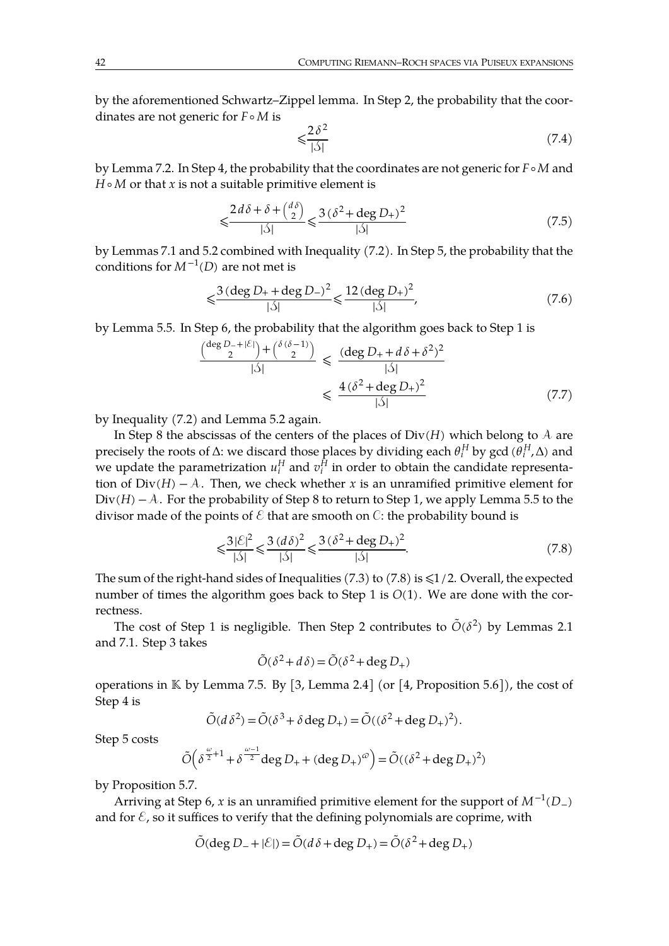by the aforementioned Schwartz–Zippel lemma. In Step 2, the probability that the coor dinates are not generic for *F*∘*M* is

$$
\leqslant \frac{2\delta^2}{|\mathcal{S}|} \tag{7.4}
$$

by Lemma [7.2.](#page-35-1) In Step 4, the probability that the coordinates are not generic for *F*∘*M* and *H* ∘*M* or that *x* is not a suitable primitive element is

$$
\leqslant \frac{2d\,\delta + \delta + \binom{d\,\delta}{2}}{|\mathcal{S}|} \leqslant \frac{3\,(\delta^2 + \deg D_+)^2}{|\mathcal{S}|} \tag{7.5}
$$

by Lemmas [7.1](#page-35-0) and [5.2](#page-22-1) combined with Inequality [\(7.2\)](#page-40-0). In Step 5, the probability that the conditions for  $M^{-1}(D)$  are not met is

$$
\leq \frac{3(\deg D_{+} + \deg D_{-})^{2}}{|S|} \leq \frac{12(\deg D_{+})^{2}}{|S|},\tag{7.6}
$$

by Lemma [5.5.](#page-23-2) In Step 6, the probability that the algorithm goes back to Step 1is

$$
\frac{\binom{\deg D_{-}+|\mathcal{E}|}{2} + \binom{\delta(\delta-1)}{2}}{|\mathcal{S}|} \le \frac{(\deg D_{+} + d\,\delta + \delta^{2})^{2}}{|\mathcal{S}|} \le \frac{4\left(\delta^{2} + \deg D_{+}\right)^{2}}{|\mathcal{S}|} \tag{7.7}
$$

by Inequality [\(7.2\)](#page-40-0) and Lemma [5.2](#page-22-1) again.

In Step 8 the abscissas of the centers of the places of  $Div(H)$  which belong to  $A$  are precisely the roots of Δ: we discard those places by dividing each  $\theta_i^H$  by gcd ( $\theta_i^H$ ,Δ) and we update the parametrization  $u_i^H$  and  $v_i^H$  in order to obtain the candidate representation of  $Div(H) - \lambda$ . Then, we check whether *x* is an unramified primitive element for Div(*H*)−A. For the probability of Step 8 to return to Step 1, we apply Lemma [5.5](#page-23-2) to the divisor made of the points of  $\mathcal E$  that are smooth on  $\mathcal C$ : the probability bound is

$$
\leqslant \frac{3|\mathcal{E}|^2}{|\mathcal{S}|} \leqslant \frac{3(d\delta)^2}{|\mathcal{S}|} \leqslant \frac{3(\delta^2 + \deg D_+)^2}{|\mathcal{S}|}. \tag{7.8}
$$

The sum of the right-hand sides of Inequalities [\(7.3\)](#page-40-1) to [\(7.8\)](#page-41-0) is  $\leq 1/2$ . Overall, the expected number of times the algorithm goes back to Step 1 is *O*(1). We are done with the cor rectness.

The cost of Step 1 is negligible. Then Step 2 contributes to  $\tilde{O}(\delta^2)$  by Lemmas [2.1](#page-5-0) and [7.1.](#page-35-0) Step 3 takes

<span id="page-41-0"></span>
$$
\tilde{O}(\delta^2 + d\,\delta) = \tilde{O}(\delta^2 + \deg D_+)
$$

operations in  $\mathbb K$  by Lemma [7.5.](#page-36-2) By [\[3,](#page-44-0) Lemma 2.4] (or [\[4,](#page-45-6) Proposition 5.6]), the cost of Step 4 is

$$
\tilde{O}(d\,\delta^2) = \tilde{O}(\delta^3 + \delta \deg D_+) = \tilde{O}((\delta^2 + \deg D_+)^2).
$$

Step 5 costs

$$
\tilde{O}\left(\delta^{\frac{\omega}{2}+1} + \delta^{\frac{\omega-1}{2}} \deg D_{+} + (\deg D_{+})^{\omega}\right) = \tilde{O}((\delta^{2} + \deg D_{+})^{2})
$$

by Proposition [5.7.](#page-24-1)

Arriving at Step 6, *x* is an unramified primitive element for the support of  $M^{-1}(D)$ and for  $\mathcal{E}$ , so it suffices to verify that the defining polynomials are coprime, with

$$
\tilde{O}(\deg D_- + |\mathcal{E}|) = \tilde{O}(d\,\delta + \deg D_+) = \tilde{O}(\delta^2 + \deg D_+)
$$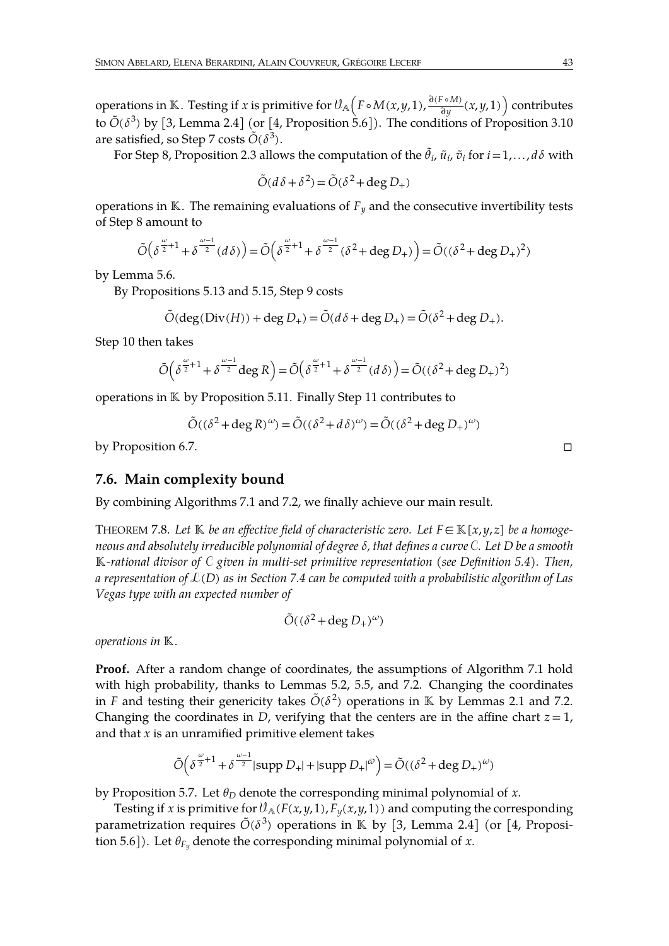operations in ℝ. Testing if *x* is primitive for  $\theta_A(F \circ M(x,y,1), \frac{\partial (F \circ M)}{\partial y}(x,y,1))$  contributes to  $\tilde{O}(\delta^3)$  by [\[3,](#page-44-0) Lemma 2.4] (or [\[4,](#page-45-6) Proposition 5.6]). The conditions of Proposition [3.10](#page-17-2) are satisfied, so Step 7 costs  $\tilde{O}(\delta^3)$ .

For Step 8, Proposition [2.3](#page-5-1) allows the computation of the  $\tilde{\theta}_i$ ,  $\tilde{u}_i$ ,  $\tilde{v}_i$  for  $i$  = 1,..., $d$   $\delta$  with

$$
\tilde{O}(d\,\delta + \delta^2) = \tilde{O}(\delta^2 + \deg D_+)
$$

operations in  $K$ . The remaining evaluations of  $F<sub>y</sub>$  and the consecutive invertibility tests of Step 8amount to

$$
\tilde{O}\left(\delta^{\frac{\omega}{2}+1} + \delta^{\frac{\omega-1}{2}}(d\delta)\right) = \tilde{O}\left(\delta^{\frac{\omega}{2}+1} + \delta^{\frac{\omega-1}{2}}(\delta^2 + \deg D_+)\right) = \tilde{O}((\delta^2 + \deg D_+)^2)
$$

by Lemma [5.6.](#page-23-1)

By Propositions [5.13](#page-27-0) and [5.15,](#page-28-1) Step 9 costs

$$
\tilde{O}(\deg(\text{Div}(H)) + \deg D_+) = \tilde{O}(d\,\delta + \deg D_+) = \tilde{O}(\delta^2 + \deg D_+).
$$

Step 10 then takes

$$
\tilde{O}\left(\delta^{\frac{\omega}{2}+1} + \delta^{\frac{\omega-1}{2}} \deg R\right) = \tilde{O}\left(\delta^{\frac{\omega}{2}+1} + \delta^{\frac{\omega-1}{2}}(d\delta)\right) = \tilde{O}((\delta^2 + \deg D_+)^2)
$$

operations in  $K$  by Proposition [5.11.](#page-25-2) Finally Step 11 contributes to

$$
\tilde{O}((\delta^2 + \deg R)^{\omega}) = \tilde{O}((\delta^2 + d\delta)^{\omega}) = \tilde{O}((\delta^2 + \deg D_+)^{\omega})
$$

by Proposition [6.7.](#page-34-1)  $\Box$ 

#### **7.6. Main complexity bound**

By combining Algorithms [7.1](#page-37-1) and [7.2,](#page-39-0) we finally achieve our main result.

<span id="page-42-0"></span>THEOREM 7.8. Let  $K$  *be an effective field of characteristic zero.* Let  $F \in K[x, y, z]$  *be a homogeneous and absolutely irreducible polynomial of degree , that defines a curve . Let D be a smooth -rational divisor of given in multi-set primitive representation (see Definition [5.4\)](#page-23-0).Then, a representation of* ℒ(*D*) *as in Section [7.4](#page-38-0) can be computed with a probabilistic algorithm of Las Vegas type with an expected number of*

$$
\tilde{O}((\delta^2 + \deg D_+)^{\omega})
$$

*operations in .*

**Proof.** After a random change of coordinates, the assumptions of Algorithm [7.1](#page-37-1) hold with high probability, thanks to Lemmas [5.2,](#page-22-1) [5.5,](#page-23-2) and [7.2.](#page-35-1) Changing the coordinates in *F* and testing their genericity takes  $\tilde{O}(\delta^2)$  operations in K by Lemmas [2.1](#page-5-0) and [7.2.](#page-35-1) Changing the coordinates in *D*, verifying that the centers are in the affine chart  $z = 1$ , and that *x* is an unramified primitive element takes

$$
\tilde{O}\left(\delta^{\frac{\omega}{2}+1} + \delta^{\frac{\omega-1}{2}} |\text{supp } D_+| + |\text{supp } D_+|^{\omega}\right) = \tilde{O}((\delta^2 + \text{deg } D_+)^{\omega})
$$

by Proposition [5.7.](#page-24-1) Let  $\theta_D$  denote the corresponding minimal polynomial of *x*.

Testing if *x* is primitive for  $\theta_A(F(x,y,1),F_y(x,y,1))$  and computing the corresponding parametrization requires  $\tilde{O}(\delta^3)$  operations in  $\mathbb K$  by [\[3,](#page-44-0) Lemma 2.4] (or [\[4,](#page-45-6) Proposition 5.6]). Let  $\theta_{F_v}$  denote the corresponding minimal polynomial of *x*.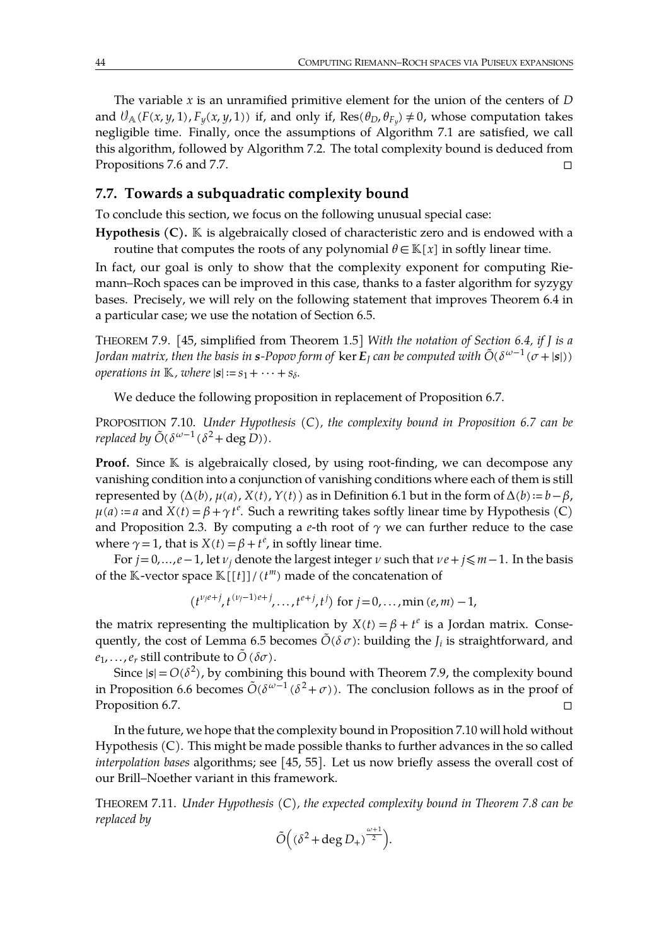The variable *x* is an unramified primitive element for the union of the centers of *D* and  $\theta_A(F(x, y, 1), F_y(x, y, 1))$  if, and only if, Res( $\theta_D$ ,  $\theta_{F_y}$ )  $\neq 0$ , whose computation takes negligible time. Finally, once the assumptions of Algorithm [7.1](#page-37-1) are satisfied, we call this algorithm, followed by Algorithm [7.2.](#page-39-0) The total complexity bound is deduced from Propositions [7.6](#page-38-1) and [7.7.](#page-40-2)  $\Box$ 

# <span id="page-43-0"></span>**7.7. Towards a subquadratic complexity bound**

To conclude this section, we focus on the following unusual special case:

<span id="page-43-1"></span>**Hypothesis (C).**  $\mathbb{K}$  is algebraically closed of characteristic zero and is endowed with a routine that computes the roots of any polynomial  $\theta \in \mathbb{K}[x]$  in softly linear time.

In fact, our goal is only to show that the complexity exponent for computing Rie mann–Roch spaces can be improved in this case, thanks to a faster algorithm for syzygy bases. Precisely, we will rely on the following statement that improves Theorem [6.4](#page-33-0) in a particular case; we use the notation of Section [6.5.](#page-33-2)

<span id="page-43-2"></span>THEOREM 7.9. [\[45,](#page-46-25) simplified from Theorem 1.5] *With the notation of Section [6.4,](#page-32-2) if J is a Jordan matrix, then the basis in s-Popov form of ker*  $E_I$  *can be computed with*  $\tilde{O}(\delta^{\omega-1}(\sigma + |\mathbf{s}|))$ *operations in*  $K$ *, where*  $|s| := s_1 + \cdots + s_\delta$ *.* 

<span id="page-43-3"></span>We deduce the following proposition in replacement of Proposition [6.7.](#page-34-1)

PROPOSITION 7.10. *Under [Hypothesis](#page-43-1) [\(C\)](#page-43-1), the complexity bound in Proposition [6.7](#page-34-1) can be replaced by*  $\tilde{O}(\delta^{\omega-1}(\delta^2 + \text{deg }D)).$ 

**Proof.** Since  $K$  is algebraically closed, by using root-finding, we can decompose any vanishing condition into a conjunction of vanishing conditions where each of them is still represented by  $(Δ(b), μ(a), X(t), Y(t))$  as in Definition [6.1](#page-30-1) but in the form of  $Δ(b) := b - β$ ,  $\mu(a) := a$  and  $X(t) = \beta + \gamma t^e$ . Such a rewriting takes softly linear time by [Hypothesis](#page-43-1) [\(C\)](#page-43-1) and Proposition [2.3.](#page-5-1) By computing a *e*-th root of  $\gamma$  we can further reduce to the case where  $\gamma = 1$ , that is  $X(t) = \beta + t^e$ , in softly linear time.

For  $j=0,\ldots,e-1$ , let  $\nu_j$  denote the largest integer  $\nu$  such that  $\nu e + j \leq m-1$ . In the basis of the  $K$ -vector space  $K[[t]]/(t^m)$  made of the concatenation of

 $(t^{v_je+j}, t^{(v_j-1)e+j}, \ldots, t^{e+j}, t^j)$  for  $j=0, \ldots, \min(e,m)-1$ ,

the matrix representing the multiplication by  $X(t) = \beta + t^e$  is a Jordan matrix. Conse-quently, the cost of Lemma [6.5](#page-33-1) becomes  $\tilde{O}(\delta \sigma)$ : building the *J<sub>i</sub>* is straightforward, and  $e_1, \ldots, e_r$  still contribute to  $\tilde{O}(\delta \sigma)$ .

Since  $|s|$  =  $O(\delta^2)$ , by combining this bound with Theorem [7.9,](#page-43-2) the complexity bound in Proposition [6.6](#page-34-0) becomes  $\tilde{O}(\delta^{\omega-1}(\delta^2+\sigma))$ . The conclusion follows as in the proof of Proposition [6.7.](#page-34-1) □

In the future, we hope that the complexity bound in Proposition [7.10](#page-43-3) will hold without [Hypothesis](#page-43-1) [\(C\).](#page-43-1) This might be made possible thanks to further advances in the so called *interpolation bases* algorithms; see [\[45,](#page-46-25) [55\]](#page-46-24). Let us now briefly assess the overall cost of our Brill–Noether variant in this framework.

<span id="page-43-4"></span>THEOREM 7.11. *Under [Hypothesis](#page-43-1) [\(C\),](#page-43-1) the expected complexity bound in Theorem [7.8](#page-42-0) can be replaced by*

$$
\tilde{O}\Big((\delta^2+\deg D_+)^{\frac{\omega+1}{2}}\Big).
$$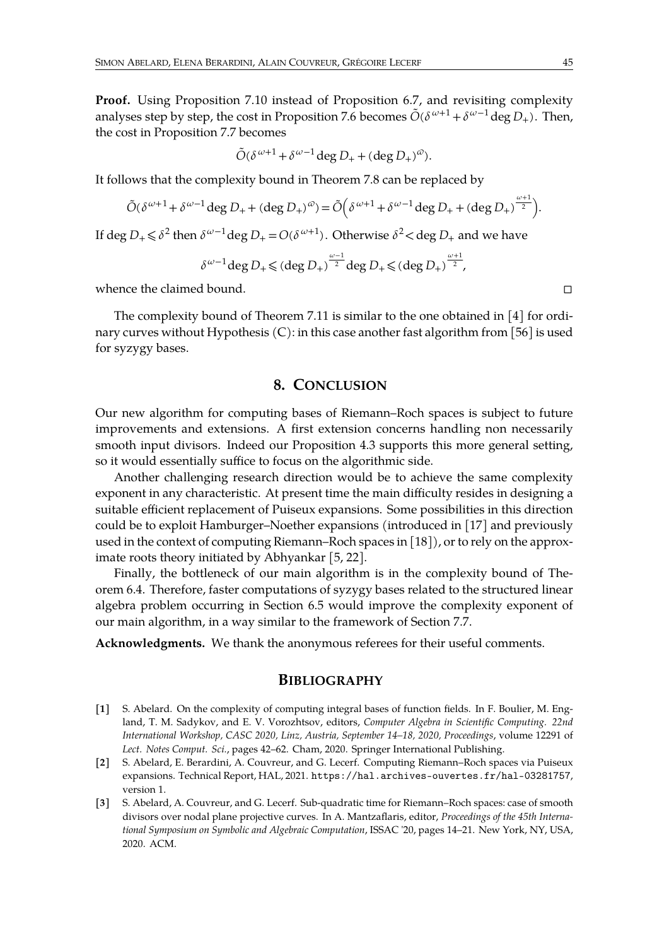**Proof.** Using Proposition [7.10](#page-43-3) instead of Proposition [6.7,](#page-34-1) and revisiting complexity analyses step by step, the cost in Proposition [7.6](#page-38-1) becomes  $\tilde{O}(\delta^{\omega+1} + \delta^{\omega-1}\deg D_+)$ . Then, the cost in Proposition [7.7](#page-40-2) becomes

$$
\tilde{O}(\delta^{\omega+1} + \delta^{\omega-1} \deg D_+ + (\deg D_+)^{\omega}).
$$

It follows that the complexity bound in Theorem [7.8](#page-42-0) can be replaced by

$$
\tilde{O}(\delta^{\omega+1} + \delta^{\omega-1} \deg D_+ + (\deg D_+)^{\omega}) = \tilde{O}\Big(\delta^{\omega+1} + \delta^{\omega-1} \deg D_+ + (\deg D_+)^{\frac{\omega+1}{2}}\Big).
$$

If  $\deg D_+ \leqslant \delta^2$  then  $\delta^{\omega-1}\deg D_+ = O(\delta^{\omega+1})$ . Otherwise  $\delta^2 {<} \deg D_+$  and we have

$$
\delta^{\omega-1} \deg D_+ \leq (\deg D_+)^{\frac{\omega-1}{2}} \deg D_+ \leq (\deg D_+)^{\frac{\omega+1}{2}},
$$

whence the claimed bound.  $□$ 

The complexity bound of Theorem [7.11](#page-43-4) is similar to the one obtained in [\[4\]](#page-45-6) for ordi- nary curves without [Hypothesis](#page-43-1)  $(C)$ : in this case another fast algorithm from [\[56\]](#page-46-23) is used for syzygy bases.

## **8. CONCLUSION**

Our new algorithm for computing bases of Riemann–Roch spaces is subject to future improvements and extensions. A first extension concerns handling non necessarily smooth input divisors. Indeed our Proposition [4.3](#page-20-0) supports this more general setting, so it would essentially suffice to focus on the algorithmic side.

Another challenging research direction would be to achieve the same complexity exponent in any characteristic. At present time the main difficulty resides in designing a suitable efficient replacement of Puiseux expansions. Some possibilities in this direction could be to exploit Hamburger–Noether expansions (introduced in [\[17\]](#page-45-24) and previously used in the context of computing Riemann–Roch spaces in  $[18]$ ), or to rely on the approximate roots theory initiated by Abhyankar [\[5,](#page-45-25) [22\]](#page-45-26).

Finally, the bottleneck of our main algorithm is in the complexity bound of The orem [6.4.](#page-33-0) Therefore, faster computations of syzygy bases related to the structured linear algebra problem occurring in Section [6.5](#page-33-2) would improve the complexity exponent of our main algorithm, in a way similar to the framework of Section [7.7.](#page-43-0)

**Acknowledgments.** We thank the anonymous referees for their useful comments.

#### **BIBLIOGRAPHY**

- <span id="page-44-1"></span>**[1]** S. Abelard. On the complexity of computing integral bases of function fields. In F. Boulier, M. England, T. M. Sadykov, and E. V. Vorozhtsov, editors, *Computer Algebra in Scientific Computing. 22nd International Workshop, CASC 2020, Linz, Austria, September 14–18, 2020, Proceedings*, volume 12291 of *Lect. Notes Comput. Sci.*, pages 42–62. Cham, 2020. Springer International Publishing.
- <span id="page-44-2"></span>**[2]** S. Abelard, E. Berardini, A. Couvreur, and G. Lecerf. Computing Riemann–Roch spaces via Puiseux expansions. Technical Report, HAL, 2021. <https://hal.archives-ouvertes.fr/hal-03281757>, version 1.
- <span id="page-44-0"></span>[3] S. Abelard, A. Couvreur, and G. Lecerf. Sub-quadratic time for Riemann–Roch spaces: case of smooth divisors over nodal plane projective curves. In A. Mantzaflaris, editor, *Proceedings of the 45th International Symposium on Symbolic and Algebraic Computation*, ISSAC '20, pages 14–21. New York, NY, USA, 2020. ACM.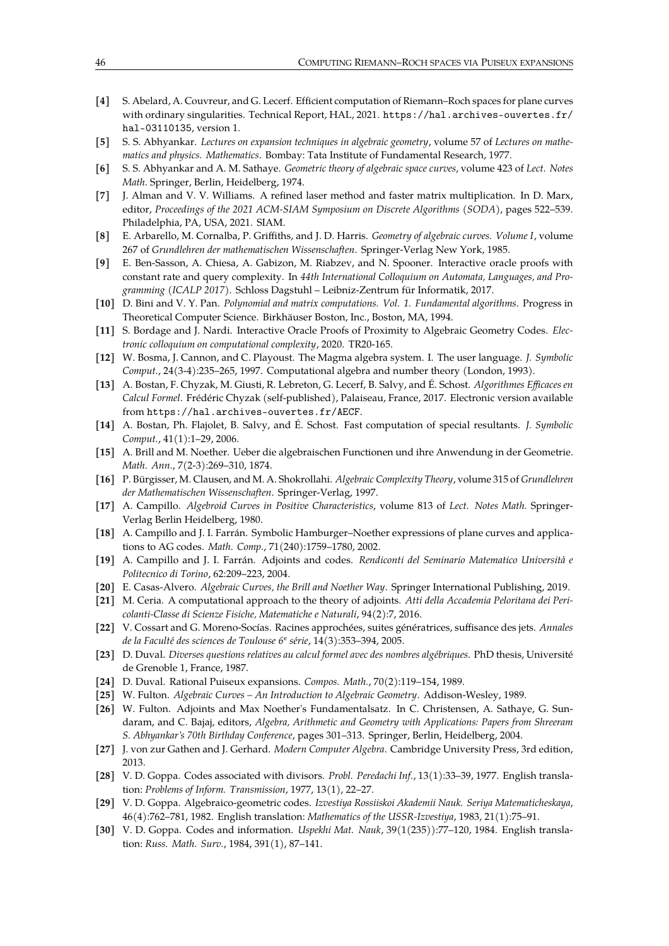- <span id="page-45-6"></span>**[4]** S. Abelard, A. Couvreur, and G. Lecerf. Efficient computation of Riemann–Roch spaces for plane curves with ordinary singularities. Technical Report, HAL, 2021. [https://hal.archives-ouvertes.fr/](https://hal.archives-ouvertes.fr/hal-03110135) [hal-03110135](https://hal.archives-ouvertes.fr/hal-03110135), version 1.
- <span id="page-45-25"></span>**[5]** S. S. Abhyankar. *Lectures on expansion techniques in algebraic geometry*, volume 57 of *Lectures on mathe matics and physics. Mathematics*. Bombay: Tata Institute of Fundamental Research, 1977.
- <span id="page-45-15"></span>**[6]** S. S. Abhyankar and A. M. Sathaye. *Geometric theory of algebraic space curves*, volume 423 of *Lect. Notes Math.* Springer, Berlin, Heidelberg, 1974.
- <span id="page-45-9"></span>**[7]** J. Alman and V. V. Williams. A refined laser method and faster matrix multiplication. In D. Marx, editor, *Proceedings of the 2021 ACM-SIAM Symposium on Discrete Algorithms (SODA)*, pages 522–539. Philadelphia, PA, USA, 2021. SIAM.
- <span id="page-45-10"></span>**[8]** E. Arbarello, M. Cornalba, P. Griffiths, and J. D. Harris. *Geometry of algebraic curves. Volume I*, volume 267 of *Grundlehren der mathematischen Wissenschaften*. Springer-Verlag New York, 1985.
- <span id="page-45-4"></span>**[9]** E. Ben-Sasson, A. Chiesa, A. Gabizon, M. Riabzev, and N. Spooner. Interactive oracle proofs with constant rate and query complexity. In *44th International Colloquium on Automata, Languages, and Pro gramming (ICALP 2017)*. Schloss Dagstuhl – Leibniz-Zentrum für Informatik, 2017.
- <span id="page-45-22"></span>**[10]** D. Bini and V. Y. Pan. *Polynomial and matrix computations. Vol. 1. Fundamental algorithms*. Progress in Theoretical Computer Science. Birkhäuser Boston, Inc., Boston, MA, 1994.
- <span id="page-45-5"></span>**[11]** S. Bordage and J. Nardi. Interactive Oracle Proofs of Proximity to Algebraic Geometry Codes. *Electronic colloquium on computational complexity*, 2020. TR20-165.
- <span id="page-45-17"></span>**[12]** W. Bosma, J. Cannon, and C. Playoust. The Magma algebra system. I. The user language. *J. Symbolic Comput.*, 24(3-4):235–265, 1997. Computational algebra and number theory (London, 1993).
- <span id="page-45-23"></span>**[13]** A. Bostan, F. Chyzak, M. Giusti, R. Lebreton, G. Lecerf, B. Salvy, and É. Schost. *Algorithmes Efficaces en Calcul Formel*. Frédéric Chyzak (self-published), Palaiseau, France, 2017. Electronic version available from <https://hal.archives-ouvertes.fr/AECF>.
- <span id="page-45-18"></span>**[14]** A. Bostan, Ph. Flajolet, B. Salvy, and É. Schost. Fast computation of special resultants. *J. Symbolic Comput.*, 41(1):1–29, 2006.
- <span id="page-45-0"></span>**[15]** A. Brill and M. Noether. Ueber die algebraischen Functionen und ihre Anwendung in der Geometrie. *Math. Ann.*, 7(2-3):269–310, 1874.
- <span id="page-45-7"></span>**[16]** P. Bürgisser, M. Clausen, and M. A.Shokrollahi. *Algebraic Complexity Theory*, volume 315 of *Grundlehren der Mathematischen Wissenschaften*. Springer-Verlag, 1997.
- <span id="page-45-24"></span>**[17]** A. Campillo. *Algebroid Curves in Positive Characteristics*, volume 813 of *Lect. Notes Math.* Springer- Verlag Berlin Heidelberg, 1980.
- <span id="page-45-12"></span>**[18]** A. Campillo and J. I. Farrán. Symbolic Hamburger–Noether expressions of plane curves and applications to AG codes. *Math. Comp.*, 71(240):1759–1780, 2002.
- <span id="page-45-13"></span>**[19]** A. Campillo and J. I. Farrán. Adjoints and codes. *Rendiconti del Seminario Matematico Università e Politecnico di Torino*, 62:209–223, 2004.
- <span id="page-45-21"></span>**[20]** E. Casas-Alvero. *Algebraic Curves, the Brill and Noether Way*. Springer International Publishing, 2019.
- <span id="page-45-16"></span>**[21]** M. Ceria. A computational approach to the theory of adjoints. *Atti della Accademia Peloritana dei Peri colanti-Classe di Scienze Fisiche, Matematiche e Naturali*, 94(2):7, 2016.
- <span id="page-45-26"></span>**[22]** V. Cossart and G. Moreno-Socías. Racines approchées, suites génératrices, suffisance des jets. *Annales de la Faculté des sciences de Toulouse 6* <sup>e</sup> *série*, 14(3):353–394, 2005.
- <span id="page-45-19"></span>**[23]** D. Duval. *Diverses questions relatives au calcul formel avec des nombres algébriques*. PhD thesis, Université de Grenoble 1, France, 1987.
- <span id="page-45-20"></span>**[24]** D. Duval. Rational Puiseux expansions. *Compos. Math.*, 70(2):119–154, 1989.
- <span id="page-45-14"></span>**[25]** W. Fulton. *Algebraic Curves – An Introduction to Algebraic Geometry*. Addison-Wesley, 1989.
- <span id="page-45-11"></span>**[26]** W. Fulton. Adjoints and Max Noether's Fundamentalsatz. In C. Christensen, A. Sathaye, G. Sun daram, and C. Bajaj, editors, *Algebra, Arithmetic and Geometry with Applications: Papers from Shreeram S. Abhyankar's 70th Birthday Conference*, pages 301–313. Springer, Berlin, Heidelberg, 2004.
- <span id="page-45-8"></span>**[27]** J. von zur Gathen and J. Gerhard. *Modern Computer Algebra*. Cambridge University Press, 3rd edition, 2013.
- <span id="page-45-1"></span>**[28]** V. D. Goppa. Codes associated with divisors. *Probl. Peredachi Inf.*, 13(1):33–39, 1977. English translation: *Problems of Inform. Transmission*, 1977, 13(1), 22–27.
- <span id="page-45-2"></span>**[29]** V. D. Goppa. Algebraico-geometric codes. *Izvestiya Rossiiskoi Akademii Nauk. Seriya Matematicheskaya*, 46(4):762–781, 1982. English translation: *Mathematics of the USSR-Izvestiya*, 1983, 21(1):75–91.
- <span id="page-45-3"></span>**[30]** V. D. Goppa. Codes and information. *Uspekhi Mat. Nauk*, 39(1(235)):77–120, 1984. English translation: *Russ. Math. Surv.*, 1984, 391(1), 87–141.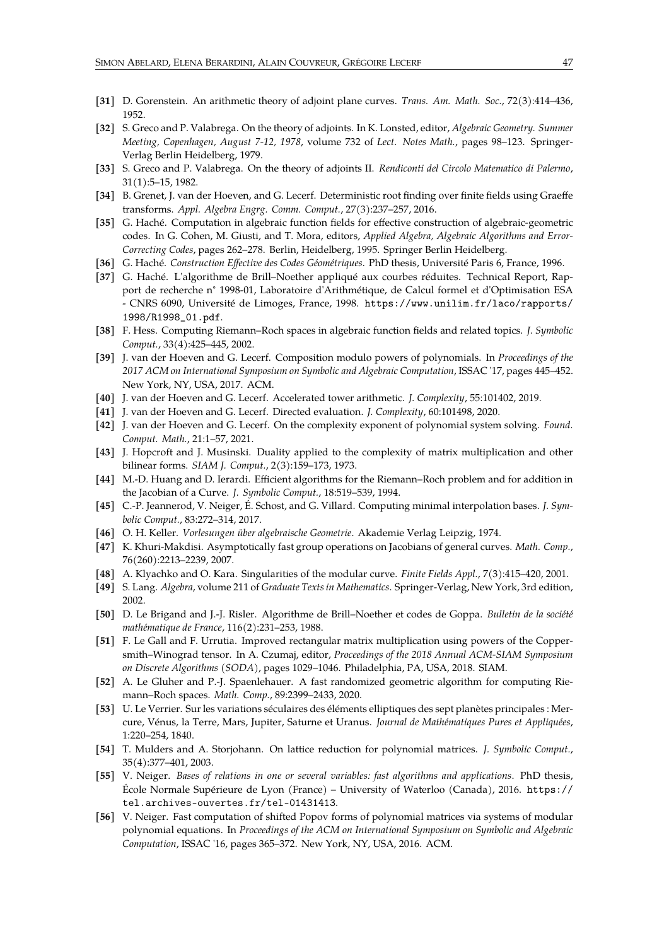- <span id="page-46-6"></span>**[31]** D. Gorenstein. An arithmetic theory of adjoint plane curves. *Trans. Am. Math. Soc.*, 72(3):414–436, 1952.
- <span id="page-46-8"></span>**[32]** S. Greco and P. Valabrega. On the theory of adjoints. In K. Lonsted, editor, *Algebraic Geometry. Summer Meeting, Copenhagen, August 7-12, 1978*, volume 732 of*Lect. Notes Math.*, pages 98–123. Springer- Verlag Berlin Heidelberg, 1979.
- <span id="page-46-9"></span>**[33]** S. Greco and P. Valabrega. On the theory of adjoints II.*Rendiconti del Circolo Matematico di Palermo*, 31(1):5–15, 1982.
- <span id="page-46-18"></span>**[34]** B. Grenet, J. van der Hoeven, and G. Lecerf. Deterministic root finding over finite fields using Graeffe transforms. *Appl. Algebra Engrg. Comm. Comput.*, 27(3):237–257, 2016.
- <span id="page-46-11"></span>**[35]** G. Haché. Computation in algebraic function fields for effective construction of algebraic-geometric codes. In G. Cohen, M. Giusti, and T. Mora, editors, *Applied Algebra, Algebraic Algorithms and Error- Correcting Codes*, pages 262–278. Berlin, Heidelberg, 1995. Springer Berlin Heidelberg.
- <span id="page-46-12"></span>**[36]** G. Haché. *Construction Effective des Codes Géométriques*. PhD thesis, Université Paris 6, France, 1996.
- <span id="page-46-13"></span>**[37]** G. Haché. L'algorithme de Brill–Noether appliqué aux courbes réduites. Technical Report, Rap port de recherche n° 1998-01, Laboratoire d'Arithmétique, de Calcul formel et d'Optimisation ESA - CNRS 6090, Université de Limoges, France, 1998. [https://www.unilim.fr/laco/rapports/](https://www.unilim.fr/laco/rapports/1998/R1998_01.pdf) [1998/R1998\\_01.pdf](https://www.unilim.fr/laco/rapports/1998/R1998_01.pdf).
- <span id="page-46-14"></span>**[38]** F. Hess. Computing Riemann–Roch spaces in algebraic function fields and related topics. *J. Symbolic Comput.*, 33(4):425–445, 2002.
- <span id="page-46-19"></span>**[39]** J. van der Hoeven and G. Lecerf. Composition modulo powers of polynomials. In *Proceedings of the 2017 ACM on International Symposium on Symbolic and Algebraic Computation*, ISSAC '17, pages 445–452. New York, NY, USA, 2017. ACM.
- <span id="page-46-17"></span>**[40]** J. van der Hoeven and G. Lecerf. Accelerated tower arithmetic. *J. Complexity*, 55:101402, 2019.
- <span id="page-46-20"></span>**[41]** J. van der Hoeven and G. Lecerf. Directed evaluation. *J. Complexity*, 60:101498, 2020.
- <span id="page-46-15"></span>**[42]** J. van der Hoeven and G. Lecerf. On the complexity exponent of polynomial system solving. *Found. Comput. Math.*, 21:1–57, 2021.
- <span id="page-46-5"></span>**[43]** J. Hopcroft and J. Musinski. Duality applied to the complexity of matrix multiplication and other bilinear forms. *SIAM J. Comput.*,2(3):159–173, 1973.
- <span id="page-46-0"></span>[44] M.-D. Huang and D. Ierardi. Efficient algorithms for the Riemann–Roch problem and for addition in the Jacobian of a Curve. *J. Symbolic Comput.*, 18:519–539, 1994.
- <span id="page-46-25"></span>**[45]** C.-P. Jeannerod, V. Neiger, É. Schost, and G. Villard. Computing minimal interpolation bases. *J. Sym bolic Comput.*, 83:272–314, 2017.
- <span id="page-46-7"></span>**[46]** O. H. Keller. *Vorlesungen über algebraische Geometrie*. Akademie Verlag Leipzig, 1974.
- <span id="page-46-1"></span>**[47]** K. Khuri-Makdisi. Asymptotically fast group operations on Jacobians of general curves. *Math. Comp.*, 76(260):2213–2239, 2007.
- <span id="page-46-2"></span>**[48]** A. Klyachko and O. Kara. Singularities of the modular curve. *Finite Fields Appl.*, 7(3):415–420, 2001.
- <span id="page-46-21"></span>**[49]** S. Lang. *Algebra*, volume 211 of *Graduate Textsin Mathematics*. Springer-Verlag, New York, 3rd edition, 2002.
- <span id="page-46-10"></span>**[50]** D. Le Brigand and J.-J. Risler. Algorithme de Brill–Noether et codes de Goppa. *Bulletin dela société mathématique de France*, 116(2):231–253, 1988.
- <span id="page-46-4"></span>**[51]** F. Le Gall and F. Urrutia. Improved rectangular matrix multiplication using powers of the Copper smith–Winograd tensor. In A. Czumaj, editor, *Proceedings of the 2018 Annual ACM-SIAM Symposium on Discrete Algorithms (SODA)*, pages 1029–1046. Philadelphia, PA, USA, 2018. SIAM.
- <span id="page-46-3"></span>**[52]** A. Le Gluher and P.-J. Spaenlehauer. A fast randomized geometric algorithm for computing Rie mann–Roch spaces. *Math. Comp.*, 89:2399–2433, 2020.
- <span id="page-46-16"></span>**[53]** U. Le Verrier. Surles variations séculaires des éléments elliptiques des sept planètes principales : Mer cure, Vénus, la Terre, Mars, Jupiter, Saturne etUranus. *Journal de Mathématiques Pures et Appliquées*, 1:220–254, 1840.
- <span id="page-46-22"></span>**[54]** T. Mulders and A. Storjohann. On lattice reduction for polynomial matrices. *J. Symbolic Comput.*, 35(4):377–401, 2003.
- <span id="page-46-24"></span>**[55]** V. Neiger. *Bases of relations in one or several variables: fast algorithms and applications*. PhD thesis, École Normale Supérieure de Lyon (France) – University of Waterloo (Canada), 2016. [https://](https://tel.archives-ouvertes.fr/tel-01431413) [tel.archives-ouvertes.fr/tel-01431413](https://tel.archives-ouvertes.fr/tel-01431413).
- <span id="page-46-23"></span>**[56]** V. Neiger. Fast computation of shifted Popov forms of polynomial matrices via systems of modular polynomial equations. In *Proceedings of the ACM on International Symposium on Symbolic and Algebraic Computation*, ISSAC '16, pages 365–372. New York, NY, USA, 2016. ACM.